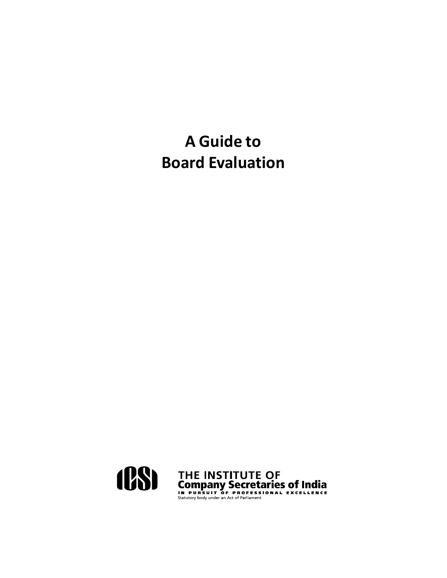# **A Guide to Board Evaluation**

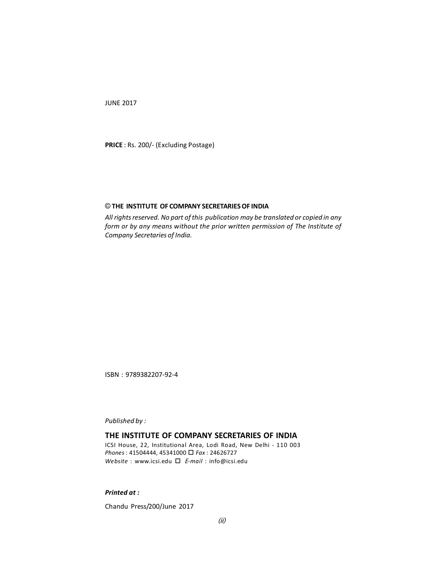JUNE 2017

**PRICE** : Rs. 200/- (Excluding Postage)

#### © **THE INSTITUTE OF COMPANY SECRETARIES OF INDIA**

*All rights reserved. No part of this publication may be translated or copied in any form or by any means without the prior written permission of The Institute of Company Secretaries of India.*

ISBN : 9789382207-92-4

*Published by :*

# **THE INSTITUTE OF COMPANY SECRETARIES OF INDIA**

ICSI House, 22, Institutional Area, Lodi Road, New Delhi - 110 003 *Phones* : 41504444, 45341000 *Fax* : 24626727 *Website* : [www.icsi.edu](http://www.icsi.edu) *<sup>E</sup>-mail* : [info@icsi.edu](mailto:info@icsi.edu)

## *Printed at :*

Chandu Press/200/June 2017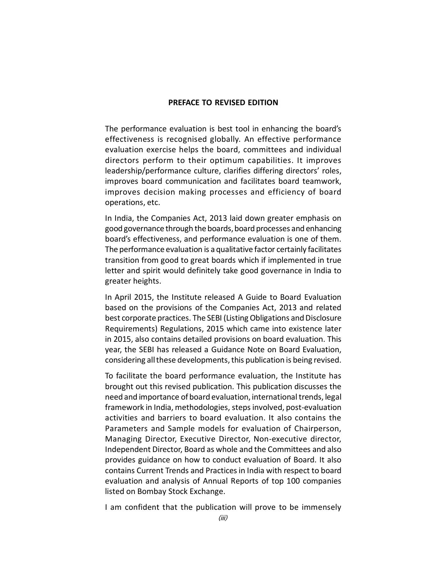#### **PREFACE TO REVISED EDITION**

The performance evaluation is best tool in enhancing the board's effectiveness is recognised globally. An effective performance evaluation exercise helps the board, committees and individual directors perform to their optimum capabilities. It improves leadership/performance culture, clarifies differing directors' roles, improves board communication and facilitates board teamwork, improves decision making processes and efficiency of board operations, etc.

In India, the Companies Act, 2013 laid down greater emphasis on good governance through the boards, board processes and enhancing board's effectiveness, and performance evaluation is one of them. The performance evaluation is a qualitative factor certainly facilitates transition from good to great boards which if implemented in true letter and spirit would definitely take good governance in India to greater heights.

In April 2015, the Institute released A Guide to Board Evaluation based on the provisions of the Companies Act, 2013 and related best corporate practices. The SEBI (Listing Obligations and Disclosure Requirements) Regulations, 2015 which came into existence later in 2015, also contains detailed provisions on board evaluation. This year, the SEBI has released a Guidance Note on Board Evaluation, considering all these developments, this publication is being revised.

To facilitate the board performance evaluation, the Institute has brought out this revised publication. This publication discusses the need and importance of board evaluation, international trends, legal framework in India, methodologies, steps involved, post-evaluation activities and barriers to board evaluation. It also contains the Parameters and Sample models for evaluation of Chairperson, Managing Director, Executive Director, Non-executive director, Independent Director, Board as whole and the Committees and also provides guidance on how to conduct evaluation of Board. It also contains Current Trends and Practices in India with respect to board evaluation and analysis of Annual Reports of top 100 companies listed on Bombay Stock Exchange.

I am confident that the publication will prove to be immensely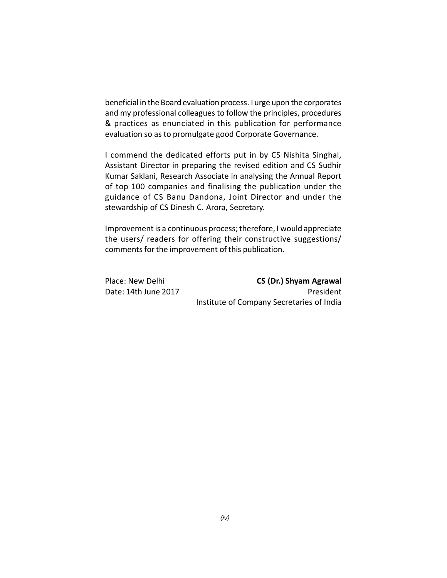beneficial in the Board evaluation process. I urge upon the corporates and my professional colleagues to follow the principles, procedures & practices as enunciated in this publication for performance evaluation so as to promulgate good Corporate Governance.

I commend the dedicated efforts put in by CS Nishita Singhal, Assistant Director in preparing the revised edition and CS Sudhir Kumar Saklani, Research Associate in analysing the Annual Report of top 100 companies and finalising the publication under the guidance of CS Banu Dandona, Joint Director and under the stewardship of CS Dinesh C. Arora, Secretary.

Improvement is a continuous process; therefore, I would appreciate the users/ readers for offering their constructive suggestions/ comments for the improvement of this publication.

| Place: New Delhi     | CS (Dr.) Shyam Agrawal                    |
|----------------------|-------------------------------------------|
| Date: 14th June 2017 | President                                 |
|                      | Institute of Company Secretaries of India |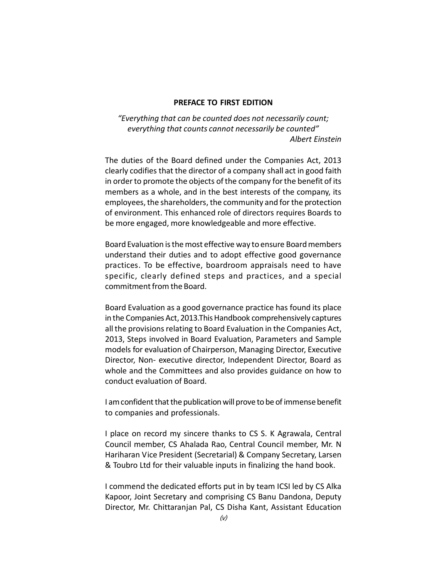#### **PREFACE TO FIRST EDITION**

*"Everything that can be counted does not necessarily count; everything that counts cannot necessarily be counted" Albert Einstein*

The duties of the Board defined under the Companies Act, 2013 clearly codifies that the director of a company shall act in good faith in order to promote the objects of the company for the benefit of its members as a whole, and in the best interests of the company, its employees, the shareholders, the community and for the protection of environment. This enhanced role of directors requires Boards to be more engaged, more knowledgeable and more effective.

Board Evaluation is the most effective way to ensure Board members understand their duties and to adopt effective good governance practices. To be effective, boardroom appraisals need to have specific, clearly defined steps and practices, and a special commitment from the Board.

Board Evaluation as a good governance practice has found its place in the Companies Act, 2013.This Handbook comprehensively captures all the provisions relating to Board Evaluation in the Companies Act, 2013, Steps involved in Board Evaluation, Parameters and Sample models for evaluation of Chairperson, Managing Director, Executive Director, Non- executive director, Independent Director, Board as whole and the Committees and also provides guidance on how to conduct evaluation of Board.

I am confident that the publication will prove to be of immense benefit to companies and professionals.

I place on record my sincere thanks to CS S. K Agrawala, Central Council member, CS Ahalada Rao, Central Council member, Mr. N Hariharan Vice President (Secretarial) & Company Secretary, Larsen & Toubro Ltd for their valuable inputs in finalizing the hand book.

I commend the dedicated efforts put in by team ICSI led by CS Alka Kapoor, Joint Secretary and comprising CS Banu Dandona, Deputy Director, Mr. Chittaranjan Pal, CS Disha Kant, Assistant Education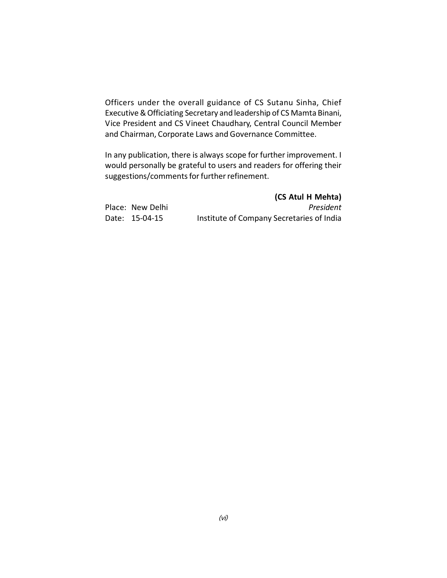Officers under the overall guidance of CS Sutanu Sinha, Chief Executive & Officiating Secretary and leadership of CS Mamta Binani, Vice President and CS Vineet Chaudhary, Central Council Member and Chairman, Corporate Laws and Governance Committee.

In any publication, there is always scope for further improvement. I would personally be grateful to users and readers for offering their suggestions/comments for further refinement.

|                  | (CS Atul H Mehta)                         |
|------------------|-------------------------------------------|
| Place: New Delhi | President                                 |
| Date: 15-04-15   | Institute of Company Secretaries of India |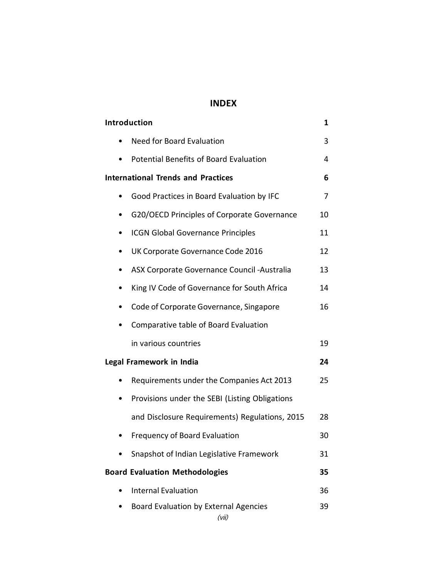# **INDEX**

| <b>Introduction</b>                               | 1  |
|---------------------------------------------------|----|
| <b>Need for Board Evaluation</b><br>$\bullet$     | 3  |
| Potential Benefits of Board Evaluation            | 4  |
| <b>International Trends and Practices</b>         | 6  |
| Good Practices in Board Evaluation by IFC         | 7  |
| G20/OECD Principles of Corporate Governance<br>٠  | 10 |
| <b>ICGN Global Governance Principles</b><br>٠     | 11 |
| UK Corporate Governance Code 2016<br>٠            | 12 |
| ASX Corporate Governance Council - Australia<br>D | 13 |
| King IV Code of Governance for South Africa       | 14 |
| Code of Corporate Governance, Singapore<br>٠      | 16 |
| Comparative table of Board Evaluation<br>٠        |    |
| in various countries                              | 19 |
| Legal Framework in India                          | 24 |
| Requirements under the Companies Act 2013         | 25 |
| Provisions under the SEBI (Listing Obligations    |    |
| and Disclosure Requirements) Regulations, 2015    | 28 |
| Frequency of Board Evaluation                     | 30 |
| Snapshot of Indian Legislative Framework          | 31 |
| <b>Board Evaluation Methodologies</b>             | 35 |
| <b>Internal Evaluation</b>                        | 36 |
| Board Evaluation by External Agencies             | 39 |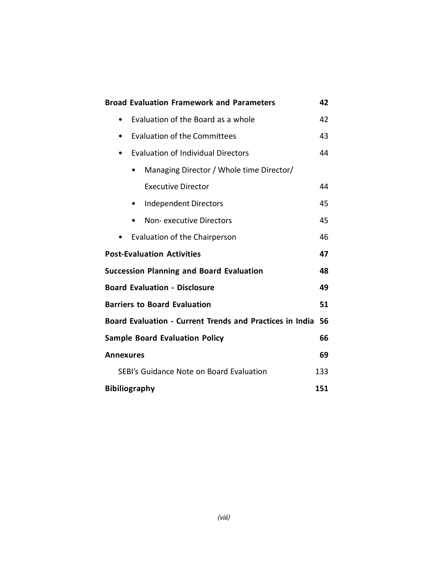| <b>Broad Evaluation Framework and Parameters</b>         | 42  |  |  |  |  |
|----------------------------------------------------------|-----|--|--|--|--|
| Evaluation of the Board as a whole                       | 42  |  |  |  |  |
| <b>Evaluation of the Committees</b><br>٠                 |     |  |  |  |  |
| <b>Evaluation of Individual Directors</b><br>٠           | 44  |  |  |  |  |
| Managing Director / Whole time Director/                 |     |  |  |  |  |
| <b>Executive Director</b>                                | 44  |  |  |  |  |
| <b>Independent Directors</b><br>$\bullet$                | 45  |  |  |  |  |
| Non-executive Directors<br>$\bullet$                     | 45  |  |  |  |  |
| Evaluation of the Chairperson                            | 46  |  |  |  |  |
| <b>Post-Evaluation Activities</b><br>47                  |     |  |  |  |  |
| <b>Succession Planning and Board Evaluation</b>          | 48  |  |  |  |  |
| <b>Board Evaluation - Disclosure</b>                     | 49  |  |  |  |  |
| <b>Barriers to Board Evaluation</b><br>51                |     |  |  |  |  |
| Board Evaluation - Current Trends and Practices in India | 56  |  |  |  |  |
| <b>Sample Board Evaluation Policy</b>                    | 66  |  |  |  |  |
| <b>Annexures</b>                                         | 69  |  |  |  |  |
| SEBI's Guidance Note on Board Evaluation                 | 133 |  |  |  |  |
| <b>Bibiliography</b>                                     | 151 |  |  |  |  |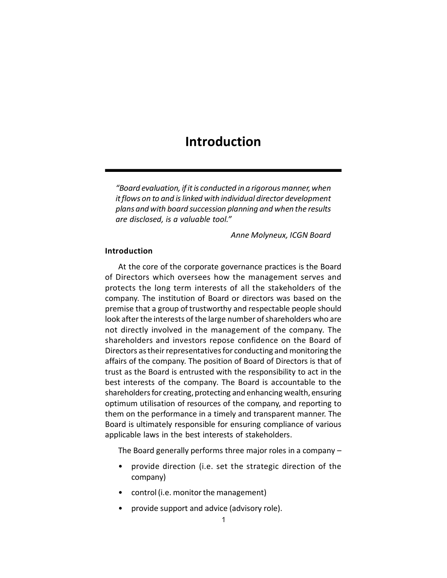# **Introduction**

*"Board evaluation, if it is conducted in a rigorous manner, when it flows on to and is linked with individual director development plans and with board succession planning and when the results are disclosed, is a valuable tool."*

*Anne Molyneux, ICGN Board*

#### **Introduction**

At the core of the corporate governance practices is the Board of Directors which oversees how the management serves and protects the long term interests of all the stakeholders of the company. The institution of Board or directors was based on the premise that a group of trustworthy and respectable people should look after the interests of the large number of shareholders who are not directly involved in the management of the company. The shareholders and investors repose confidence on the Board of Directors as their representatives for conducting and monitoring the affairs of the company. The position of Board of Directors is that of trust as the Board is entrusted with the responsibility to act in the best interests of the company. The Board is accountable to the shareholders for creating, protecting and enhancing wealth, ensuring optimum utilisation of resources of the company, and reporting to them on the performance in a timely and transparent manner. The Board is ultimately responsible for ensuring compliance of various applicable laws in the best interests of stakeholders.

The Board generally performs three major roles in a company –

- provide direction (i.e. set the strategic direction of the company)
- control (i.e. monitor the management)
- provide support and advice (advisory role).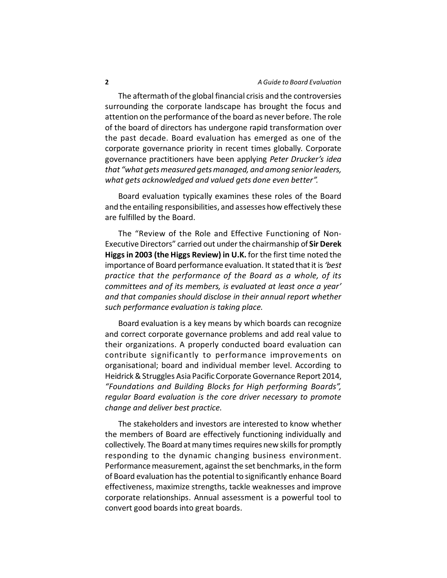The aftermath of the global financial crisis and the controversies surrounding the corporate landscape has brought the focus and attention on the performance of the board as never before. The role of the board of directors has undergone rapid transformation over the past decade. Board evaluation has emerged as one of the corporate governance priority in recent times globally. Corporate governance practitioners have been applying *Peter Drucker's idea that "what gets measured gets managed, and among senior leaders, what gets acknowledged and valued gets done even better".*

Board evaluation typically examines these roles of the Board and the entailing responsibilities, and assesses how effectively these are fulfilled by the Board.

The "Review of the Role and Effective Functioning of Non-Executive Directors" carried out under the chairmanship of **Sir Derek Higgs in 2003 (the Higgs Review) in U.K.** for the first time noted the importance of Board performance evaluation. It stated that it is *'best practice that the performance of the Board as a whole, of its committees and of its members, is evaluated at least once a year' and that companies should disclose in their annual report whether such performance evaluation is taking place.*

Board evaluation is a key means by which boards can recognize and correct corporate governance problems and add real value to their organizations. A properly conducted board evaluation can contribute significantly to performance improvements on organisational; board and individual member level. According to Heidrick & Struggles Asia Pacific Corporate Governance Report 2014, *"Foundations and Building Blocks for High performing Boards", regular Board evaluation is the core driver necessary to promote change and deliver best practice.*

The stakeholders and investors are interested to know whether the members of Board are effectively functioning individually and collectively. The Board at many times requires new skills for promptly responding to the dynamic changing business environment. Performance measurement, against the set benchmarks, in the form of Board evaluation has the potential to significantly enhance Board effectiveness, maximize strengths, tackle weaknesses and improve corporate relationships. Annual assessment is a powerful tool to convert good boards into great boards.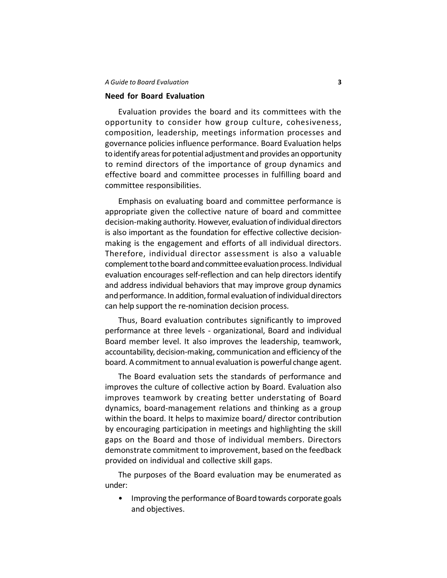#### *A Guide to Board Evaluation* **3**

## **Need for Board Evaluation**

Evaluation provides the board and its committees with the opportunity to consider how group culture, cohesiveness, composition, leadership, meetings information processes and governance policies influence performance. Board Evaluation helps to identify areas for potential adjustment and provides an opportunity to remind directors of the importance of group dynamics and effective board and committee processes in fulfilling board and committee responsibilities.

Emphasis on evaluating board and committee performance is appropriate given the collective nature of board and committee decision-making authority. However, evaluation of individual directors is also important as the foundation for effective collective decisionmaking is the engagement and efforts of all individual directors. Therefore, individual director assessment is also a valuable complement to the board and committee evaluation process. Individual evaluation encourages self-reflection and can help directors identify and address individual behaviors that may improve group dynamics and performance. In addition, formal evaluation of individual directors can help support the re-nomination decision process.

Thus, Board evaluation contributes significantly to improved performance at three levels - organizational, Board and individual Board member level. It also improves the leadership, teamwork, accountability, decision-making, communication and efficiency of the board. A commitment to annual evaluation is powerful change agent.

The Board evaluation sets the standards of performance and improves the culture of collective action by Board. Evaluation also improves teamwork by creating better understating of Board dynamics, board-management relations and thinking as a group within the board. It helps to maximize board/ director contribution by encouraging participation in meetings and highlighting the skill gaps on the Board and those of individual members. Directors demonstrate commitment to improvement, based on the feedback provided on individual and collective skill gaps.

The purposes of the Board evaluation may be enumerated as under:

• Improving the performance of Board towards corporate goals and objectives.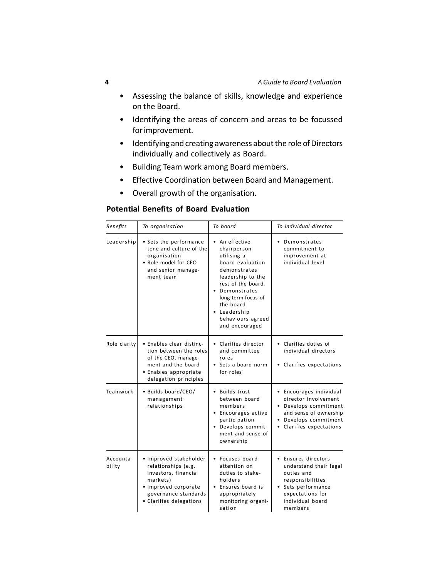- Assessing the balance of skills, knowledge and experience on the Board.
- Identifying the areas of concern and areas to be focussed for improvement.
- Identifying and creating awareness about the role of Directors individually and collectively as Board.
- Building Team work among Board members.
- Effective Coordination between Board and Management.
- Overall growth of the organisation.

# **Potential Benefits of Board Evaluation**

| <b>Benefits</b>     | To organisation                                                                                                                                              | To board                                                                                                                                                                                                                                           | To individual director                                                                                                                                 |
|---------------------|--------------------------------------------------------------------------------------------------------------------------------------------------------------|----------------------------------------------------------------------------------------------------------------------------------------------------------------------------------------------------------------------------------------------------|--------------------------------------------------------------------------------------------------------------------------------------------------------|
| Leadership          | • Sets the performance<br>tone and culture of the<br>organisation<br>• Role model for CEO<br>and senior manage-<br>ment team                                 | • An effective<br>chairperson<br>utilising a<br>board evaluation<br>demonstrates<br>leadership to the<br>rest of the board.<br>• Demonstrates<br>long-term focus of<br>the board<br>Leadership<br>$\bullet$<br>behaviours agreed<br>and encouraged | • Demonstrates<br>commitment to<br>improvement at<br>individual level                                                                                  |
| Role clarity        | • Enables clear distinc-<br>tion between the roles<br>of the CEO, manage-<br>ment and the board<br>• Enables appropriate<br>delegation principles            | • Clarifies director<br>and committee<br>roles<br>• Sets a board norm<br>for roles                                                                                                                                                                 | • Clarifies duties of<br>individual directors<br>• Clarifies expectations                                                                              |
| Teamwork            | • Builds board/CEO/<br>management<br>relationships                                                                                                           | • Builds trust<br>between board<br>members<br>• Encourages active<br>participation<br>• Develops commit-<br>ment and sense of<br>ownership                                                                                                         | • Encourages individual<br>director involvement<br>Develops commitment<br>and sense of ownership<br>Develops commitment<br>• Clarifies expectations    |
| Accounta-<br>bility | • Improved stakeholder<br>relationships (e.g.<br>investors, financial<br>markets)<br>· Improved corporate<br>governance standards<br>• Clarifies delegations | • Focuses board<br>attention on<br>duties to stake-<br>holders<br>• Ensures board is<br>appropriately<br>monitoring organi-<br>sation                                                                                                              | • Ensures directors<br>understand their legal<br>duties and<br>responsibilities<br>Sets performance<br>expectations for<br>individual board<br>members |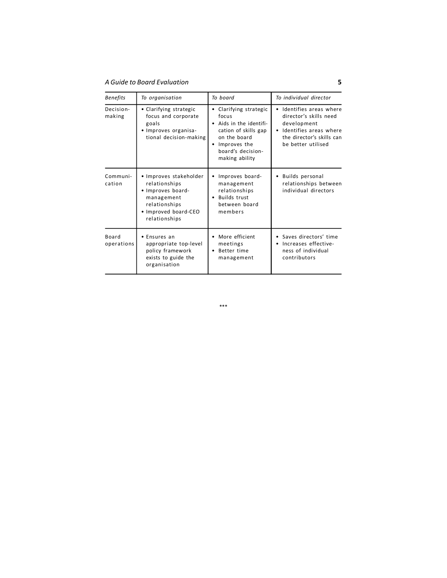*A Guide to Board Evaluation* **5**

| <b>Benefits</b>     | To organisation                                                                                                                      | To board                                                                                                                                                        | To individual director                                                                                                                       |
|---------------------|--------------------------------------------------------------------------------------------------------------------------------------|-----------------------------------------------------------------------------------------------------------------------------------------------------------------|----------------------------------------------------------------------------------------------------------------------------------------------|
| Decision-<br>making | • Clarifying strategic<br>focus and corporate<br>goals<br>Improves organisa-<br>tional decision-making                               | Clarifying strategic<br>٠<br>focus<br>Aids in the identifi-<br>cation of skills gap<br>on the board<br>Improves the<br>٠<br>board's decision-<br>making ability | Identifies areas where<br>director's skills need<br>development<br>Identifies areas where<br>the director's skills can<br>be better utilised |
| Communi-<br>cation  | • Improves stakeholder<br>relationships<br>· Improves board-<br>management<br>relationships<br>· Improved board-CEO<br>relationships | Improves board-<br>management<br>relationships<br><b>Builds trust</b><br>٠<br>between board<br>members                                                          | Builds personal<br>relationships between<br>individual directors                                                                             |
| Board<br>operations | Ensures an<br>appropriate top-level<br>policy framework<br>exists to guide the<br>organisation                                       | More efficient<br>meetings<br>Better time<br>$\bullet$<br>management                                                                                            | • Saves directors' time<br>Increases effective-<br>ness of individual<br>contributors                                                        |

\*\*\*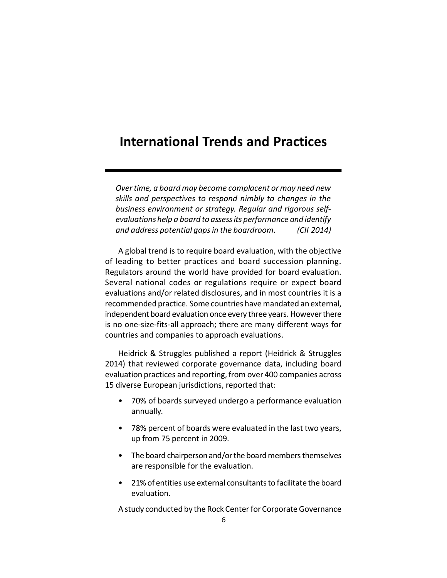# **International Trends and Practices**

*Over time, a board may become complacent or may need new skills and perspectives to respond nimbly to changes in the business environment or strategy. Regular and rigorous selfevaluations help a board to assess its performance and identify and address potential gaps in the boardroom. (CII 2014)*

A global trend is to require board evaluation, with the objective of leading to better practices and board succession planning. Regulators around the world have provided for board evaluation. Several national codes or regulations require or expect board evaluations and/or related disclosures, and in most countries it is a recommended practice. Some countries have mandated an external, independent board evaluation once every three years. However there is no one-size-fits-all approach; there are many different ways for countries and companies to approach evaluations.

Heidrick & Struggles published a report (Heidrick & Struggles 2014) that reviewed corporate governance data, including board evaluation practices and reporting, from over 400 companies across 15 diverse European jurisdictions, reported that:

- 70% of boards surveyed undergo a performance evaluation annually.
- 78% percent of boards were evaluated in the last two years, up from 75 percent in 2009.
- The board chairperson and/or the board members themselves are responsible for the evaluation.
- 21% of entities use external consultants to facilitate the board evaluation.

A study conducted by the Rock Center for Corporate Governance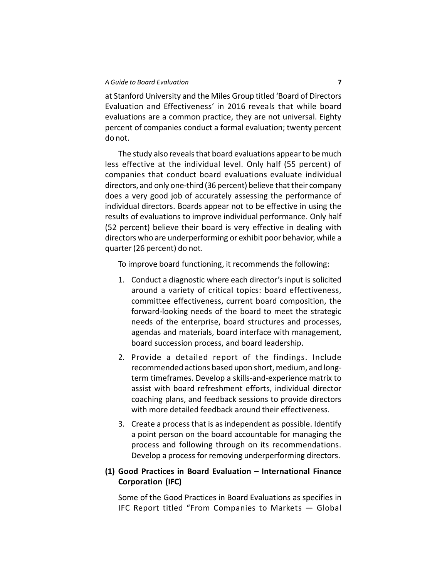at Stanford University and the Miles Group titled 'Board of Directors Evaluation and Effectiveness' in 2016 reveals that while board evaluations are a common practice, they are not universal. Eighty percent of companies conduct a formal evaluation; twenty percent do not.

The study also reveals that board evaluations appear to be much less effective at the individual level. Only half (55 percent) of companies that conduct board evaluations evaluate individual directors, and only one-third (36 percent) believe that their company does a very good job of accurately assessing the performance of individual directors. Boards appear not to be effective in using the results of evaluations to improve individual performance. Only half (52 percent) believe their board is very effective in dealing with directors who are underperforming or exhibit poor behavior, while a quarter (26 percent) do not.

To improve board functioning, it recommends the following:

- 1. Conduct a diagnostic where each director's input is solicited around a variety of critical topics: board effectiveness, committee effectiveness, current board composition, the forward-looking needs of the board to meet the strategic needs of the enterprise, board structures and processes, agendas and materials, board interface with management, board succession process, and board leadership.
- 2. Provide a detailed report of the findings. Include recommended actions based upon short, medium, and longterm timeframes. Develop a skills-and-experience matrix to assist with board refreshment efforts, individual director coaching plans, and feedback sessions to provide directors with more detailed feedback around their effectiveness.
- 3. Create a process that is as independent as possible. Identify a point person on the board accountable for managing the process and following through on its recommendations. Develop a process for removing underperforming directors.

# **(1) Good Practices in Board Evaluation – International Finance Corporation (IFC)**

Some of the Good Practices in Board Evaluations as specifies in IFC Report titled "From Companies to Markets — Global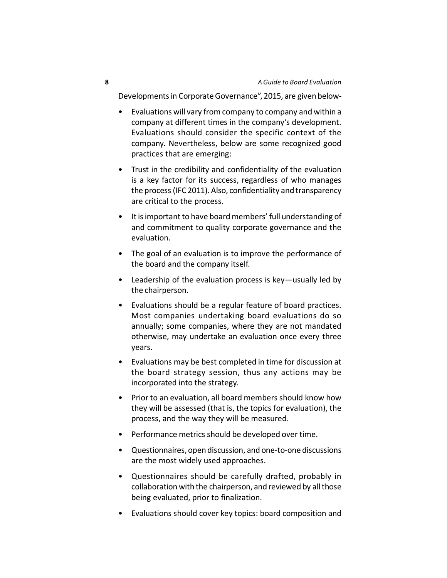Developments in Corporate Governance", 2015, are given below-

- Evaluations will vary from company to company and within a company at different times in the company's development. Evaluations should consider the specific context of the company. Nevertheless, below are some recognized good practices that are emerging:
- Trust in the credibility and confidentiality of the evaluation is a key factor for its success, regardless of who manages the process (IFC 2011). Also, confidentiality and transparency are critical to the process.
- It is important to have board members' full understanding of and commitment to quality corporate governance and the evaluation.
- The goal of an evaluation is to improve the performance of the board and the company itself.
- Leadership of the evaluation process is key—usually led by the chairperson.
- Evaluations should be a regular feature of board practices. Most companies undertaking board evaluations do so annually; some companies, where they are not mandated otherwise, may undertake an evaluation once every three years.
- Evaluations may be best completed in time for discussion at the board strategy session, thus any actions may be incorporated into the strategy.
- Prior to an evaluation, all board members should know how they will be assessed (that is, the topics for evaluation), the process, and the way they will be measured.
- Performance metrics should be developed over time.
- Questionnaires, open discussion, and one-to-one discussions are the most widely used approaches.
- Questionnaires should be carefully drafted, probably in collaboration with the chairperson, and reviewed by all those being evaluated, prior to finalization.
- Evaluations should cover key topics: board composition and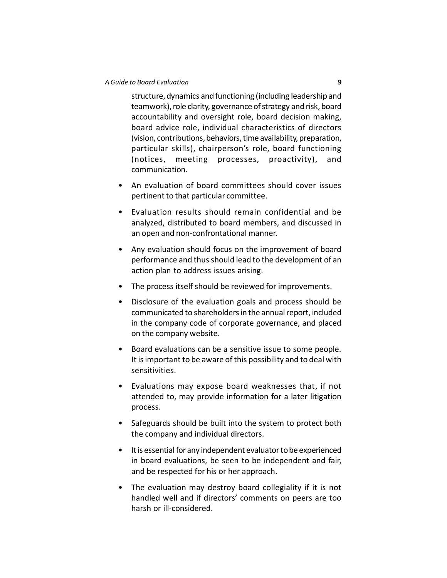#### *A Guide to Board Evaluation* **9**

structure, dynamics and functioning (including leadership and teamwork), role clarity, governance of strategy and risk, board accountability and oversight role, board decision making, board advice role, individual characteristics of directors (vision, contributions, behaviors, time availability, preparation, particular skills), chairperson's role, board functioning (notices, meeting processes, proactivity), and communication.

- An evaluation of board committees should cover issues pertinent to that particular committee.
- Evaluation results should remain confidential and be analyzed, distributed to board members, and discussed in an open and non-confrontational manner.
- Any evaluation should focus on the improvement of board performance and thus should lead to the development of an action plan to address issues arising.
- The process itself should be reviewed for improvements.
- Disclosure of the evaluation goals and process should be communicated to shareholders in the annual report, included in the company code of corporate governance, and placed on the company website.
- Board evaluations can be a sensitive issue to some people. It is important to be aware of this possibility and to deal with sensitivities.
- Evaluations may expose board weaknesses that, if not attended to, may provide information for a later litigation process.
- Safeguards should be built into the system to protect both the company and individual directors.
- It is essential for any independent evaluator to be experienced in board evaluations, be seen to be independent and fair, and be respected for his or her approach.
- The evaluation may destroy board collegiality if it is not handled well and if directors' comments on peers are too harsh or ill-considered.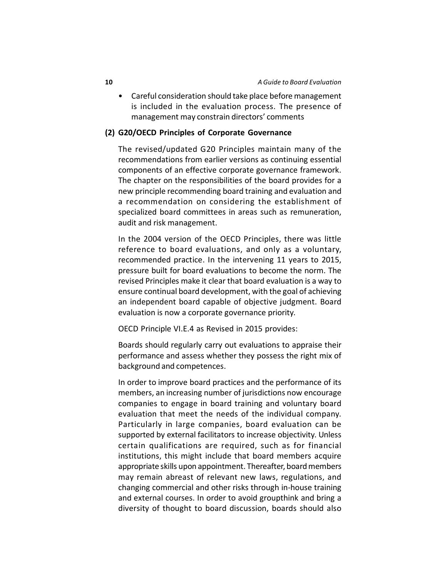• Careful consideration should take place before management is included in the evaluation process. The presence of management may constrain directors' comments

#### **(2) G20/OECD Principles of Corporate Governance**

The revised/updated G20 Principles maintain many of the recommendations from earlier versions as continuing essential components of an effective corporate governance framework. The chapter on the responsibilities of the board provides for a new principle recommending board training and evaluation and a recommendation on considering the establishment of specialized board committees in areas such as remuneration, audit and risk management.

In the 2004 version of the OECD Principles, there was little reference to board evaluations, and only as a voluntary, recommended practice. In the intervening 11 years to 2015, pressure built for board evaluations to become the norm. The revised Principles make it clear that board evaluation is a way to ensure continual board development, with the goal of achieving an independent board capable of objective judgment. Board evaluation is now a corporate governance priority.

OECD Principle VI.E.4 as Revised in 2015 provides:

Boards should regularly carry out evaluations to appraise their performance and assess whether they possess the right mix of background and competences.

In order to improve board practices and the performance of its members, an increasing number of jurisdictions now encourage companies to engage in board training and voluntary board evaluation that meet the needs of the individual company. Particularly in large companies, board evaluation can be supported by external facilitators to increase objectivity. Unless certain qualifications are required, such as for financial institutions, this might include that board members acquire appropriate skills upon appointment. Thereafter, board members may remain abreast of relevant new laws, regulations, and changing commercial and other risks through in-house training and external courses. In order to avoid groupthink and bring a diversity of thought to board discussion, boards should also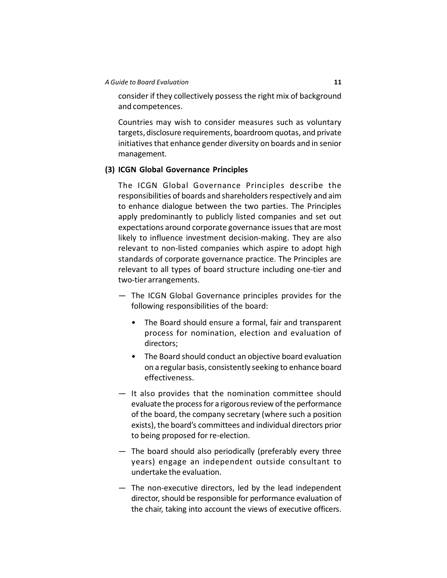#### *A Guide to Board Evaluation* **11**

consider if they collectively possess the right mix of background and competences.

Countries may wish to consider measures such as voluntary targets, disclosure requirements, boardroom quotas, and private initiatives that enhance gender diversity on boards and in senior management.

#### **(3) ICGN Global Governance Principles**

The ICGN Global Governance Principles describe the responsibilities of boards and shareholders respectively and aim to enhance dialogue between the two parties. The Principles apply predominantly to publicly listed companies and set out expectations around corporate governance issues that are most likely to influence investment decision-making. They are also relevant to non-listed companies which aspire to adopt high standards of corporate governance practice. The Principles are relevant to all types of board structure including one-tier and two-tier arrangements.

- The ICGN Global Governance principles provides for the following responsibilities of the board:
	- The Board should ensure a formal, fair and transparent process for nomination, election and evaluation of directors;
	- The Board should conduct an objective board evaluation on a regular basis, consistently seeking to enhance board effectiveness.
- It also provides that the nomination committee should evaluate the process for a rigorous review of the performance of the board, the company secretary (where such a position exists), the board's committees and individual directors prior to being proposed for re-election.
- The board should also periodically (preferably every three years) engage an independent outside consultant to undertake the evaluation.
- The non-executive directors, led by the lead independent director, should be responsible for performance evaluation of the chair, taking into account the views of executive officers.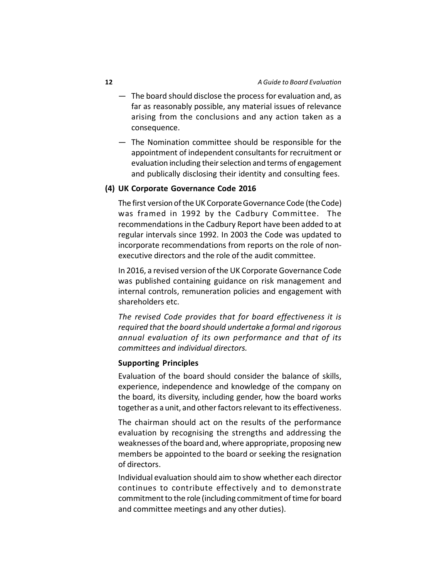- The board should disclose the process for evaluation and, as far as reasonably possible, any material issues of relevance arising from the conclusions and any action taken as a consequence.
- The Nomination committee should be responsible for the appointment of independent consultants for recruitment or evaluation including their selection and terms of engagement and publically disclosing their identity and consulting fees.

#### **(4) UK Corporate Governance Code 2016**

The first version of the UK Corporate Governance Code (the Code) was framed in 1992 by the Cadbury Committee. The recommendations in the Cadbury Report have been added to at regular intervals since 1992. In 2003 the Code was updated to incorporate recommendations from reports on the role of nonexecutive directors and the role of the audit committee.

In 2016, a revised version of the UK Corporate Governance Code was published containing guidance on risk management and internal controls, remuneration policies and engagement with shareholders etc.

*The revised Code provides that for board effectiveness it is required that the board should undertake a formal and rigorous annual evaluation of its own performance and that of its committees and individual directors.*

#### **Supporting Principles**

Evaluation of the board should consider the balance of skills, experience, independence and knowledge of the company on the board, its diversity, including gender, how the board works together as a unit, and other factors relevant to its effectiveness.

The chairman should act on the results of the performance evaluation by recognising the strengths and addressing the weaknesses of the board and, where appropriate, proposing new members be appointed to the board or seeking the resignation of directors.

Individual evaluation should aim to show whether each director continues to contribute effectively and to demonstrate commitment to the role (including commitment of time for board and committee meetings and any other duties).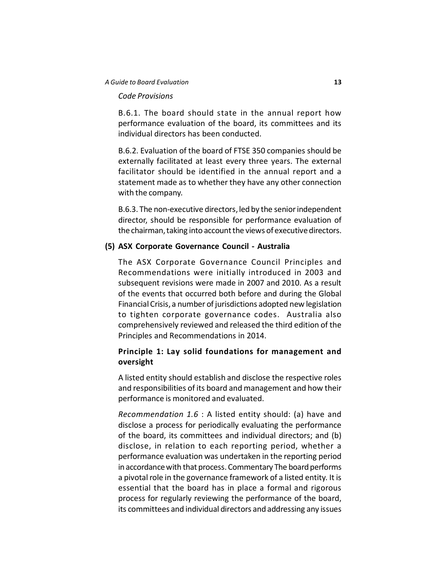#### *A Guide to Board Evaluation* **13**

#### *Code Provisions*

B.6.1. The board should state in the annual report how performance evaluation of the board, its committees and its individual directors has been conducted.

B.6.2. Evaluation of the board of FTSE 350 companies should be externally facilitated at least every three years. The external facilitator should be identified in the annual report and a statement made as to whether they have any other connection with the company.

B.6.3. The non-executive directors, led by the senior independent director, should be responsible for performance evaluation of the chairman, taking into account the views of executive directors.

#### **(5) ASX Corporate Governance Council - Australia**

The ASX Corporate Governance Council Principles and Recommendations were initially introduced in 2003 and subsequent revisions were made in 2007 and 2010. As a result of the events that occurred both before and during the Global Financial Crisis, a number of jurisdictions adopted new legislation to tighten corporate governance codes. Australia also comprehensively reviewed and released the third edition of the Principles and Recommendations in 2014.

# **Principle 1: Lay solid foundations for management and oversight**

A listed entity should establish and disclose the respective roles and responsibilities of its board and management and how their performance is monitored and evaluated.

*Recommendation 1.6* : A listed entity should: (a) have and disclose a process for periodically evaluating the performance of the board, its committees and individual directors; and (b) disclose, in relation to each reporting period, whether a performance evaluation was undertaken in the reporting period in accordance with that process. Commentary The board performs a pivotal role in the governance framework of a listed entity. It is essential that the board has in place a formal and rigorous process for regularly reviewing the performance of the board, its committees and individual directors and addressing any issues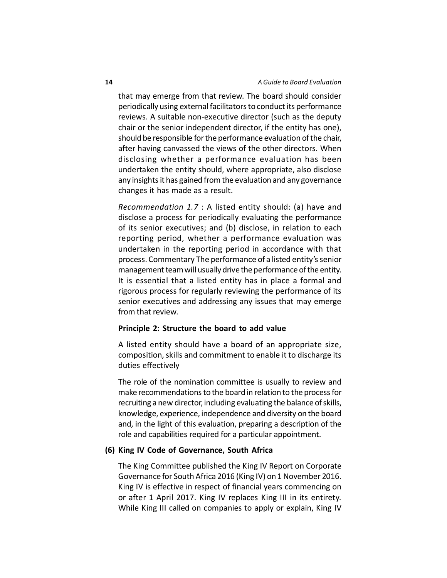that may emerge from that review. The board should consider periodically using external facilitators to conduct its performance reviews. A suitable non-executive director (such as the deputy chair or the senior independent director, if the entity has one), should be responsible for the performance evaluation of the chair, after having canvassed the views of the other directors. When disclosing whether a performance evaluation has been undertaken the entity should, where appropriate, also disclose any insights it has gained from the evaluation and any governance changes it has made as a result.

*Recommendation 1.7* : A listed entity should: (a) have and disclose a process for periodically evaluating the performance of its senior executives; and (b) disclose, in relation to each reporting period, whether a performance evaluation was undertaken in the reporting period in accordance with that process. Commentary The performance of a listed entity's senior management team will usually drive the performance of the entity. It is essential that a listed entity has in place a formal and rigorous process for regularly reviewing the performance of its senior executives and addressing any issues that may emerge from that review.

#### **Principle 2: Structure the board to add value**

A listed entity should have a board of an appropriate size, composition, skills and commitment to enable it to discharge its duties effectively

The role of the nomination committee is usually to review and make recommendations to the board in relation to the process for recruiting a new director, including evaluating the balance of skills, knowledge, experience, independence and diversity on the board and, in the light of this evaluation, preparing a description of the role and capabilities required for a particular appointment.

## **(6) King IV Code of Governance, South Africa**

The King Committee published the King IV Report on Corporate Governance for South Africa 2016 (King IV) on 1 November 2016. King IV is effective in respect of financial years commencing on or after 1 April 2017. King IV replaces King III in its entirety. While King III called on companies to apply or explain, King IV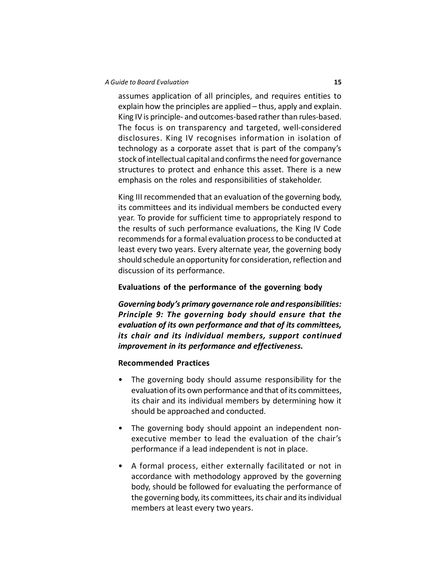#### *A Guide to Board Evaluation* **15**

assumes application of all principles, and requires entities to explain how the principles are applied – thus, apply and explain. King IV is principle- and outcomes-based rather than rules-based. The focus is on transparency and targeted, well-considered disclosures. King IV recognises information in isolation of technology as a corporate asset that is part of the company's stock of intellectual capital and confirms the need for governance structures to protect and enhance this asset. There is a new emphasis on the roles and responsibilities of stakeholder.

King III recommended that an evaluation of the governing body, its committees and its individual members be conducted every year. To provide for sufficient time to appropriately respond to the results of such performance evaluations, the King IV Code recommends for a formal evaluation process to be conducted at least every two years. Every alternate year, the governing body should schedule an opportunity for consideration, reflection and discussion of its performance.

#### **Evaluations of the performance of the governing body**

*Governing body's primary governance role and responsibilities: Principle 9: The governing body should ensure that the evaluation of its own performance and that of its committees, its chair and its individual members, support continued improvement in its performance and effectiveness.*

#### **Recommended Practices**

- The governing body should assume responsibility for the evaluation of its own performance and that of its committees, its chair and its individual members by determining how it should be approached and conducted.
- The governing body should appoint an independent nonexecutive member to lead the evaluation of the chair's performance if a lead independent is not in place.
- A formal process, either externally facilitated or not in accordance with methodology approved by the governing body, should be followed for evaluating the performance of the governing body, its committees, its chair and its individual members at least every two years.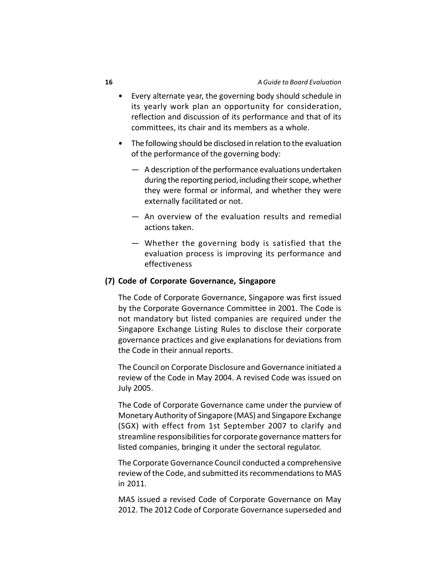- Every alternate year, the governing body should schedule in its yearly work plan an opportunity for consideration, reflection and discussion of its performance and that of its committees, its chair and its members as a whole.
- The following should be disclosed in relation to the evaluation of the performance of the governing body:
	- A description of the performance evaluations undertaken during the reporting period, including their scope, whether they were formal or informal, and whether they were externally facilitated or not.
	- An overview of the evaluation results and remedial actions taken.
	- Whether the governing body is satisfied that the evaluation process is improving its performance and effectiveness

#### **(7) Code of Corporate Governance, Singapore**

The Code of Corporate Governance, Singapore was first issued by the Corporate Governance Committee in 2001. The Code is not mandatory but listed companies are required under the Singapore Exchange Listing Rules to disclose their corporate governance practices and give explanations for deviations from the Code in their annual reports.

The Council on Corporate Disclosure and Governance initiated a review of the Code in May 2004. A revised Code was issued on July 2005.

The Code of Corporate Governance came under the purview of Monetary Authority of Singapore (MAS) and Singapore Exchange (SGX) with effect from 1st September 2007 to clarify and streamline responsibilities for corporate governance matters for listed companies, bringing it under the sectoral regulator.

The Corporate Governance Council conducted a comprehensive review of the Code, and submitted its recommendations to MAS in 2011.

MAS issued a revised Code of Corporate Governance on May 2012. The 2012 Code of Corporate Governance superseded and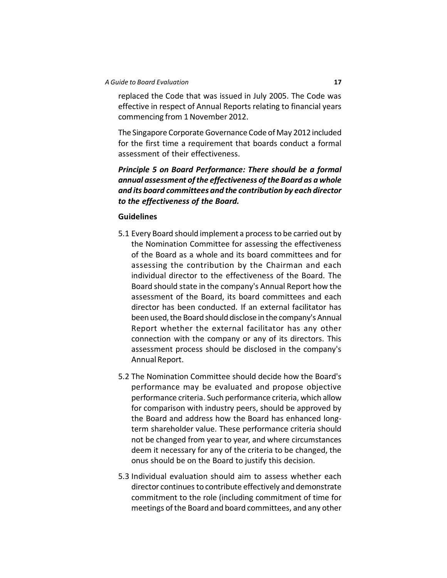replaced the Code that was issued in July 2005. The Code was effective in respect of Annual Reports relating to financial years commencing from 1 November 2012.

The Singapore Corporate Governance Code of May 2012 included for the first time a requirement that boards conduct a formal assessment of their effectiveness.

*Principle 5 on Board Performance: There should be a formal annual assessment of the effectiveness of the Board as a whole and its board committees and the contribution by each director to the effectiveness of the Board.*

#### **Guidelines**

- 5.1 Every Board should implement a process to be carried out by the Nomination Committee for assessing the effectiveness of the Board as a whole and its board committees and for assessing the contribution by the Chairman and each individual director to the effectiveness of the Board. The Board should state in the company's Annual Report how the assessment of the Board, its board committees and each director has been conducted. If an external facilitator has been used, the Board should disclose in the company's Annual Report whether the external facilitator has any other connection with the company or any of its directors. This assessment process should be disclosed in the company's Annual Report.
- 5.2 The Nomination Committee should decide how the Board's performance may be evaluated and propose objective performance criteria. Such performance criteria, which allow for comparison with industry peers, should be approved by the Board and address how the Board has enhanced longterm shareholder value. These performance criteria should not be changed from year to year, and where circumstances deem it necessary for any of the criteria to be changed, the onus should be on the Board to justify this decision.
- 5.3 Individual evaluation should aim to assess whether each director continues to contribute effectively and demonstrate commitment to the role (including commitment of time for meetings of the Board and board committees, and any other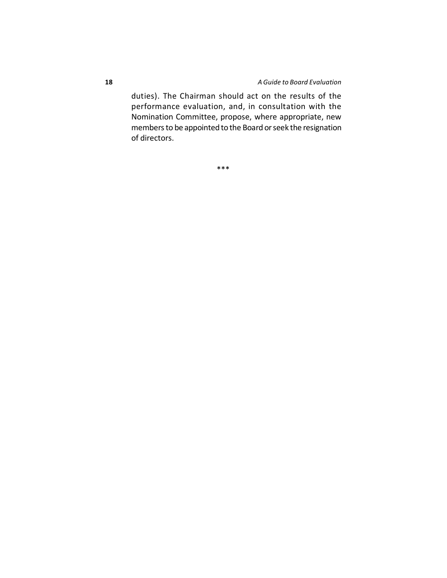duties). The Chairman should act on the results of the performance evaluation, and, in consultation with the Nomination Committee, propose, where appropriate, new members to be appointed to the Board or seek the resignation of directors.

\*\*\*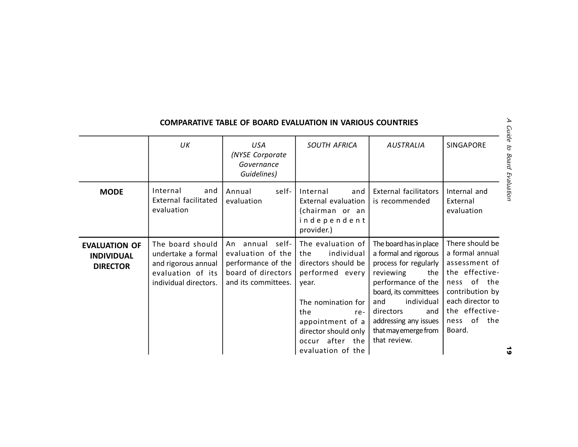|                                                              | UK                                                                                                          | <b>USA</b><br>(NYSE Corporate<br>Governance<br>Guidelines)                                                 | <b>SOUTH AFRICA</b>                                                                                                                                                                                                  | AUSTRALIA                                                                                                                                                                                                                                             | SINGAPORE                                                                                                                                                              |
|--------------------------------------------------------------|-------------------------------------------------------------------------------------------------------------|------------------------------------------------------------------------------------------------------------|----------------------------------------------------------------------------------------------------------------------------------------------------------------------------------------------------------------------|-------------------------------------------------------------------------------------------------------------------------------------------------------------------------------------------------------------------------------------------------------|------------------------------------------------------------------------------------------------------------------------------------------------------------------------|
| <b>MODE</b>                                                  | Internal<br>and<br><b>External facilitated</b><br>evaluation                                                | Annual<br>self-<br>evaluation                                                                              | Internal<br>and<br>External evaluation<br>(chairman or an<br>independent<br>provider.)                                                                                                                               | <b>External facilitators</b><br>is recommended                                                                                                                                                                                                        | Internal and<br>External<br>evaluation                                                                                                                                 |
| <b>EVALUATION OF</b><br><b>INDIVIDUAL</b><br><b>DIRECTOR</b> | The board should<br>undertake a formal<br>and rigorous annual<br>evaluation of its<br>individual directors. | annual self-<br>An<br>evaluation of the<br>performance of the<br>board of directors<br>and its committees. | The evaluation of<br>individual<br>the<br>directors should be<br>performed every<br>year.<br>The nomination for<br>the<br>re-<br>appointment of a<br>director should only<br>after the<br>occur<br>evaluation of the | The board has in place<br>a formal and rigorous<br>process for regularly<br>reviewing<br>the<br>performance of the<br>board, its committees<br>individual<br>and<br>directors<br>and<br>addressing any issues<br>that may emerge from<br>that review. | There should be<br>a formal annual<br>assessment of<br>the effective-<br>ness of the<br>contribution by<br>each director to<br>the effective-<br>ness of the<br>Board. |

# **COMPARATIVE TABLE OF BOARD EVALUATION IN VARIOUS COUNTRIES**

 $\vec{9}$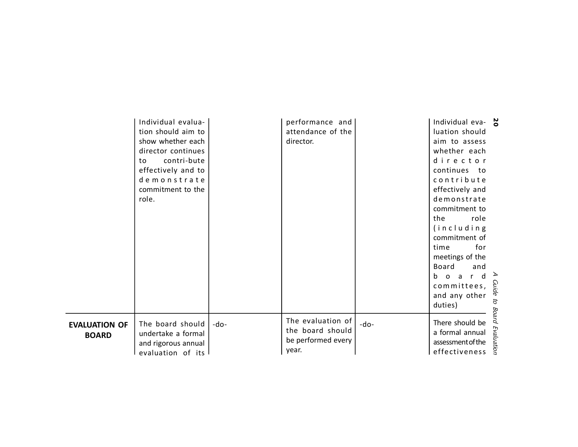|                                      | Individual evalua-<br>tion should aim to<br>show whether each<br>director continues<br>contri-bute<br>to<br>effectively and to<br>demonstrate<br>commitment to the<br>role. |        | performance and<br>attendance of the<br>director.                    |      | Individual eva- $\frac{1}{6}$<br>luation should<br>aim to assess<br>whether each<br>director<br>continues to<br>contribute<br>effectively and<br>demonstrate<br>commitment to<br>role<br>the<br>(including<br>commitment of<br>for<br>time<br>meetings of the<br>Board<br>and<br>board<br>committees,<br>and any other<br>duties) |                           |
|--------------------------------------|-----------------------------------------------------------------------------------------------------------------------------------------------------------------------------|--------|----------------------------------------------------------------------|------|-----------------------------------------------------------------------------------------------------------------------------------------------------------------------------------------------------------------------------------------------------------------------------------------------------------------------------------|---------------------------|
| <b>EVALUATION OF</b><br><b>BOARD</b> | The board should<br>undertake a formal<br>and rigorous annual<br>evaluation of its                                                                                          | $-do-$ | The evaluation of<br>the board should<br>be performed every<br>year. | -do- | There should be<br>a formal annual<br>assessment of the<br>effectiveness                                                                                                                                                                                                                                                          | Guide to Board Evaluation |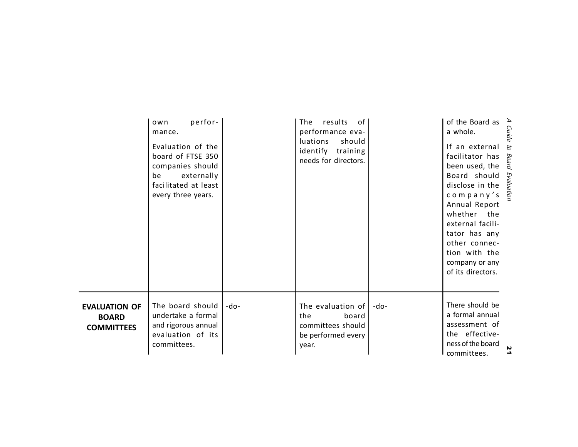|                                                           | perfor-<br>own<br>mance.<br>Evaluation of the<br>board of FTSE 350<br>companies should<br>externally<br>be<br>facilitated at least<br>every three years. |        | results<br>of<br>The.<br>performance eva-<br>should<br>luations<br>identify training<br>needs for directors. |      | of the Board as $\rightarrow$<br>a whole.<br>If an external<br>facilitator has<br>been used, the<br>Board should<br>disclose in the<br>company's grade<br>Annual Report<br>whether the<br>external facili-<br>tator has any<br>other connec-<br>tion with the<br>company or any<br>of its directors. | Guide<br>ą<br>Board |
|-----------------------------------------------------------|----------------------------------------------------------------------------------------------------------------------------------------------------------|--------|--------------------------------------------------------------------------------------------------------------|------|------------------------------------------------------------------------------------------------------------------------------------------------------------------------------------------------------------------------------------------------------------------------------------------------------|---------------------|
| <b>EVALUATION OF</b><br><b>BOARD</b><br><b>COMMITTEES</b> | The board should<br>undertake a formal<br>and rigorous annual<br>evaluation of its<br>committees.                                                        | $-do-$ | The evaluation of $\vert$<br>board<br>the<br>committees should<br>be performed every<br>year.                | -do- | There should be<br>a formal annual<br>assessment of<br>the effective-<br>ness of the board<br>committees.                                                                                                                                                                                            |                     |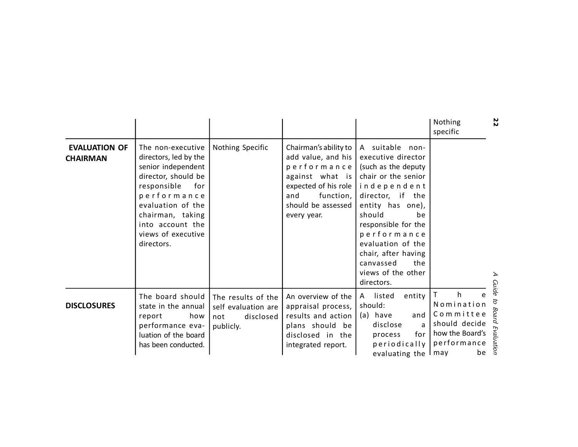|                                         |                                                                                                                                                                                                                               |                                                                            |                                                                                                                                                                |                                                                                                                                                                                                                                                                                                      | 22<br>Nothing<br>specific                                                                                                           |
|-----------------------------------------|-------------------------------------------------------------------------------------------------------------------------------------------------------------------------------------------------------------------------------|----------------------------------------------------------------------------|----------------------------------------------------------------------------------------------------------------------------------------------------------------|------------------------------------------------------------------------------------------------------------------------------------------------------------------------------------------------------------------------------------------------------------------------------------------------------|-------------------------------------------------------------------------------------------------------------------------------------|
| <b>EVALUATION OF</b><br><b>CHAIRMAN</b> | The non-executive<br>directors, led by the<br>senior independent<br>director, should be<br>responsible<br>for<br>performance<br>evaluation of the<br>chairman, taking<br>into account the<br>views of executive<br>directors. | Nothing Specific                                                           | Chairman's ability to<br>add value, and his<br>performance<br>against what is<br>expected of his role<br>and<br>function,<br>should be assessed<br>every year. | A suitable non-<br>executive director<br>(such as the deputy<br>chair or the senior<br>independent<br>director, if the<br>entity has one),<br>should<br>be<br>responsible for the<br>performance<br>evaluation of the<br>chair, after having<br>canvassed<br>the<br>views of the other<br>directors. | <b>Guide</b>                                                                                                                        |
| <b>DISCLOSURES</b>                      | The board should<br>state in the annual<br>report<br>how<br>performance eva-<br>luation of the board<br>has been conducted.                                                                                                   | The results of the<br>self evaluation are<br>disclosed<br>not<br>publicly. | An overview of the<br>appraisal process,<br>results and action<br>plans should be<br>disclosed in the<br>integrated report.                                    | listed<br>entity<br>A<br>should:<br>(a) have<br>and<br>disclose<br>for I<br>process<br>periodically<br>evaluating the $\mathsf{Imay}$                                                                                                                                                                | $\mathsf{T}$<br>h<br>e<br>g<br>Nomination<br>Board Evaluation<br>Committee<br>should decide<br>how the Board's<br>performance<br>be |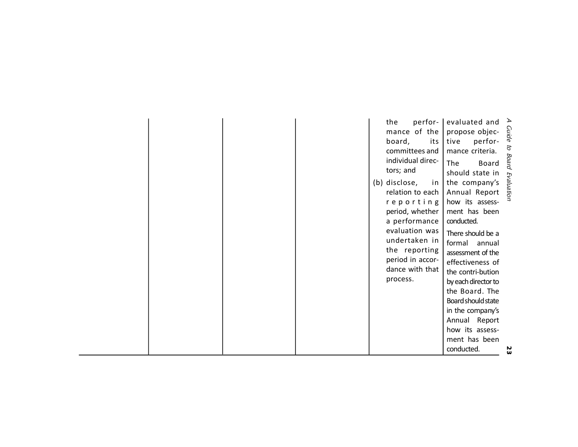|  |  | perfor-<br>the                 | evaluated and $\geq$                                 |            |
|--|--|--------------------------------|------------------------------------------------------|------------|
|  |  | mance of the<br>board,<br>its  | propose objec-<br>as tive perfor-<br>perfor-<br>tive |            |
|  |  | committees and                 | mance criteria.                                      |            |
|  |  | individual direc-<br>tors; and | The<br>Board<br>should state in                      | to Board   |
|  |  | (b) disclose,<br>in            | the company's                                        | Evaluation |
|  |  | relation to each               | Annual Report                                        |            |
|  |  | reporting                      | how its assess-                                      |            |
|  |  | period, whether                | ment has been                                        |            |
|  |  | a performance                  | conducted.                                           |            |
|  |  | evaluation was                 | There should be a                                    |            |
|  |  | undertaken in                  | formal<br>annual                                     |            |
|  |  | the reporting                  | assessment of the                                    |            |
|  |  | period in accor-               | effectiveness of                                     |            |
|  |  | dance with that                | the contri-bution                                    |            |
|  |  | process.                       | by each director to                                  |            |
|  |  |                                | the Board. The                                       |            |
|  |  |                                | Board should state                                   |            |
|  |  |                                | in the company's                                     |            |
|  |  |                                | Annual Report                                        |            |
|  |  |                                | how its assess-                                      |            |
|  |  |                                | ment has been                                        |            |
|  |  |                                | conducted.                                           | ш          |

23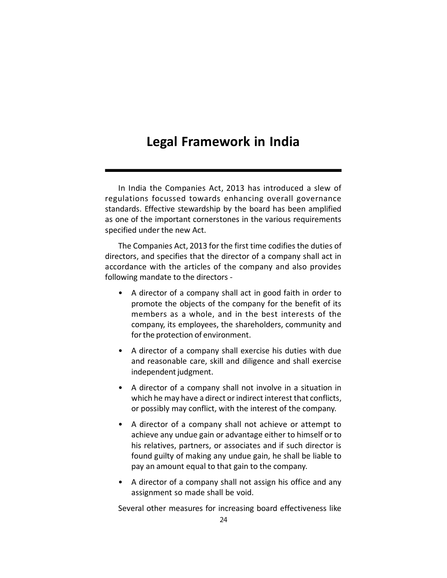# **Legal Framework in India**

In India the Companies Act, 2013 has introduced a slew of regulations focussed towards enhancing overall governance standards. Effective stewardship by the board has been amplified as one of the important cornerstones in the various requirements specified under the new Act.

The Companies Act, 2013 for the first time codifies the duties of directors, and specifies that the director of a company shall act in accordance with the articles of the company and also provides following mandate to the directors -

- A director of a company shall act in good faith in order to promote the objects of the company for the benefit of its members as a whole, and in the best interests of the company, its employees, the shareholders, community and for the protection of environment.
- A director of a company shall exercise his duties with due and reasonable care, skill and diligence and shall exercise independent judgment.
- A director of a company shall not involve in a situation in which he may have a direct or indirect interest that conflicts, or possibly may conflict, with the interest of the company.
- A director of a company shall not achieve or attempt to achieve any undue gain or advantage either to himself or to his relatives, partners, or associates and if such director is found guilty of making any undue gain, he shall be liable to pay an amount equal to that gain to the company.
- A director of a company shall not assign his office and any assignment so made shall be void.

Several other measures for increasing board effectiveness like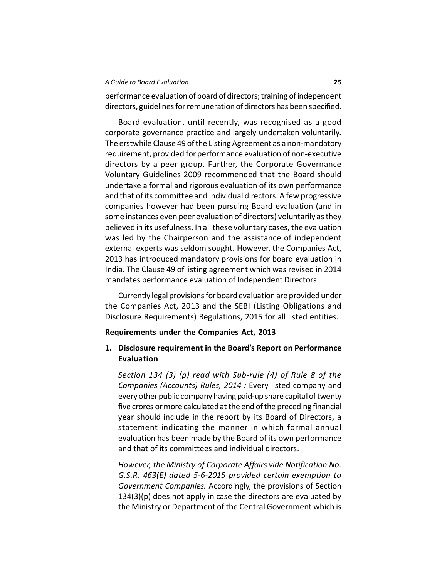#### *A Guide to Board Evaluation* **25**

performance evaluation of board of directors; training of independent directors, guidelines for remuneration of directors has been specified.

Board evaluation, until recently, was recognised as a good corporate governance practice and largely undertaken voluntarily. The erstwhile Clause 49 of the Listing Agreement as a non-mandatory requirement, provided for performance evaluation of non-executive directors by a peer group. Further, the Corporate Governance Voluntary Guidelines 2009 recommended that the Board should undertake a formal and rigorous evaluation of its own performance and that of its committee and individual directors. A few progressive companies however had been pursuing Board evaluation (and in some instances even peer evaluation of directors) voluntarily as they believed in its usefulness. In all these voluntary cases, the evaluation was led by the Chairperson and the assistance of independent external experts was seldom sought. However, the Companies Act, 2013 has introduced mandatory provisions for board evaluation in India. The Clause 49 of listing agreement which was revised in 2014 mandates performance evaluation of Independent Directors.

Currently legal provisions for board evaluation are provided under the Companies Act, 2013 and the SEBI (Listing Obligations and Disclosure Requirements) Regulations, 2015 for all listed entities.

#### **Requirements under the Companies Act, 2013**

# **1. Disclosure requirement in the Board's Report on Performance Evaluation**

*Section 134 (3) (p) read with Sub-rule (4) of Rule 8 of the Companies (Accounts) Rules, 2014 :* Every listed company and every other public company having paid-up share capital of twenty five crores or more calculated at the end of the preceding financial year should include in the report by its Board of Directors, a statement indicating the manner in which formal annual evaluation has been made by the Board of its own performance and that of its committees and individual directors.

*However, the Ministry of Corporate Affairs vide Notification No. G.S.R. 463(E) dated 5-6-2015 provided certain exemption to Government Companies.* Accordingly, the provisions of Section  $134(3)(p)$  does not apply in case the directors are evaluated by the Ministry or Department of the Central Government which is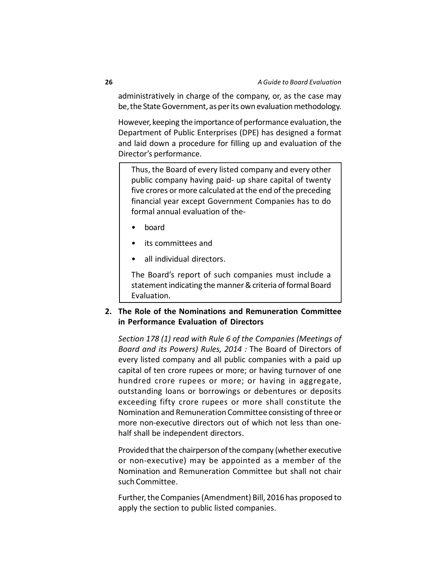administratively in charge of the company, or, as the case may be, the State Government, as per its own evaluation methodology.

However, keeping the importance of performance evaluation, the Department of Public Enterprises (DPE) has designed a format and laid down a procedure for filling up and evaluation of the Director's performance.

Thus, the Board of every listed company and every other public company having paid- up share capital of twenty five crores or more calculated at the end of the preceding financial year except Government Companies has to do formal annual evaluation of the-

- board
- its committees and
- all individual directors.

The Board's report of such companies must include a statement indicating the manner & criteria of formal Board Evaluation.

# **2. The Role of the Nominations and Remuneration Committee in Performance Evaluation of Directors**

*Section 178 (1) read with Rule 6 of the Companies (Meetings of Board and its Powers) Rules, 2014 :* The Board of Directors of every listed company and all public companies with a paid up capital of ten crore rupees or more; or having turnover of one hundred crore rupees or more; or having in aggregate, outstanding loans or borrowings or debentures or deposits exceeding fifty crore rupees or more shall constitute the Nomination and Remuneration Committee consisting of three or more non-executive directors out of which not less than onehalf shall be independent directors.

Provided that the chairperson of the company (whether executive or non-executive) may be appointed as a member of the Nomination and Remuneration Committee but shall not chair such Committee.

Further, the Companies (Amendment) Bill, 2016 has proposed to apply the section to public listed companies.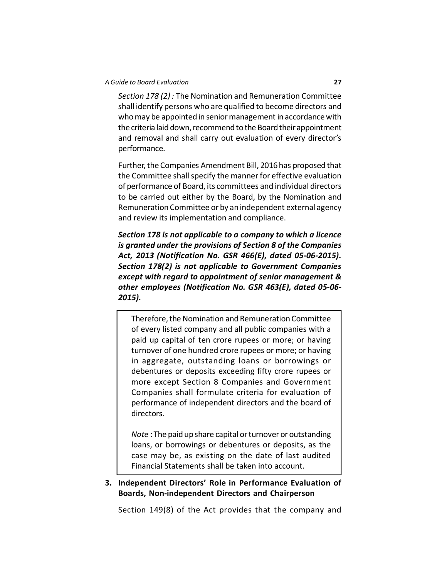*Section 178 (2) :* The Nomination and Remuneration Committee shall identify persons who are qualified to become directors and who may be appointed in senior management in accordance with the criteria laid down, recommend to the Board their appointment and removal and shall carry out evaluation of every director's performance.

Further, the Companies Amendment Bill, 2016 has proposed that the Committee shall specify the manner for effective evaluation of performance of Board, its committees and individual directors to be carried out either by the Board, by the Nomination and Remuneration Committee or by an independent external agency and review its implementation and compliance.

*Section 178 is not applicable to a company to which a licence is granted under the provisions of Section 8 of the Companies Act, 2013 (Notification No. GSR 466(E), dated 05-06-2015). Section 178(2) is not applicable to Government Companies except with regard to appointment of senior management & other employees (Notification No. GSR 463(E), dated 05-06- 2015).*

Therefore, the Nomination and Remuneration Committee of every listed company and all public companies with a paid up capital of ten crore rupees or more; or having turnover of one hundred crore rupees or more; or having in aggregate, outstanding loans or borrowings or debentures or deposits exceeding fifty crore rupees or more except Section 8 Companies and Government Companies shall formulate criteria for evaluation of performance of independent directors and the board of directors.

*Note* : The paid up share capital or turnover or outstanding loans, or borrowings or debentures or deposits, as the case may be, as existing on the date of last audited Financial Statements shall be taken into account.

# **3. Independent Directors' Role in Performance Evaluation of Boards, Non-independent Directors and Chairperson**

Section 149(8) of the Act provides that the company and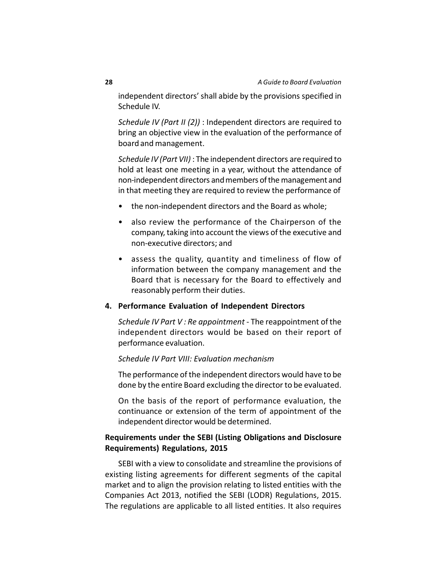independent directors' shall abide by the provisions specified in Schedule IV.

*Schedule IV (Part II (2))* : Independent directors are required to bring an objective view in the evaluation of the performance of board and management.

*Schedule IV (Part VII)* : The independent directors are required to hold at least one meeting in a year, without the attendance of non-independent directors and members of the management and in that meeting they are required to review the performance of

- the non-independent directors and the Board as whole;
- also review the performance of the Chairperson of the company, taking into account the views of the executive and non-executive directors; and
- assess the quality, quantity and timeliness of flow of information between the company management and the Board that is necessary for the Board to effectively and reasonably perform their duties.

#### **4. Performance Evaluation of Independent Directors**

*Schedule IV Part V : Re appointment* - The reappointment of the independent directors would be based on their report of performance evaluation.

#### *Schedule IV Part VIII: Evaluation mechanism*

The performance of the independent directors would have to be done by the entire Board excluding the director to be evaluated.

On the basis of the report of performance evaluation, the continuance or extension of the term of appointment of the independent director would be determined.

# **Requirements under the SEBI (Listing Obligations and Disclosure Requirements) Regulations, 2015**

SEBI with a view to consolidate and streamline the provisions of existing listing agreements for different segments of the capital market and to align the provision relating to listed entities with the Companies Act 2013, notified the SEBI (LODR) Regulations, 2015. The regulations are applicable to all listed entities. It also requires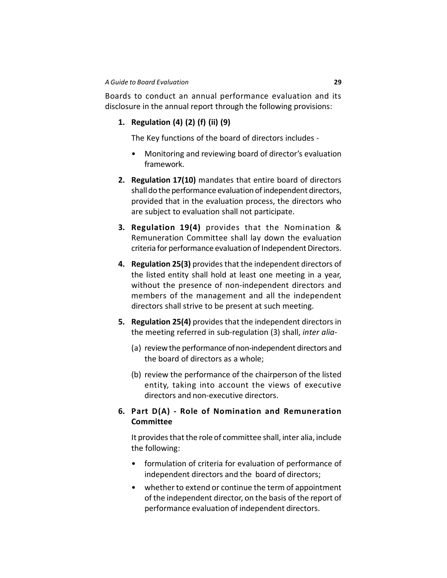Boards to conduct an annual performance evaluation and its disclosure in the annual report through the following provisions:

## **1. Regulation (4) (2) (f) (ii) (9)**

The Key functions of the board of directors includes -

- Monitoring and reviewing board of director's evaluation framework.
- **2. Regulation 17(10)** mandates that entire board of directors shall do the performance evaluation of independent directors, provided that in the evaluation process, the directors who are subject to evaluation shall not participate.
- **3. Regulation 19(4)** provides that the Nomination & Remuneration Committee shall lay down the evaluation criteria for performance evaluation of Independent Directors.
- **4. Regulation 25(3)** provides that the independent directors of the listed entity shall hold at least one meeting in a year, without the presence of non-independent directors and members of the management and all the independent directors shall strive to be present at such meeting.
- **5. Regulation 25(4)** provides that the independent directors in the meeting referred in sub-regulation (3) shall, *inter alia*-
	- (a) review the performance of non-independent directors and the board of directors as a whole;
	- (b) review the performance of the chairperson of the listed entity, taking into account the views of executive directors and non-executive directors.

## **6. Part D(A) - Role of Nomination and Remuneration Committee**

It provides that the role of committee shall, inter alia, include the following:

- formulation of criteria for evaluation of performance of independent directors and the board of directors;
- whether to extend or continue the term of appointment of the independent director, on the basis of the report of performance evaluation of independent directors.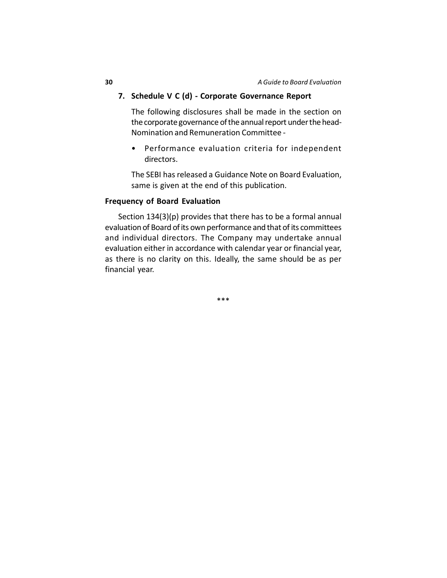## **7. Schedule V C (d) - Corporate Governance Report**

The following disclosures shall be made in the section on the corporate governance of the annual report under the head-Nomination and Remuneration Committee -

• Performance evaluation criteria for independent directors.

The SEBI has released a Guidance Note on Board Evaluation, same is given at the end of this publication.

#### **Frequency of Board Evaluation**

Section 134(3)(p) provides that there has to be a formal annual evaluation of Board of its own performance and that of its committees and individual directors. The Company may undertake annual evaluation either in accordance with calendar year or financial year, as there is no clarity on this. Ideally, the same should be as per financial year.

\*\*\*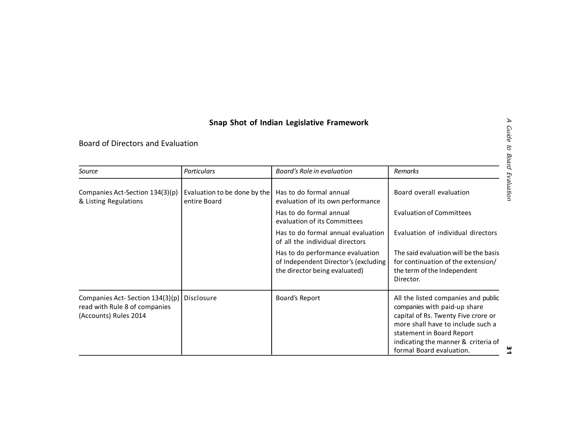## **Snap Shot of Indian Legislative Framework**

Board of Directors and Evaluation

| Source                                                                                    | <b>Particulars</b>                           | Board's Role in evaluation                                                                                | <b>Remarks</b>                                                                                                                                                                                                                                  |
|-------------------------------------------------------------------------------------------|----------------------------------------------|-----------------------------------------------------------------------------------------------------------|-------------------------------------------------------------------------------------------------------------------------------------------------------------------------------------------------------------------------------------------------|
| Companies Act-Section 134(3)(p)<br>& Listing Regulations                                  | Evaluation to be done by the<br>entire Board | Has to do formal annual<br>evaluation of its own performance                                              | Board overall evaluation                                                                                                                                                                                                                        |
|                                                                                           |                                              | Has to do formal annual<br>evaluation of its Committees                                                   | <b>Evaluation of Committees</b>                                                                                                                                                                                                                 |
|                                                                                           |                                              | Has to do formal annual evaluation<br>of all the individual directors                                     | Evaluation of individual directors                                                                                                                                                                                                              |
|                                                                                           |                                              | Has to do performance evaluation<br>of Independent Director's (excluding<br>the director being evaluated) | The said evaluation will be the basis<br>for continuation of the extension/<br>the term of the Independent<br>Director.                                                                                                                         |
| Companies Act-Section 134(3)(p)<br>read with Rule 8 of companies<br>(Accounts) Rules 2014 | Disclosure                                   | Board's Report                                                                                            | All the listed companies and public<br>companies with paid-up share<br>capital of Rs. Twenty Five crore or<br>more shall have to include such a<br>statement in Board Report<br>indicating the manner & criteria of<br>formal Board evaluation. |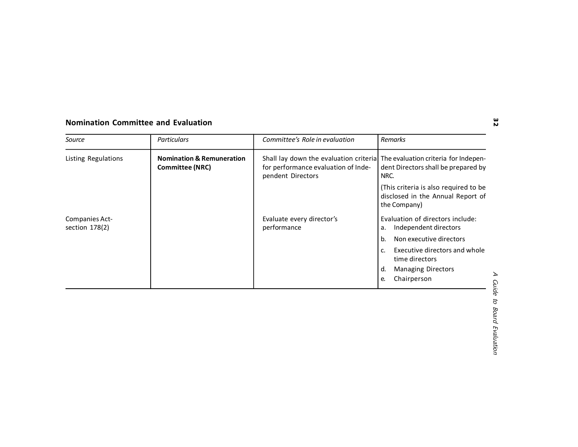## **Nomination Committee and Evaluation**

| Source                             | <b>Particulars</b>                                             | Committee's Role in evaluation                                                                                                           | <b>Remarks</b>                                                                             |
|------------------------------------|----------------------------------------------------------------|------------------------------------------------------------------------------------------------------------------------------------------|--------------------------------------------------------------------------------------------|
| Listing Regulations                | <b>Nomination &amp; Remuneration</b><br><b>Committee (NRC)</b> | Shall lay down the evaluation criterial The evaluation criteria for Indepen-<br>for performance evaluation of Inde-<br>pendent Directors | dent Directors shall be prepared by<br>NRC.                                                |
|                                    |                                                                |                                                                                                                                          | (This criteria is also required to be<br>disclosed in the Annual Report of<br>the Company) |
| Companies Act-<br>section $178(2)$ |                                                                | Evaluate every director's<br>performance                                                                                                 | Evaluation of directors include:<br>Independent directors<br>a.                            |
|                                    |                                                                |                                                                                                                                          | Non executive directors<br>b.                                                              |
|                                    |                                                                |                                                                                                                                          | Executive directors and whole<br>c.<br>time directors                                      |
|                                    |                                                                |                                                                                                                                          | d.<br><b>Managing Directors</b>                                                            |
|                                    |                                                                |                                                                                                                                          | Chairperson<br>е.                                                                          |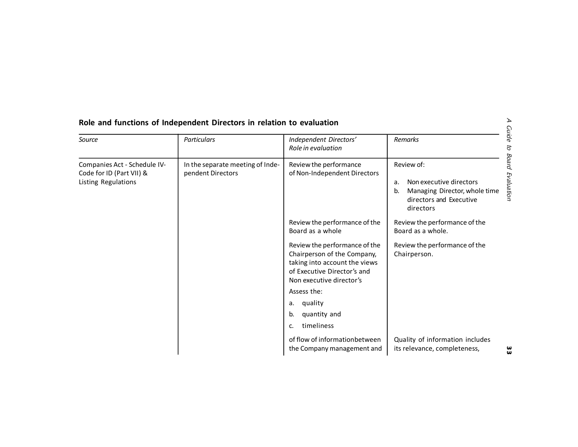| ℶ<br>Role and functions of Independent Directors in relation to evaluation<br><b>Guide</b> |                                                       |                                                                                                                                                                                                                              |                                                                                                                            |
|--------------------------------------------------------------------------------------------|-------------------------------------------------------|------------------------------------------------------------------------------------------------------------------------------------------------------------------------------------------------------------------------------|----------------------------------------------------------------------------------------------------------------------------|
| Source                                                                                     | Particulars                                           | Independent Directors'<br>Role in evaluation                                                                                                                                                                                 | Remarks                                                                                                                    |
| Companies Act - Schedule IV-<br>Code for ID (Part VII) &<br>Listing Regulations            | In the separate meeting of Inde-<br>pendent Directors | Review the performance<br>of Non-Independent Directors                                                                                                                                                                       | Review of:<br>Non executive directors<br>a.<br>Managing Director, whole time<br>b.<br>directors and Executive<br>directors |
|                                                                                            |                                                       | Review the performance of the<br>Board as a whole<br>Review the performance of the<br>Chairperson of the Company,<br>taking into account the views<br>of Executive Director's and<br>Non executive director's<br>Assess the: | Review the performance of the<br>Board as a whole.<br>Review the performance of the<br>Chairperson.                        |
|                                                                                            |                                                       | quality<br>a.<br>quantity and<br>b.<br>timeliness<br>c.<br>of flow of informationbetween<br>the Company management and                                                                                                       | Quality of information includes<br>its relevance, completeness,                                                            |

## **Role and functions of Independent Directors in relation to evaluation**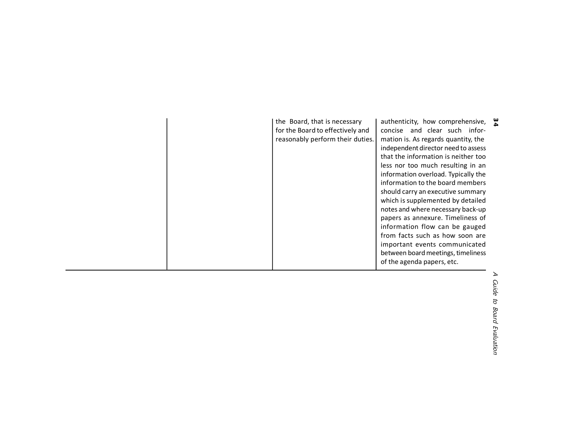| the Board, that is necessary<br>for the Board to effectively and<br>reasonably perform their duties. | authenticity, how comprehensive, $\frac{\omega}{\Delta}$<br>concise and clear such infor-<br>mation is. As regards quantity, the<br>independent director need to assess<br>that the information is neither too<br>less nor too much resulting in an<br>information overload. Typically the<br>information to the board members<br>should carry an executive summary<br>which is supplemented by detailed<br>notes and where necessary back-up<br>papers as annexure. Timeliness of<br>information flow can be gauged<br>from facts such as how soon are<br>important events communicated<br>between board meetings, timeliness<br>of the agenda papers, etc. |  |
|------------------------------------------------------------------------------------------------------|--------------------------------------------------------------------------------------------------------------------------------------------------------------------------------------------------------------------------------------------------------------------------------------------------------------------------------------------------------------------------------------------------------------------------------------------------------------------------------------------------------------------------------------------------------------------------------------------------------------------------------------------------------------|--|
|------------------------------------------------------------------------------------------------------|--------------------------------------------------------------------------------------------------------------------------------------------------------------------------------------------------------------------------------------------------------------------------------------------------------------------------------------------------------------------------------------------------------------------------------------------------------------------------------------------------------------------------------------------------------------------------------------------------------------------------------------------------------------|--|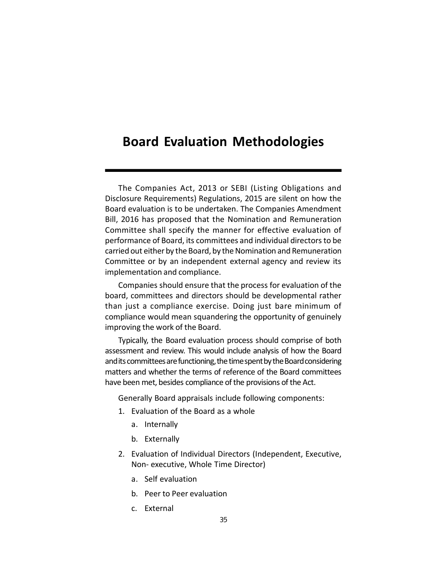# **Board Evaluation Methodologies**

The Companies Act, 2013 or SEBI (Listing Obligations and Disclosure Requirements) Regulations, 2015 are silent on how the Board evaluation is to be undertaken. The Companies Amendment Bill, 2016 has proposed that the Nomination and Remuneration Committee shall specify the manner for effective evaluation of performance of Board, its committees and individual directors to be carried out either by the Board, by the Nomination and Remuneration Committee or by an independent external agency and review its implementation and compliance.

Companies should ensure that the process for evaluation of the board, committees and directors should be developmental rather than just a compliance exercise. Doing just bare minimum of compliance would mean squandering the opportunity of genuinely improving the work of the Board.

Typically, the Board evaluation process should comprise of both assessment and review. This would include analysis of how the Board and its committees are functioning, the time spent by the Board considering matters and whether the terms of reference of the Board committees have been met, besides compliance of the provisions of the Act.

Generally Board appraisals include following components:

- 1. Evaluation of the Board as a whole
	- a. Internally
	- b. Externally
- 2. Evaluation of Individual Directors (Independent, Executive, Non- executive, Whole Time Director)
	- a. Self evaluation
	- b. Peer to Peer evaluation
	- c. External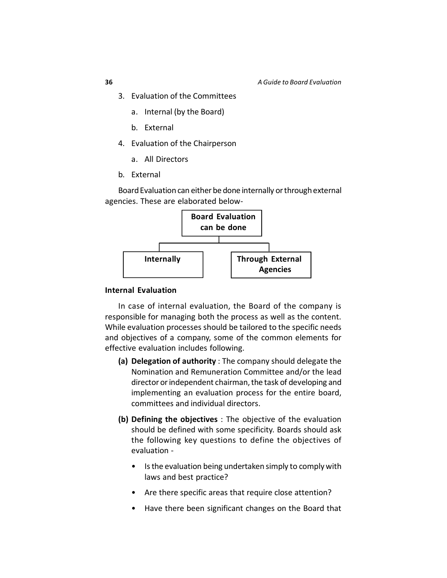- 3. Evaluation of the Committees
	- a. Internal (by the Board)
	- b. External
- 4. Evaluation of the Chairperson
	- a. All Directors
- b. External

Board Evaluation can either be done internally or through external agencies. These are elaborated below-



#### **Internal Evaluation**

In case of internal evaluation, the Board of the company is responsible for managing both the process as well as the content. While evaluation processes should be tailored to the specific needs and objectives of a company, some of the common elements for effective evaluation includes following.

- **(a) Delegation of authority** : The company should delegate the Nomination and Remuneration Committee and/or the lead director or independent chairman, the task of developing and implementing an evaluation process for the entire board, committees and individual directors.
- **(b) Defining the objectives** : The objective of the evaluation should be defined with some specificity. Boards should ask the following key questions to define the objectives of evaluation -
	- Is the evaluation being undertaken simply to comply with laws and best practice?
	- Are there specific areas that require close attention?
	- Have there been significant changes on the Board that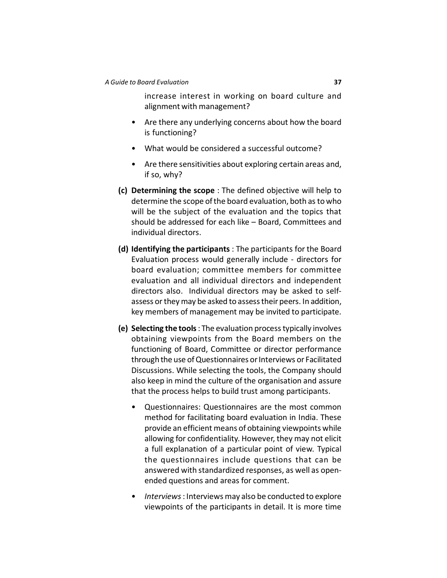increase interest in working on board culture and alignment with management?

- Are there any underlying concerns about how the board is functioning?
- What would be considered a successful outcome?
- Are there sensitivities about exploring certain areas and, if so, why?
- **(c) Determining the scope** : The defined objective will help to determine the scope of the board evaluation, both as to who will be the subject of the evaluation and the topics that should be addressed for each like – Board, Committees and individual directors.
- **(d) Identifying the participants** : The participants for the Board Evaluation process would generally include - directors for board evaluation; committee members for committee evaluation and all individual directors and independent directors also. Individual directors may be asked to selfassess or they may be asked to assess their peers. In addition, key members of management may be invited to participate.
- **(e) Selecting the tools** : The evaluation process typically involves obtaining viewpoints from the Board members on the functioning of Board, Committee or director performance through the use of Questionnaires or Interviews or Facilitated Discussions. While selecting the tools, the Company should also keep in mind the culture of the organisation and assure that the process helps to build trust among participants.
	- Questionnaires: Questionnaires are the most common method for facilitating board evaluation in India. These provide an efficient means of obtaining viewpoints while allowing for confidentiality. However, they may not elicit a full explanation of a particular point of view. Typical the questionnaires include questions that can be answered with standardized responses, as well as openended questions and areas for comment.
	- *Interviews* : Interviews may also be conducted to explore viewpoints of the participants in detail. It is more time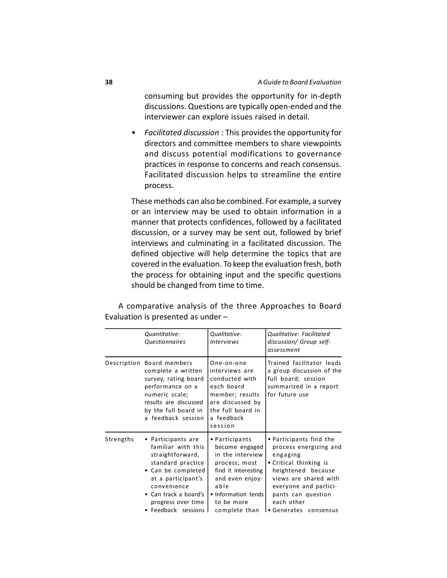consuming but provides the opportunity for in-depth discussions. Questions are typically open-ended and the interviewer can explore issues raised in detail.

• *Facilitated discussion* : This provides the opportunity for directors and committee members to share viewpoints and discuss potential modifications to governance practices in response to concerns and reach consensus. Facilitated discussion helps to streamline the entire process.

These methods can also be combined. For example, a survey or an interview may be used to obtain information in a manner that protects confidences, followed by a facilitated discussion, or a survey may be sent out, followed by brief interviews and culminating in a facilitated discussion. The defined objective will help determine the topics that are covered in the evaluation. To keep the evaluation fresh, both the process for obtaining input and the specific questions should be changed from time to time.

A comparative analysis of the three Approaches to Board Evaluation is presented as under –

|           | Quantitative:<br><b>Questionnaires</b>                                                                                                                                                                             | Qualitative:<br><b>Interviews</b>                                                                                                                                             | Qualitative: Facilitated<br>discussion/ Group self-<br>assessment                                                                                                                                                            |
|-----------|--------------------------------------------------------------------------------------------------------------------------------------------------------------------------------------------------------------------|-------------------------------------------------------------------------------------------------------------------------------------------------------------------------------|------------------------------------------------------------------------------------------------------------------------------------------------------------------------------------------------------------------------------|
|           | Description Board members<br>complete a written<br>survey, rating board<br>performance on a<br>numeric scale;<br>results are discussed<br>by the full board in<br>a feedback session                               | One-on-one<br>interviews are<br>conducted with<br>each board<br>member; results<br>are discussed by<br>the full board in<br>a feedback<br>session                             | Trained facilitator leads<br>a group discussion of the<br>full board; session<br>summarized in a report<br>for future use                                                                                                    |
| Strengths | • Participants are<br>familiar with this<br>straightforward,<br>standard practice<br>• Can be completed<br>at a participant's<br>convenience<br>• Can track a board's<br>progress over time<br>• Feedback sessions | • Participants<br>become engaged<br>in the interview<br>process; most<br>find it interesting<br>and even enjoy-<br>able<br>• Information tends<br>to be more<br>complete than | • Participants find the<br>process energizing and<br>engaging<br>• Critical thinking is<br>heightened because<br>views are shared with<br>everyone and partici-<br>pants can question<br>each other<br>• Generates consensus |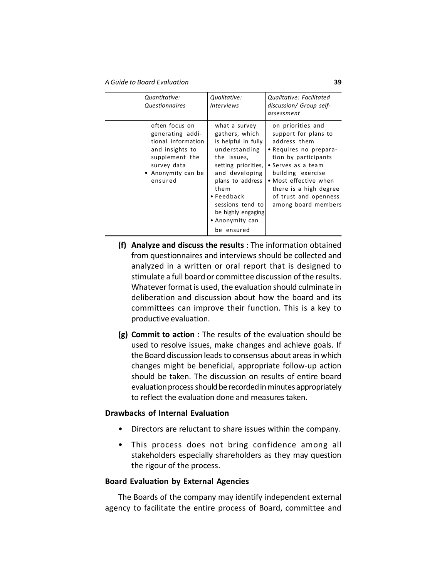*A Guide to Board Evaluation* **39**

| Quantitative:<br><i><u><b>Questionnaires</b></u></i>                                                                                          | Qualitative:<br><b>Interviews</b>                                                                                                                                                                                                                            | Qualitative: Facilitated<br>discussion/ Group self-<br>assessment                                                                                                                                                                                         |
|-----------------------------------------------------------------------------------------------------------------------------------------------|--------------------------------------------------------------------------------------------------------------------------------------------------------------------------------------------------------------------------------------------------------------|-----------------------------------------------------------------------------------------------------------------------------------------------------------------------------------------------------------------------------------------------------------|
| often focus on<br>generating addi-<br>tional information<br>and insights to<br>supplement the<br>survey data<br>• Anonymity can be<br>ensured | what a survey<br>gathers, which<br>is helpful in fully<br>understanding<br>the issues,<br>setting priorities,<br>and developing<br>plans to address<br>them<br>$\bullet$ Feedback<br>sessions tend to<br>be highly engaging<br>• Anonymity can<br>be ensured | on priorities and<br>support for plans to<br>address them<br>• Requires no prepara-<br>tion by participants<br>• Serves as a team<br>building exercise<br>• Most effective when<br>there is a high degree<br>of trust and openness<br>among board members |
|                                                                                                                                               |                                                                                                                                                                                                                                                              |                                                                                                                                                                                                                                                           |

- **(f) Analyze and discuss the results** : The information obtained from questionnaires and interviews should be collected and analyzed in a written or oral report that is designed to stimulate a full board or committee discussion of the results. Whatever format is used, the evaluation should culminate in deliberation and discussion about how the board and its committees can improve their function. This is a key to productive evaluation.
- **(g) Commit to action** : The results of the evaluation should be used to resolve issues, make changes and achieve goals. If the Board discussion leads to consensus about areas in which changes might be beneficial, appropriate follow-up action should be taken. The discussion on results of entire board evaluation process should be recorded in minutes appropriately to reflect the evaluation done and measures taken.

## **Drawbacks of Internal Evaluation**

- Directors are reluctant to share issues within the company.
- This process does not bring confidence among all stakeholders especially shareholders as they may question the rigour of the process.

## **Board Evaluation by External Agencies**

The Boards of the company may identify independent external agency to facilitate the entire process of Board, committee and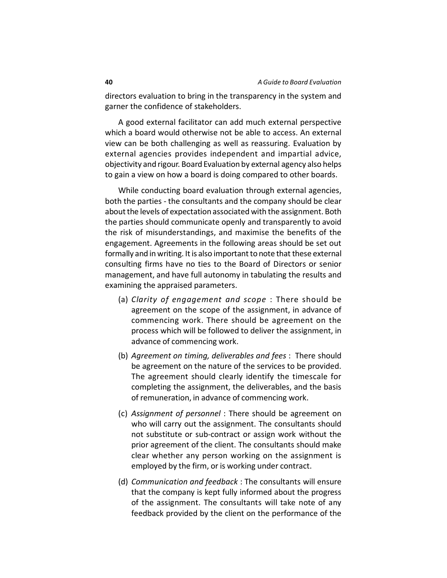directors evaluation to bring in the transparency in the system and garner the confidence of stakeholders.

A good external facilitator can add much external perspective which a board would otherwise not be able to access. An external view can be both challenging as well as reassuring. Evaluation by external agencies provides independent and impartial advice, objectivity and rigour. Board Evaluation by external agency also helps to gain a view on how a board is doing compared to other boards.

While conducting board evaluation through external agencies, both the parties - the consultants and the company should be clear about the levels of expectation associated with the assignment. Both the parties should communicate openly and transparently to avoid the risk of misunderstandings, and maximise the benefits of the engagement. Agreements in the following areas should be set out formally and in writing. It is also important to note that these external consulting firms have no ties to the Board of Directors or senior management, and have full autonomy in tabulating the results and examining the appraised parameters.

- (a) *Clarity of engagement and scope* : There should be agreement on the scope of the assignment, in advance of commencing work. There should be agreement on the process which will be followed to deliver the assignment, in advance of commencing work.
- (b) *Agreement on timing, deliverables and fees* : There should be agreement on the nature of the services to be provided. The agreement should clearly identify the timescale for completing the assignment, the deliverables, and the basis of remuneration, in advance of commencing work.
- (c) *Assignment of personnel* : There should be agreement on who will carry out the assignment. The consultants should not substitute or sub-contract or assign work without the prior agreement of the client. The consultants should make clear whether any person working on the assignment is employed by the firm, or is working under contract.
- (d) *Communication and feedback* : The consultants will ensure that the company is kept fully informed about the progress of the assignment. The consultants will take note of any feedback provided by the client on the performance of the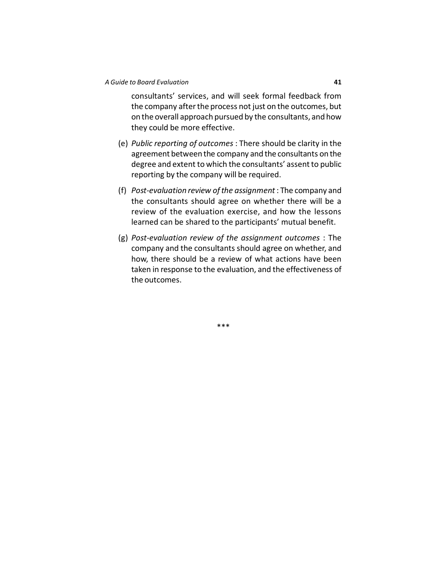consultants' services, and will seek formal feedback from the company after the process not just on the outcomes, but on the overall approach pursued by the consultants, and how they could be more effective.

- (e) *Public reporting of outcomes* : There should be clarity in the agreement between the company and the consultants on the degree and extent to which the consultants' assent to public reporting by the company will be required.
- (f) *Post-evaluation review of the assignment* : The company and the consultants should agree on whether there will be a review of the evaluation exercise, and how the lessons learned can be shared to the participants' mutual benefit.
- (g) *Post-evaluation review of the assignment outcomes* : The company and the consultants should agree on whether, and how, there should be a review of what actions have been taken in response to the evaluation, and the effectiveness of the outcomes.

\*\*\*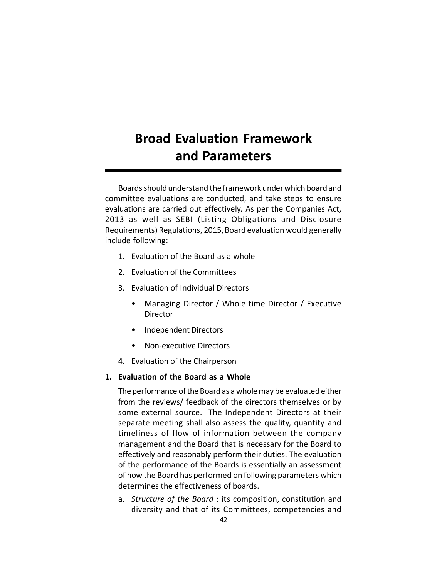# **Broad Evaluation Framework and Parameters**

Boards should understand the framework under which board and committee evaluations are conducted, and take steps to ensure evaluations are carried out effectively. As per the Companies Act, 2013 as well as SEBI (Listing Obligations and Disclosure Requirements) Regulations, 2015, Board evaluation would generally include following:

- 1. Evaluation of the Board as a whole
- 2. Evaluation of the Committees
- 3. Evaluation of Individual Directors
	- Managing Director / Whole time Director / Executive **Director**
	- Independent Directors
	- Non-executive Directors
- 4. Evaluation of the Chairperson

## **1. Evaluation of the Board as a Whole**

The performance of the Board as a whole may be evaluated either from the reviews/ feedback of the directors themselves or by some external source. The Independent Directors at their separate meeting shall also assess the quality, quantity and timeliness of flow of information between the company management and the Board that is necessary for the Board to effectively and reasonably perform their duties. The evaluation of the performance of the Boards is essentially an assessment of how the Board has performed on following parameters which determines the effectiveness of boards.

a. *Structure of the Board* : its composition, constitution and diversity and that of its Committees, competencies and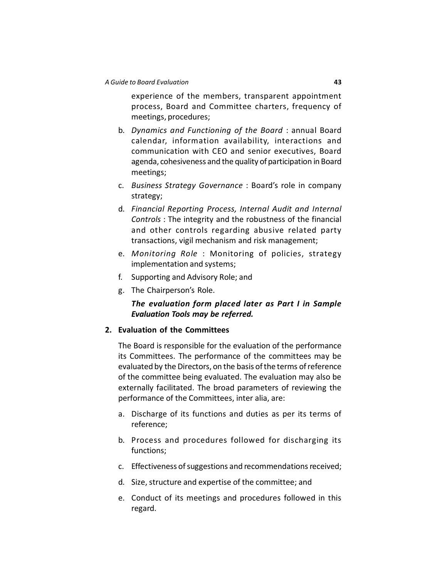experience of the members, transparent appointment process, Board and Committee charters, frequency of meetings, procedures;

- b. *Dynamics and Functioning of the Board* : annual Board calendar, information availability, interactions and communication with CEO and senior executives, Board agenda, cohesiveness and the quality of participation in Board meetings;
- c. *Business Strategy Governance* : Board's role in company strategy;
- d. *Financial Reporting Process, Internal Audit and Internal Controls* : The integrity and the robustness of the financial and other controls regarding abusive related party transactions, vigil mechanism and risk management;
- e. *Monitoring Role* : Monitoring of policies, strategy implementation and systems;
- f. Supporting and Advisory Role; and
- g. The Chairperson's Role.

## *The evaluation form placed later as Part I in Sample Evaluation Tools may be referred.*

## **2. Evaluation of the Committees**

The Board is responsible for the evaluation of the performance its Committees. The performance of the committees may be evaluated by the Directors, on the basis of the terms of reference of the committee being evaluated. The evaluation may also be externally facilitated. The broad parameters of reviewing the performance of the Committees, inter alia, are:

- a. Discharge of its functions and duties as per its terms of reference;
- b. Process and procedures followed for discharging its functions;
- c. Effectiveness of suggestions and recommendations received;
- d. Size, structure and expertise of the committee; and
- e. Conduct of its meetings and procedures followed in this regard.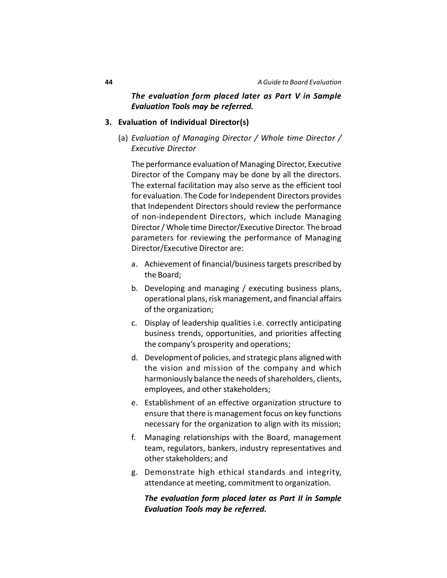## *The evaluation form placed later as Part V in Sample Evaluation Tools may be referred.*

## **3. Evaluation of Individual Director(s)**

(a) *Evaluation of Managing Director / Whole time Director / Executive Director*

The performance evaluation of Managing Director, Executive Director of the Company may be done by all the directors. The external facilitation may also serve as the efficient tool for evaluation. The Code for Independent Directors provides that Independent Directors should review the performance of non-independent Directors, which include Managing Director / Whole time Director/Executive Director. The broad parameters for reviewing the performance of Managing Director/Executive Director are:

- a. Achievement of financial/business targets prescribed by the Board;
- b. Developing and managing / executing business plans, operational plans, risk management, and financial affairs of the organization;
- c. Display of leadership qualities i.e. correctly anticipating business trends, opportunities, and priorities affecting the company's prosperity and operations;
- d. Development of policies, and strategic plans aligned with the vision and mission of the company and which harmoniously balance the needs of shareholders, clients, employees, and other stakeholders;
- e. Establishment of an effective organization structure to ensure that there is management focus on key functions necessary for the organization to align with its mission;
- f. Managing relationships with the Board, management team, regulators, bankers, industry representatives and other stakeholders; and
- g. Demonstrate high ethical standards and integrity, attendance at meeting, commitment to organization.

## *The evaluation form placed later as Part II in Sample Evaluation Tools may be referred.*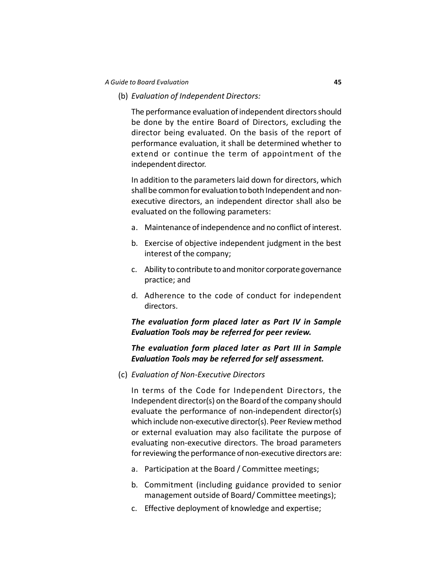(b) *Evaluation of Independent Directors:*

The performance evaluation of independent directors should be done by the entire Board of Directors, excluding the director being evaluated. On the basis of the report of performance evaluation, it shall be determined whether to extend or continue the term of appointment of the independent director.

In addition to the parameters laid down for directors, which shall be common for evaluation to both Independent and nonexecutive directors, an independent director shall also be evaluated on the following parameters:

- a. Maintenance of independence and no conflict of interest.
- b. Exercise of objective independent judgment in the best interest of the company;
- c. Ability to contribute to and monitor corporate governance practice; and
- d. Adherence to the code of conduct for independent directors.

## *The evaluation form placed later as Part IV in Sample Evaluation Tools may be referred for peer review.*

## *The evaluation form placed later as Part III in Sample Evaluation Tools may be referred for self assessment.*

(c) *Evaluation of Non-Executive Directors*

In terms of the Code for Independent Directors, the Independent director(s) on the Board of the company should evaluate the performance of non-independent director(s) which include non-executive director(s). Peer Review method or external evaluation may also facilitate the purpose of evaluating non-executive directors. The broad parameters for reviewing the performance of non-executive directors are:

- a. Participation at the Board / Committee meetings;
- b. Commitment (including guidance provided to senior management outside of Board/ Committee meetings);
- c. Effective deployment of knowledge and expertise;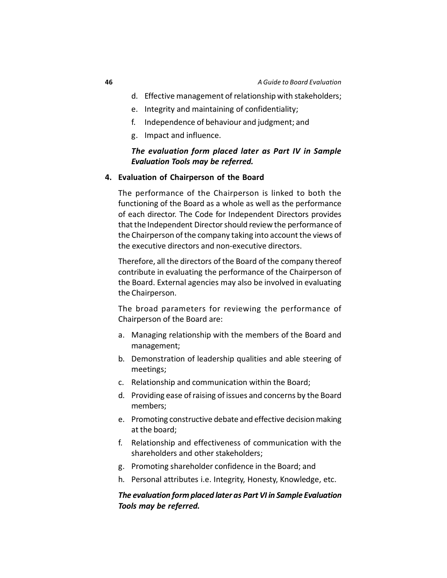- d. Effective management of relationship with stakeholders;
- e. Integrity and maintaining of confidentiality;
- f. Independence of behaviour and judgment; and
- g. Impact and influence.

## *The evaluation form placed later as Part IV in Sample Evaluation Tools may be referred.*

### **4. Evaluation of Chairperson of the Board**

The performance of the Chairperson is linked to both the functioning of the Board as a whole as well as the performance of each director. The Code for Independent Directors provides that the Independent Director should review the performance of the Chairperson of the company taking into account the views of the executive directors and non-executive directors.

Therefore, all the directors of the Board of the company thereof contribute in evaluating the performance of the Chairperson of the Board. External agencies may also be involved in evaluating the Chairperson.

The broad parameters for reviewing the performance of Chairperson of the Board are:

- a. Managing relationship with the members of the Board and management;
- b. Demonstration of leadership qualities and able steering of meetings;
- c. Relationship and communication within the Board;
- d. Providing ease of raising of issues and concerns by the Board members;
- e. Promoting constructive debate and effective decision making at the board;
- f. Relationship and effectiveness of communication with the shareholders and other stakeholders;
- g. Promoting shareholder confidence in the Board; and
- h. Personal attributes i.e. Integrity, Honesty, Knowledge, etc.

## *The evaluation form placed later as Part VI in Sample Evaluation Tools may be referred.*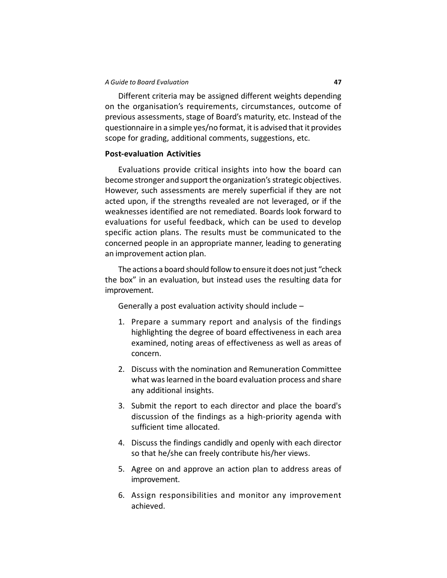Different criteria may be assigned different weights depending on the organisation's requirements, circumstances, outcome of previous assessments, stage of Board's maturity, etc. Instead of the questionnaire in a simple yes/no format, it is advised that it provides scope for grading, additional comments, suggestions, etc.

#### **Post-evaluation Activities**

Evaluations provide critical insights into how the board can become stronger and support the organization's strategic objectives. However, such assessments are merely superficial if they are not acted upon, if the strengths revealed are not leveraged, or if the weaknesses identified are not remediated. Boards look forward to evaluations for useful feedback, which can be used to develop specific action plans. The results must be communicated to the concerned people in an appropriate manner, leading to generating an improvement action plan.

The actions a board should follow to ensure it does not just "check the box" in an evaluation, but instead uses the resulting data for improvement.

Generally a post evaluation activity should include –

- 1. Prepare a summary report and analysis of the findings highlighting the degree of board effectiveness in each area examined, noting areas of effectiveness as well as areas of concern.
- 2. Discuss with the nomination and Remuneration Committee what was learned in the board evaluation process and share any additional insights.
- 3. Submit the report to each director and place the board's discussion of the findings as a high-priority agenda with sufficient time allocated.
- 4. Discuss the findings candidly and openly with each director so that he/she can freely contribute his/her views.
- 5. Agree on and approve an action plan to address areas of improvement.
- 6. Assign responsibilities and monitor any improvement achieved.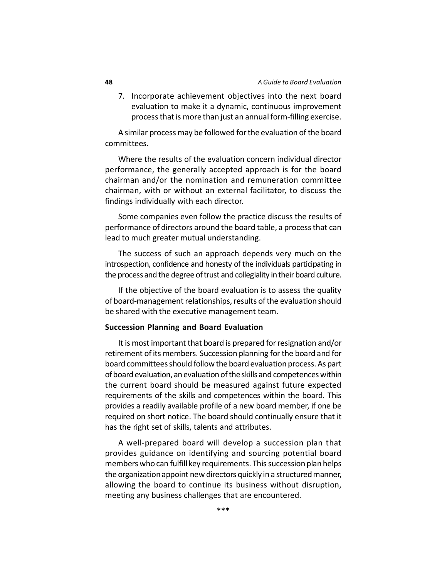7. Incorporate achievement objectives into the next board evaluation to make it a dynamic, continuous improvement process that is more than just an annual form-filling exercise.

A similar process may be followed for the evaluation of the board committees.

Where the results of the evaluation concern individual director performance, the generally accepted approach is for the board chairman and/or the nomination and remuneration committee chairman, with or without an external facilitator, to discuss the findings individually with each director.

Some companies even follow the practice discuss the results of performance of directors around the board table, a process that can lead to much greater mutual understanding.

The success of such an approach depends very much on the introspection, confidence and honesty of the individuals participating in the process and the degree of trust and collegiality in their board culture.

If the objective of the board evaluation is to assess the quality of board-management relationships, results of the evaluation should be shared with the executive management team.

#### **Succession Planning and Board Evaluation**

It is most important that board is prepared for resignation and/or retirement of its members. Succession planning for the board and for board committees should follow the board evaluation process. As part of board evaluation, an evaluation of the skills and competences within the current board should be measured against future expected requirements of the skills and competences within the board. This provides a readily available profile of a new board member, if one be required on short notice. The board should continually ensure that it has the right set of skills, talents and attributes.

A well-prepared board will develop a succession plan that provides guidance on identifying and sourcing potential board members who can fulfill key requirements. This succession plan helps the organization appoint new directors quickly in a structured manner, allowing the board to continue its business without disruption, meeting any business challenges that are encountered.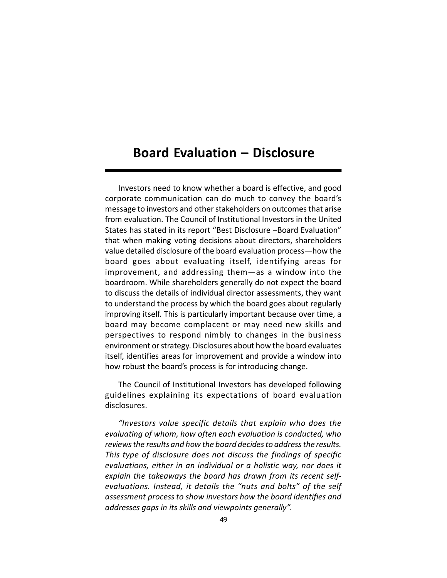# **Board Evaluation – Disclosure**

Investors need to know whether a board is effective, and good corporate communication can do much to convey the board's message to investors and other stakeholders on outcomes that arise from evaluation. The Council of Institutional Investors in the United States has stated in its report "Best Disclosure –Board Evaluation" that when making voting decisions about directors, shareholders value detailed disclosure of the board evaluation process—how the board goes about evaluating itself, identifying areas for improvement, and addressing them—as a window into the boardroom. While shareholders generally do not expect the board to discuss the details of individual director assessments, they want to understand the process by which the board goes about regularly improving itself. This is particularly important because over time, a board may become complacent or may need new skills and perspectives to respond nimbly to changes in the business environment or strategy. Disclosures about how the board evaluates itself, identifies areas for improvement and provide a window into how robust the board's process is for introducing change.

The Council of Institutional Investors has developed following guidelines explaining its expectations of board evaluation disclosures.

*"Investors value specific details that explain who does the evaluating of whom, how often each evaluation is conducted, who reviews the results and how the board decides to address the results. This type of disclosure does not discuss the findings of specific evaluations, either in an individual or a holistic way, nor does it explain the takeaways the board has drawn from its recent selfevaluations. Instead, it details the "nuts and bolts" of the self assessment process to show investors how the board identifies and addresses gaps in its skills and viewpoints generally".*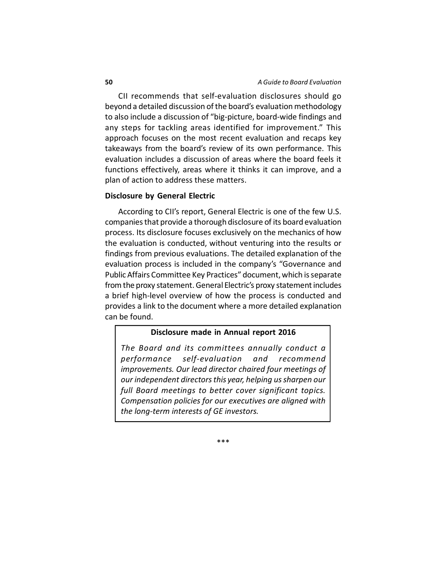CII recommends that self-evaluation disclosures should go beyond a detailed discussion of the board's evaluation methodology to also include a discussion of "big-picture, board-wide findings and any steps for tackling areas identified for improvement." This approach focuses on the most recent evaluation and recaps key takeaways from the board's review of its own performance. This evaluation includes a discussion of areas where the board feels it functions effectively, areas where it thinks it can improve, and a plan of action to address these matters.

#### **Disclosure by General Electric**

According to CII's report, General Electric is one of the few U.S. companies that provide a thorough disclosure of its board evaluation process. Its disclosure focuses exclusively on the mechanics of how the evaluation is conducted, without venturing into the results or findings from previous evaluations. The detailed explanation of the evaluation process is included in the company's "Governance and Public Affairs Committee Key Practices" document, which is separate from the proxy statement. General Electric's proxy statement includes a brief high-level overview of how the process is conducted and provides a link to the document where a more detailed explanation can be found.

#### **Disclosure made in Annual report 2016**

*The Board and its committees annually conduct a performance self-evaluation and recommend improvements. Our lead director chaired four meetings of our independent directors this year, helping us sharpen our full Board meetings to better cover significant topics. Compensation policies for our executives are aligned with the long-term interests of GE investors.*

\*\*\*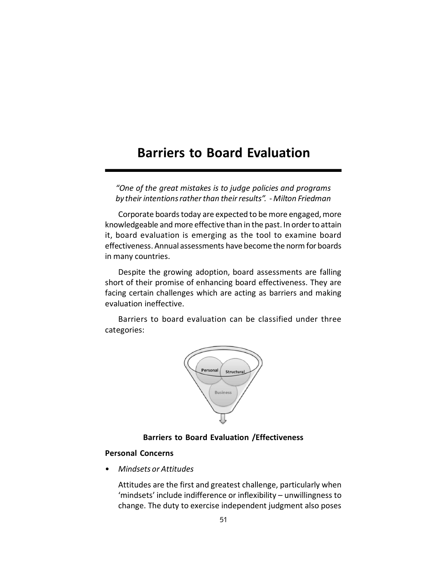# **Barriers to Board Evaluation**

*"One of the great mistakes is to judge policies and programs by their intentions rather than their results". - Milton Friedman*

Corporate boards today are expected to be more engaged, more knowledgeable and more effective than in the past. In order to attain it, board evaluation is emerging as the tool to examine board effectiveness. Annual assessments have become the norm for boards in many countries.

Despite the growing adoption, board assessments are falling short of their promise of enhancing board effectiveness. They are facing certain challenges which are acting as barriers and making evaluation ineffective.

Barriers to board evaluation can be classified under three categories:



## **Barriers to Board Evaluation /Effectiveness**

## **Personal Concerns**

• *Mindsets or Attitudes*

Attitudes are the first and greatest challenge, particularly when 'mindsets' include indifference or inflexibility – unwillingness to change. The duty to exercise independent judgment also poses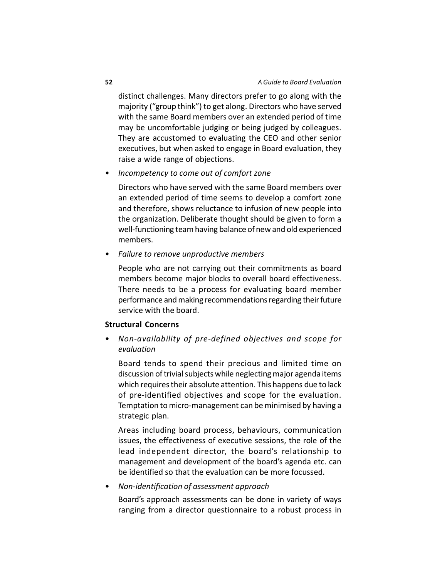distinct challenges. Many directors prefer to go along with the majority ("group think") to get along. Directors who have served with the same Board members over an extended period of time may be uncomfortable judging or being judged by colleagues. They are accustomed to evaluating the CEO and other senior executives, but when asked to engage in Board evaluation, they raise a wide range of objections.

• *Incompetency to come out of comfort zone*

Directors who have served with the same Board members over an extended period of time seems to develop a comfort zone and therefore, shows reluctance to infusion of new people into the organization. Deliberate thought should be given to form a well-functioning team having balance of new and old experienced members.

• *Failure to remove unproductive members*

People who are not carrying out their commitments as board members become major blocks to overall board effectiveness. There needs to be a process for evaluating board member performance and making recommendations regarding their future service with the board.

## **Structural Concerns**

• *Non-availability of pre-defined objectives and scope for evaluation*

Board tends to spend their precious and limited time on discussion of trivial subjects while neglecting major agenda items which requires their absolute attention. This happens due to lack of pre-identified objectives and scope for the evaluation. Temptation to micro-management can be minimised by having a strategic plan.

Areas including board process, behaviours, communication issues, the effectiveness of executive sessions, the role of the lead independent director, the board's relationship to management and development of the board's agenda etc. can be identified so that the evaluation can be more focussed.

## • *Non-identification of assessment approach*

Board's approach assessments can be done in variety of ways ranging from a director questionnaire to a robust process in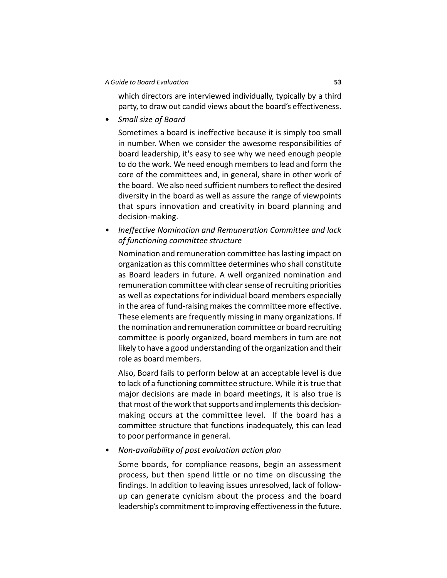which directors are interviewed individually, typically by a third party, to draw out candid views about the board's effectiveness.

• *Small size of Board*

Sometimes a board is ineffective because it is simply too small in number. When we consider the awesome responsibilities of board leadership, it's easy to see why we need enough people to do the work. We need enough members to lead and form the core of the committees and, in general, share in other work of the board. We also need sufficient numbers to reflect the desired diversity in the board as well as assure the range of viewpoints that spurs innovation and creativity in board planning and decision-making.

• *Ineffective Nomination and Remuneration Committee and lack of functioning committee structure*

Nomination and remuneration committee has lasting impact on organization as this committee determines who shall constitute as Board leaders in future. A well organized nomination and remuneration committee with clear sense of recruiting priorities as well as expectations for individual board members especially in the area of fund-raising makes the committee more effective. These elements are frequently missing in many organizations. If the nomination and remuneration committee or board recruiting committee is poorly organized, board members in turn are not likely to have a good understanding of the organization and their role as board members.

Also, Board fails to perform below at an acceptable level is due to lack of a functioning committee structure. While it is true that major decisions are made in board meetings, it is also true is that most of the work that supports and implements this decisionmaking occurs at the committee level. If the board has a committee structure that functions inadequately, this can lead to poor performance in general.

• *Non-availability of post evaluation action plan*

Some boards, for compliance reasons, begin an assessment process, but then spend little or no time on discussing the findings. In addition to leaving issues unresolved, lack of followup can generate cynicism about the process and the board leadership's commitment to improving effectiveness in the future.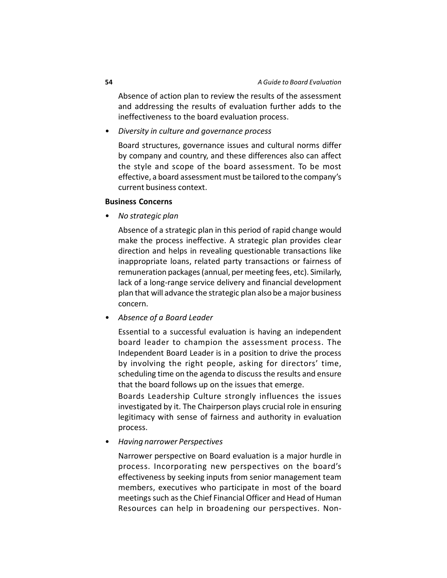Absence of action plan to review the results of the assessment and addressing the results of evaluation further adds to the ineffectiveness to the board evaluation process.

• *Diversity in culture and governance process*

Board structures, governance issues and cultural norms differ by company and country, and these differences also can affect the style and scope of the board assessment. To be most effective, a board assessment must be tailored to the company's current business context.

## **Business Concerns**

• *No strategic plan*

Absence of a strategic plan in this period of rapid change would make the process ineffective. A strategic plan provides clear direction and helps in revealing questionable transactions like inappropriate loans, related party transactions or fairness of remuneration packages (annual, per meeting fees, etc). Similarly, lack of a long-range service delivery and financial development plan that will advance the strategic plan also be a major business concern.

• *Absence of a Board Leader*

Essential to a successful evaluation is having an independent board leader to champion the assessment process. The Independent Board Leader is in a position to drive the process by involving the right people, asking for directors' time, scheduling time on the agenda to discuss the results and ensure that the board follows up on the issues that emerge.

Boards Leadership Culture strongly influences the issues investigated by it. The Chairperson plays crucial role in ensuring legitimacy with sense of fairness and authority in evaluation process.

• *Having narrower Perspectives*

Narrower perspective on Board evaluation is a major hurdle in process. Incorporating new perspectives on the board's effectiveness by seeking inputs from senior management team members, executives who participate in most of the board meetings such as the Chief Financial Officer and Head of Human Resources can help in broadening our perspectives. Non-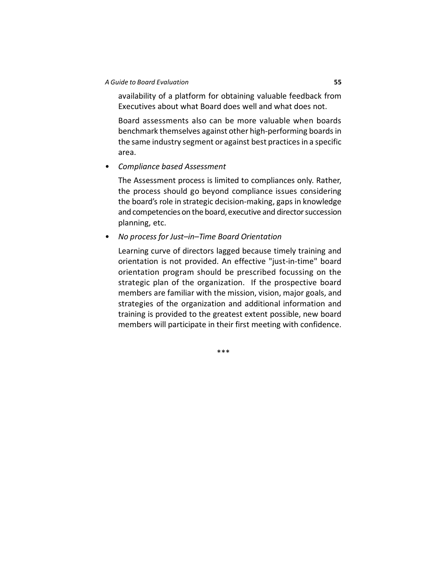availability of a platform for obtaining valuable feedback from Executives about what Board does well and what does not.

Board assessments also can be more valuable when boards benchmark themselves against other high-performing boards in the same industry segment or against best practices in a specific area.

• *Compliance based Assessment*

The Assessment process is limited to compliances only. Rather, the process should go beyond compliance issues considering the board's role in strategic decision-making, gaps in knowledge and competencies on the board, executive and director succession planning, etc.

• *No process for Just–in–Time Board Orientation*

Learning curve of directors lagged because timely training and orientation is not provided. An effective "just-in-time" board orientation program should be prescribed focussing on the strategic plan of the organization. If the prospective board members are familiar with the mission, vision, major goals, and strategies of the organization and additional information and training is provided to the greatest extent possible, new board members will participate in their first meeting with confidence.

\*\*\*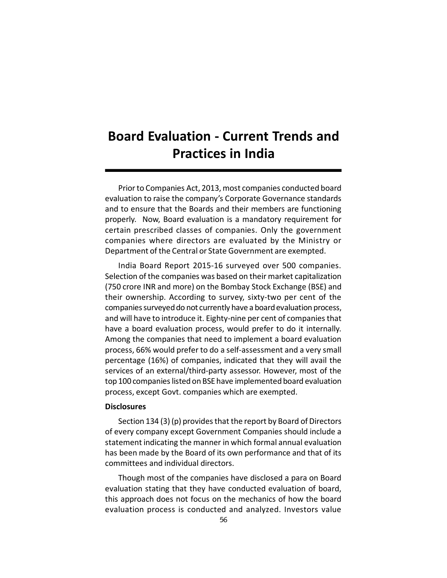# **Board Evaluation - Current Trends and Practices in India**

Prior to Companies Act, 2013, most companies conducted board evaluation to raise the company's Corporate Governance standards and to ensure that the Boards and their members are functioning properly. Now, Board evaluation is a mandatory requirement for certain prescribed classes of companies. Only the government companies where directors are evaluated by the Ministry or Department of the Central or State Government are exempted.

India Board Report 2015-16 surveyed over 500 companies. Selection of the companies was based on their market capitalization (750 crore INR and more) on the Bombay Stock Exchange (BSE) and their ownership. According to survey, sixty-two per cent of the companies surveyed do not currently have a board evaluation process, and will have to introduce it. Eighty-nine per cent of companies that have a board evaluation process, would prefer to do it internally. Among the companies that need to implement a board evaluation process, 66% would prefer to do a self-assessment and a very small percentage (16%) of companies, indicated that they will avail the services of an external/third-party assessor. However, most of the top 100 companies listed on BSE have implemented board evaluation process, except Govt. companies which are exempted.

#### **Disclosures**

Section 134 (3) (p) provides that the report by Board of Directors of every company except Government Companies should include a statement indicating the manner in which formal annual evaluation has been made by the Board of its own performance and that of its committees and individual directors.

Though most of the companies have disclosed a para on Board evaluation stating that they have conducted evaluation of board, this approach does not focus on the mechanics of how the board evaluation process is conducted and analyzed. Investors value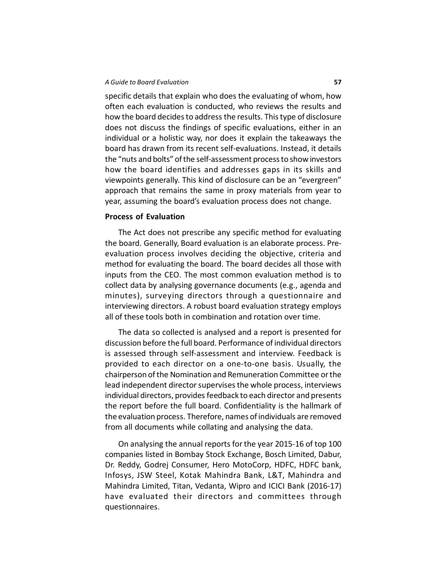specific details that explain who does the evaluating of whom, how often each evaluation is conducted, who reviews the results and how the board decides to address the results. This type of disclosure does not discuss the findings of specific evaluations, either in an individual or a holistic way, nor does it explain the takeaways the board has drawn from its recent self-evaluations. Instead, it details the "nuts and bolts" of the self-assessment process to show investors how the board identifies and addresses gaps in its skills and viewpoints generally. This kind of disclosure can be an "evergreen" approach that remains the same in proxy materials from year to year, assuming the board's evaluation process does not change.

## **Process of Evaluation**

The Act does not prescribe any specific method for evaluating the board. Generally, Board evaluation is an elaborate process. Preevaluation process involves deciding the objective, criteria and method for evaluating the board. The board decides all those with inputs from the CEO. The most common evaluation method is to collect data by analysing governance documents (e.g., agenda and minutes), surveying directors through a questionnaire and interviewing directors. A robust board evaluation strategy employs all of these tools both in combination and rotation over time.

The data so collected is analysed and a report is presented for discussion before the full board. Performance of individual directors is assessed through self-assessment and interview. Feedback is provided to each director on a one-to-one basis. Usually, the chairperson of the Nomination and Remuneration Committee or the lead independent director supervises the whole process, interviews individual directors, provides feedback to each director and presents the report before the full board. Confidentiality is the hallmark of the evaluation process. Therefore, names of individuals are removed from all documents while collating and analysing the data.

On analysing the annual reports for the year 2015-16 of top 100 companies listed in Bombay Stock Exchange, Bosch Limited, Dabur, Dr. Reddy, Godrej Consumer, Hero MotoCorp, HDFC, HDFC bank, Infosys, JSW Steel, Kotak Mahindra Bank, L&T, Mahindra and Mahindra Limited, Titan, Vedanta, Wipro and ICICI Bank (2016-17) have evaluated their directors and committees through questionnaires.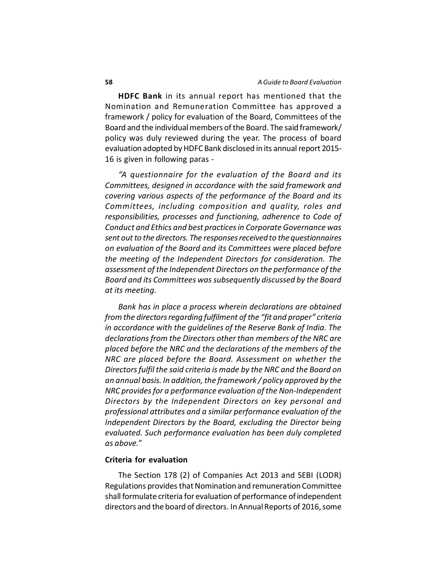**HDFC Bank** in its annual report has mentioned that the Nomination and Remuneration Committee has approved a framework / policy for evaluation of the Board, Committees of the Board and the individual members of the Board. The said framework/ policy was duly reviewed during the year. The process of board evaluation adopted by HDFC Bank disclosed in its annual report 2015- 16 is given in following paras -

*"A questionnaire for the evaluation of the Board and its Committees, designed in accordance with the said framework and covering various aspects of the performance of the Board and its Committees, including composition and quality, roles and responsibilities, processes and functioning, adherence to Code of Conduct and Ethics and best practices in Corporate Governance was sent out to the directors. The responses received to the questionnaires on evaluation of the Board and its Committees were placed before the meeting of the Independent Directors for consideration. The assessment of the Independent Directors on the performance of the Board and its Committees was subsequently discussed by the Board at its meeting.*

*Bank has in place a process wherein declarations are obtained from the directors regarding fulfilment of the "fit and proper" criteria in accordance with the guidelines of the Reserve Bank of India. The declarations from the Directors other than members of the NRC are placed before the NRC and the declarations of the members of the NRC are placed before the Board. Assessment on whether the Directors fulfil the said criteria is made by the NRC and the Board on an annual basis. In addition, the framework / policy approved by the NRC provides for a performance evaluation of the Non-Independent Directors by the Independent Directors on key personal and professional attributes and a similar performance evaluation of the Independent Directors by the Board, excluding the Director being evaluated. Such performance evaluation has been duly completed as above."*

#### **Criteria for evaluation**

The Section 178 (2) of Companies Act 2013 and SEBI (LODR) Regulations provides that Nomination and remuneration Committee shall formulate criteria for evaluation of performance of independent directors and the board of directors. In Annual Reports of 2016, some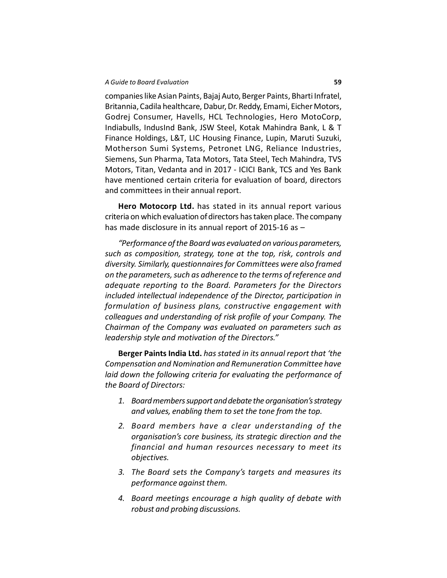companies like Asian Paints, Bajaj Auto, Berger Paints, Bharti Infratel, Britannia, Cadila healthcare, Dabur, Dr. Reddy, Emami, Eicher Motors, Godrej Consumer, Havells, HCL Technologies, Hero MotoCorp, Indiabulls, IndusInd Bank, JSW Steel, Kotak Mahindra Bank, L & T Finance Holdings, L&T, LIC Housing Finance, Lupin, Maruti Suzuki, Motherson Sumi Systems, Petronet LNG, Reliance Industries, Siemens, Sun Pharma, Tata Motors, Tata Steel, Tech Mahindra, TVS Motors, Titan, Vedanta and in 2017 - ICICI Bank, TCS and Yes Bank have mentioned certain criteria for evaluation of board, directors and committees in their annual report.

**Hero Motocorp Ltd.** has stated in its annual report various criteria on which evaluation of directors has taken place. The company has made disclosure in its annual report of 2015-16 as –

*"Performance of the Board was evaluated on various parameters, such as composition, strategy, tone at the top, risk, controls and diversity. Similarly, questionnaires for Committees were also framed on the parameters, such as adherence to the terms of reference and adequate reporting to the Board. Parameters for the Directors included intellectual independence of the Director, participation in formulation of business plans, constructive engagement with colleagues and understanding of risk profile of your Company. The Chairman of the Company was evaluated on parameters such as leadership style and motivation of the Directors."*

**Berger Paints India Ltd.** *has stated in its annual report that 'the Compensation and Nomination and Remuneration Committee have laid down the following criteria for evaluating the performance of the Board of Directors:*

- *1. Board members support and debate the organisation's strategy and values, enabling them to set the tone from the top.*
- *2. Board members have a clear understanding of the organisation's core business, its strategic direction and the financial and human resources necessary to meet its objectives.*
- *3. The Board sets the Company's targets and measures its performance against them.*
- *4. Board meetings encourage a high quality of debate with robust and probing discussions.*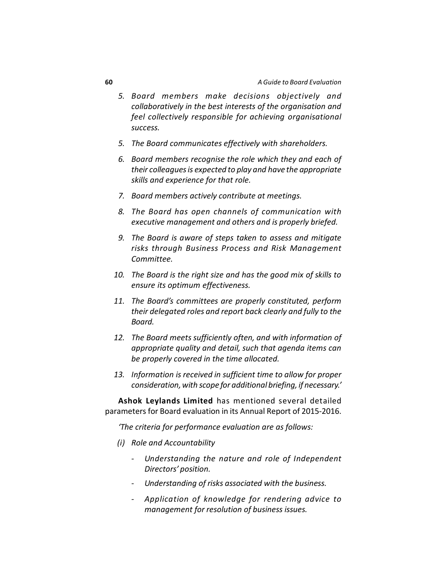- *5. Board members make decisions objectively and collaboratively in the best interests of the organisation and feel collectively responsible for achieving organisational success.*
- *5. The Board communicates effectively with shareholders.*
- *6. Board members recognise the role which they and each of their colleagues is expected to play and have the appropriate skills and experience for that role.*
- *7. Board members actively contribute at meetings.*
- *8. The Board has open channels of communication with executive management and others and is properly briefed.*
- *9. The Board is aware of steps taken to assess and mitigate risks through Business Process and Risk Management Committee.*
- *10. The Board is the right size and has the good mix of skills to ensure its optimum effectiveness.*
- *11. The Board's committees are properly constituted, perform their delegated roles and report back clearly and fully to the Board.*
- *12. The Board meets sufficiently often, and with information of appropriate quality and detail, such that agenda items can be properly covered in the time allocated.*
- *13. Information is received in sufficient time to allow for proper consideration, with scope for additional briefing, if necessary.'*

**Ashok Leylands Limited** has mentioned several detailed parameters for Board evaluation in its Annual Report of 2015-2016.

*'The criteria for performance evaluation are as follows:*

- *(i) Role and Accountability*
	- *- Understanding the nature and role of Independent Directors' position.*
	- *- Understanding of risks associated with the business.*
	- *- Application of knowledge for rendering advice to management for resolution of business issues.*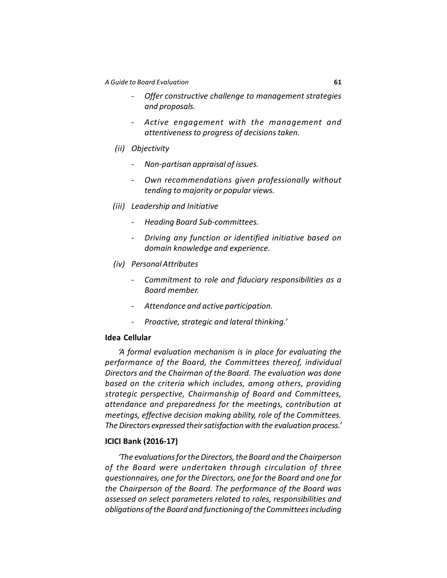- *- Offer constructive challenge to management strategies and proposals.*
- *- Active engagement with the management and attentiveness to progress of decisions taken.*
- *(ii) Objectivity*
	- *- Non-partisan appraisal of issues.*
	- *- Own recommendations given professionally without tending to majority or popular views.*
- *(iii) Leadership and Initiative*
	- *- Heading Board Sub-committees.*
	- *- Driving any function or identified initiative based on domain knowledge and experience.*
- *(iv) Personal Attributes*
	- *- Commitment to role and fiduciary responsibilities as a Board member.*
	- *- Attendance and active participation.*
	- *- Proactive, strategic and lateral thinking.'*

## **Idea Cellular**

*'A formal evaluation mechanism is in place for evaluating the performance of the Board, the Committees thereof, individual Directors and the Chairman of the Board. The evaluation was done based on the criteria which includes, among others, providing strategic perspective, Chairmanship of Board and Committees, attendance and preparedness for the meetings, contribution at meetings, effective decision making ability, role of the Committees. The Directors expressed their satisfaction with the evaluation process.'*

#### **ICICI Bank (2016-17)**

*'The evaluations for the Directors, the Board and the Chairperson of the Board were undertaken through circulation of three questionnaires, one for the Directors, one for the Board and one for the Chairperson of the Board. The performance of the Board was assessed on select parameters related to roles, responsibilities and obligations of the Board and functioning of the Committees including*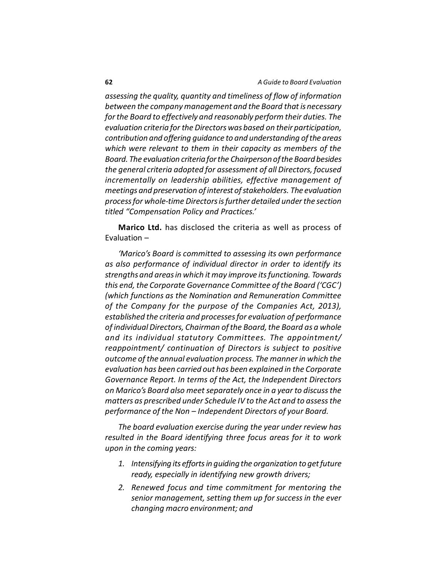*assessing the quality, quantity and timeliness of flow of information between the company management and the Board that is necessary for the Board to effectively and reasonably perform their duties. The evaluation criteria for the Directors was based on their participation, contribution and offering guidance to and understanding of the areas which were relevant to them in their capacity as members of the Board. The evaluation criteria for the Chairperson of the Board besides the general criteria adopted for assessment of all Directors, focused incrementally on leadership abilities, effective management of meetings and preservation of interest of stakeholders. The evaluation process for whole-time Directors is further detailed under the section titled "Compensation Policy and Practices.'*

**Marico Ltd.** has disclosed the criteria as well as process of Evaluation –

*'Marico's Board is committed to assessing its own performance as also performance of individual director in order to identify its strengths and areas in which it may improve its functioning. Towards this end, the Corporate Governance Committee of the Board ('CGC') (which functions as the Nomination and Remuneration Committee of the Company for the purpose of the Companies Act, 2013), established the criteria and processes for evaluation of performance of individual Directors, Chairman of the Board, the Board as a whole and its individual statutory Committees. The appointment/ reappointment/ continuation of Directors is subject to positive outcome of the annual evaluation process. The manner in which the evaluation has been carried out has been explained in the Corporate Governance Report. In terms of the Act, the Independent Directors on Marico's Board also meet separately once in a year to discuss the matters as prescribed under Schedule IV to the Act and to assess the performance of the Non – Independent Directors of your Board.*

*The board evaluation exercise during the year under review has resulted in the Board identifying three focus areas for it to work upon in the coming years:*

- *1. Intensifying its efforts in guiding the organization to get future ready, especially in identifying new growth drivers;*
- *2. Renewed focus and time commitment for mentoring the senior management, setting them up for success in the ever changing macro environment; and*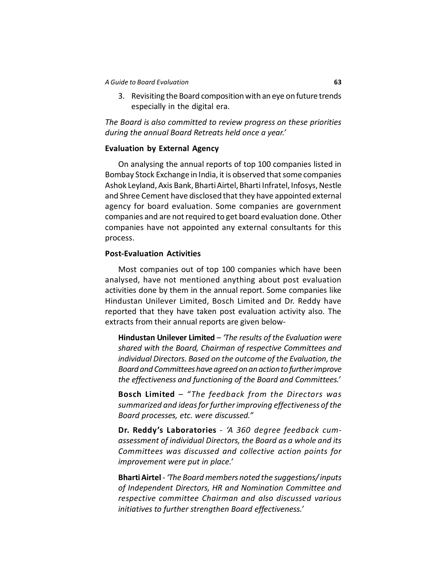3. Revisiting the Board composition with an eye on future trends especially in the digital era.

*The Board is also committed to review progress on these priorities during the annual Board Retreats held once a year.'*

## **Evaluation by External Agency**

On analysing the annual reports of top 100 companies listed in Bombay Stock Exchange in India, it is observed that some companies Ashok Leyland, Axis Bank, Bharti Airtel, Bharti Infratel, Infosys, Nestle and Shree Cement have disclosed that they have appointed external agency for board evaluation. Some companies are government companies and are not required to get board evaluation done. Other companies have not appointed any external consultants for this process.

## **Post-Evaluation Activities**

Most companies out of top 100 companies which have been analysed, have not mentioned anything about post evaluation activities done by them in the annual report. Some companies like Hindustan Unilever Limited, Bosch Limited and Dr. Reddy have reported that they have taken post evaluation activity also. The extracts from their annual reports are given below-

**Hindustan Unilever Limited** – *'The results of the Evaluation were shared with the Board, Chairman of respective Committees and individual Directors. Based on the outcome of the Evaluation, the Board and Committees have agreed on an action to further improve the effectiveness and functioning of the Board and Committees.'*

**Bosch Limited** – *"The feedback from the Directors was summarized and ideas for further improving effectiveness of the Board processes, etc. were discussed."*

**Dr. Reddy's Laboratories** - *'A 360 degree feedback cumassessment of individual Directors, the Board as a whole and its Committees was discussed and collective action points for improvement were put in place.'*

**Bharti Airtel** - *'The Board members noted the suggestions/ inputs of Independent Directors, HR and Nomination Committee and respective committee Chairman and also discussed various initiatives to further strengthen Board effectiveness.'*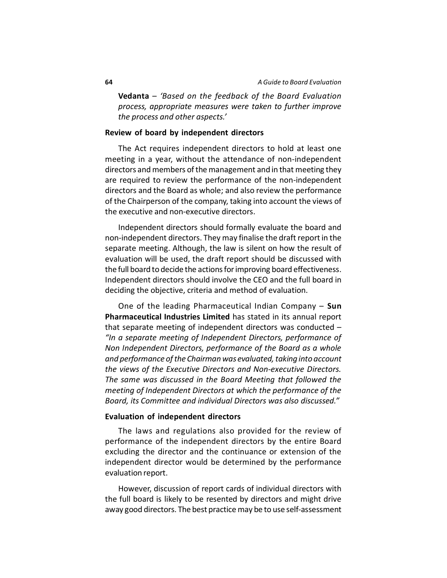**Vedanta** – *'Based on the feedback of the Board Evaluation process, appropriate measures were taken to further improve the process and other aspects.'*

#### **Review of board by independent directors**

The Act requires independent directors to hold at least one meeting in a year, without the attendance of non-independent directors and members of the management and in that meeting they are required to review the performance of the non-independent directors and the Board as whole; and also review the performance of the Chairperson of the company, taking into account the views of the executive and non-executive directors.

Independent directors should formally evaluate the board and non-independent directors. They may finalise the draft report in the separate meeting. Although, the law is silent on how the result of evaluation will be used, the draft report should be discussed with the full board to decide the actions for improving board effectiveness. Independent directors should involve the CEO and the full board in deciding the objective, criteria and method of evaluation.

One of the leading Pharmaceutical Indian Company – **Sun Pharmaceutical Industries Limited** has stated in its annual report that separate meeting of independent directors was conducted – *"In a separate meeting of Independent Directors, performance of Non Independent Directors, performance of the Board as a whole and performance of the Chairman was evaluated, taking into account the views of the Executive Directors and Non-executive Directors. The same was discussed in the Board Meeting that followed the meeting of Independent Directors at which the performance of the Board, its Committee and individual Directors was also discussed."*

#### **Evaluation of independent directors**

The laws and regulations also provided for the review of performance of the independent directors by the entire Board excluding the director and the continuance or extension of the independent director would be determined by the performance evaluation report.

However, discussion of report cards of individual directors with the full board is likely to be resented by directors and might drive away good directors. The best practice may be to use self-assessment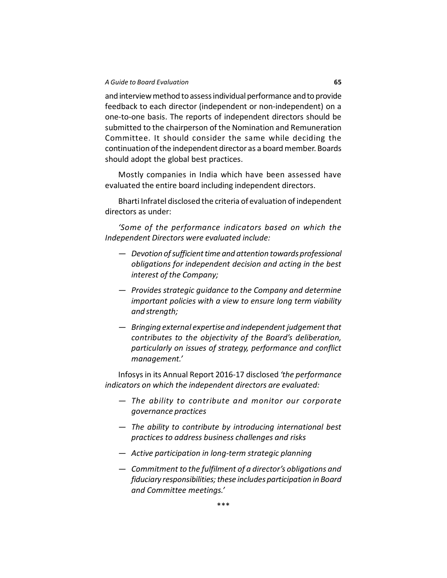and interview method to assess individual performance and to provide feedback to each director (independent or non-independent) on a one-to-one basis. The reports of independent directors should be submitted to the chairperson of the Nomination and Remuneration Committee. It should consider the same while deciding the continuation of the independent director as a board member. Boards should adopt the global best practices.

Mostly companies in India which have been assessed have evaluated the entire board including independent directors.

Bharti Infratel disclosed the criteria of evaluation of independent directors as under:

*'Some of the performance indicators based on which the Independent Directors were evaluated include:*

- *— Devotion of sufficient time and attention towards professional obligations for independent decision and acting in the best interest of the Company;*
- *— Provides strategic guidance to the Company and determine important policies with a view to ensure long term viability and strength;*
- *— Bringing external expertise and independent judgement that contributes to the objectivity of the Board's deliberation, particularly on issues of strategy, performance and conflict management.'*

Infosys in its Annual Report 2016-17 disclosed *'the performance indicators on which the independent directors are evaluated:*

- *— The ability to contribute and monitor our corporate governance practices*
- *— The ability to contribute by introducing international best practices to address business challenges and risks*
- *— Active participation in long-term strategic planning*
- *— Commitment to the fulfilment of a director's obligations and fiduciary responsibilities; these includes participation in Board and Committee meetings.'*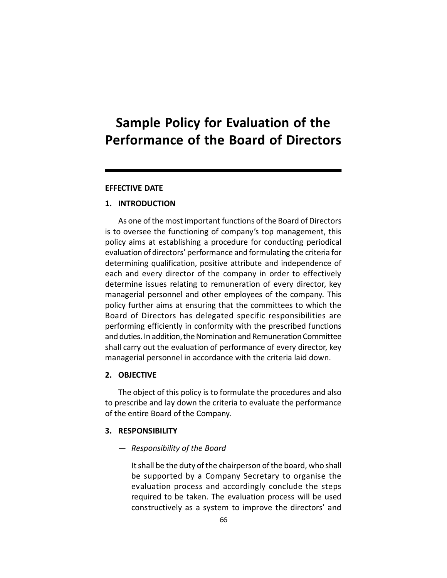# **Sample Policy for Evaluation of the Performance of the Board of Directors**

#### **EFFECTIVE DATE**

## **1. INTRODUCTION**

As one of the most important functions of the Board of Directors is to oversee the functioning of company's top management, this policy aims at establishing a procedure for conducting periodical evaluation of directors' performance and formulating the criteria for determining qualification, positive attribute and independence of each and every director of the company in order to effectively determine issues relating to remuneration of every director, key managerial personnel and other employees of the company. This policy further aims at ensuring that the committees to which the Board of Directors has delegated specific responsibilities are performing efficiently in conformity with the prescribed functions and duties. In addition, the Nomination and Remuneration Committee shall carry out the evaluation of performance of every director, key managerial personnel in accordance with the criteria laid down.

## **2. OBJECTIVE**

The object of this policy is to formulate the procedures and also to prescribe and lay down the criteria to evaluate the performance of the entire Board of the Company.

#### **3. RESPONSIBILITY**

— *Responsibility of the Board*

It shall be the duty of the chairperson of the board, who shall be supported by a Company Secretary to organise the evaluation process and accordingly conclude the steps required to be taken. The evaluation process will be used constructively as a system to improve the directors' and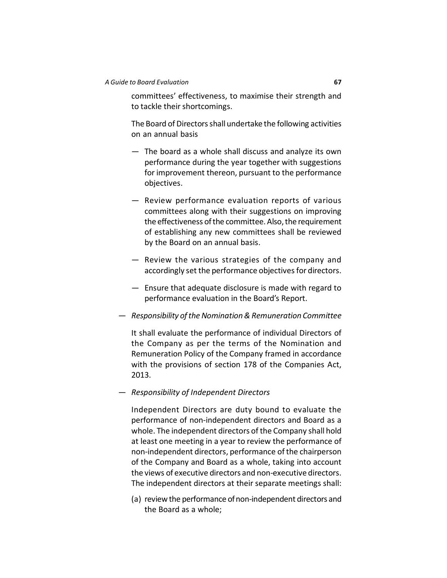committees' effectiveness, to maximise their strength and to tackle their shortcomings.

The Board of Directors shall undertake the following activities on an annual basis

- The board as a whole shall discuss and analyze its own performance during the year together with suggestions for improvement thereon, pursuant to the performance objectives.
- Review performance evaluation reports of various committees along with their suggestions on improving the effectiveness of the committee. Also, the requirement of establishing any new committees shall be reviewed by the Board on an annual basis.
- Review the various strategies of the company and accordingly set the performance objectives for directors.
- Ensure that adequate disclosure is made with regard to performance evaluation in the Board's Report.
- *Responsibility of the Nomination & Remuneration Committee*

It shall evaluate the performance of individual Directors of the Company as per the terms of the Nomination and Remuneration Policy of the Company framed in accordance with the provisions of section 178 of the Companies Act, 2013.

— *Responsibility of Independent Directors*

Independent Directors are duty bound to evaluate the performance of non-independent directors and Board as a whole. The independent directors of the Company shall hold at least one meeting in a year to review the performance of non-independent directors, performance of the chairperson of the Company and Board as a whole, taking into account the views of executive directors and non-executive directors. The independent directors at their separate meetings shall:

(a) review the performance of non-independent directors and the Board as a whole;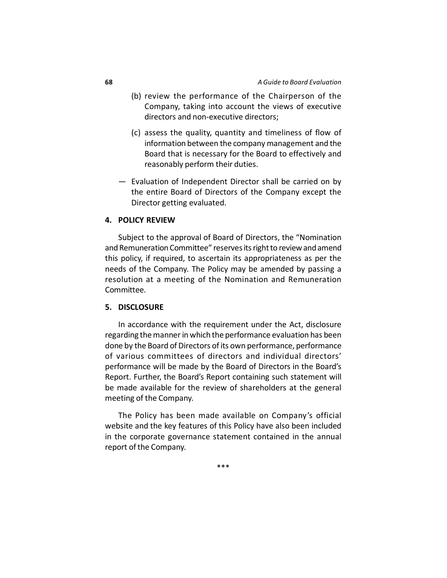- (b) review the performance of the Chairperson of the Company, taking into account the views of executive directors and non-executive directors;
- (c) assess the quality, quantity and timeliness of flow of information between the company management and the Board that is necessary for the Board to effectively and reasonably perform their duties.
- Evaluation of Independent Director shall be carried on by the entire Board of Directors of the Company except the Director getting evaluated.

#### **4. POLICY REVIEW**

Subject to the approval of Board of Directors, the "Nomination and Remuneration Committee" reserves its right to review and amend this policy, if required, to ascertain its appropriateness as per the needs of the Company. The Policy may be amended by passing a resolution at a meeting of the Nomination and Remuneration Committee.

## **5. DISCLOSURE**

In accordance with the requirement under the Act, disclosure regarding the manner in which the performance evaluation has been done by the Board of Directors of its own performance, performance of various committees of directors and individual directors' performance will be made by the Board of Directors in the Board's Report. Further, the Board's Report containing such statement will be made available for the review of shareholders at the general meeting of the Company.

The Policy has been made available on Company's official website and the key features of this Policy have also been included in the corporate governance statement contained in the annual report of the Company.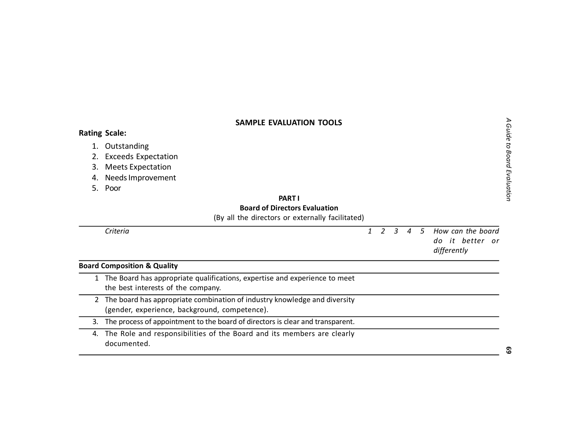## **SAMPLE EVALUATION TOOLS**

## **Rating Scale:**

- 1. Outstanding
- 2. Exceeds Expectation
- 3. Meets Expectation
- 4. Needs Improvement
- 5. Poor

## **PART I Board of Directors Evaluation**

(By all the directors or externally facilitated)

|    | Criteria                                                                                                                     |  |  | 1 2 3 4 5 How can the board<br>do it better or<br>differently |
|----|------------------------------------------------------------------------------------------------------------------------------|--|--|---------------------------------------------------------------|
|    | <b>Board Composition &amp; Quality</b>                                                                                       |  |  |                                                               |
|    | The Board has appropriate qualifications, expertise and experience to meet<br>the best interests of the company.             |  |  |                                                               |
|    | 2 The board has appropriate combination of industry knowledge and diversity<br>(gender, experience, background, competence). |  |  |                                                               |
| 3. | The process of appointment to the board of directors is clear and transparent.                                               |  |  |                                                               |

4. The Role and responsibilities of the Board and its members are clearly documented.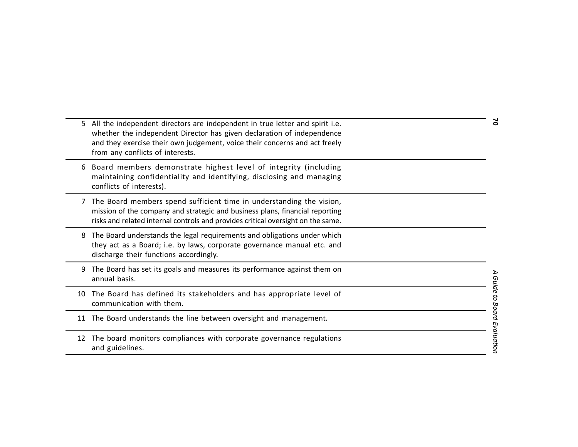|    | 5 All the independent directors are independent in true letter and spirit i.e.<br>whether the independent Director has given declaration of independence<br>and they exercise their own judgement, voice their concerns and act freely<br>from any conflicts of interests. |  |
|----|----------------------------------------------------------------------------------------------------------------------------------------------------------------------------------------------------------------------------------------------------------------------------|--|
|    | Board members demonstrate highest level of integrity (including<br>maintaining confidentiality and identifying, disclosing and managing<br>conflicts of interests).                                                                                                        |  |
|    | 7 The Board members spend sufficient time in understanding the vision,<br>mission of the company and strategic and business plans, financial reporting<br>risks and related internal controls and provides critical oversight on the same.                                 |  |
| 8  | The Board understands the legal requirements and obligations under which<br>they act as a Board; i.e. by laws, corporate governance manual etc. and<br>discharge their functions accordingly.                                                                              |  |
|    | The Board has set its goals and measures its performance against them on<br>annual basis.                                                                                                                                                                                  |  |
| 10 | The Board has defined its stakeholders and has appropriate level of<br>communication with them.                                                                                                                                                                            |  |
| 11 | The Board understands the line between oversight and management.                                                                                                                                                                                                           |  |
| 12 | The board monitors compliances with corporate governance regulations<br>and guidelines.                                                                                                                                                                                    |  |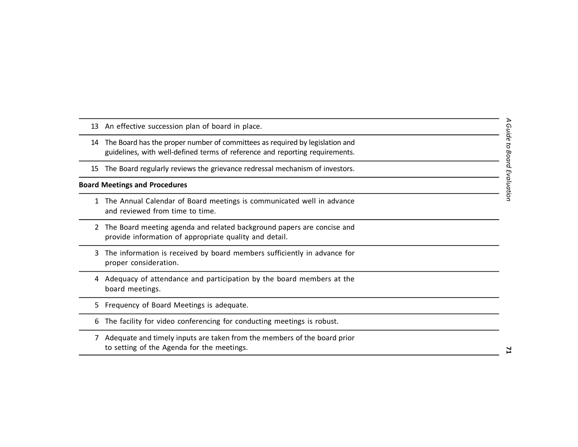- 13 An effective succession plan of board in place.
- 14 The Board has the proper number of committees as required by legislation and guidelines, with well-defined terms of reference and reporting requirements.
- 15 The Board regularly reviews the grievance redressal mechanism of investors.

#### **Board Meetings and Procedures**

- 1 The Annual Calendar of Board meetings is communicated well in advance and reviewed from time to time.
- 2 The Board meeting agenda and related background papers are concise and provide information of appropriate quality and detail.
- 3 The information is received by board members sufficiently in advance for proper consideration.
- 4 Adequacy of attendance and participation by the board members at the board meetings.
- 5 Frequency of Board Meetings is adequate.
- 6 The facility for video conferencing for conducting meetings is robust.
- 7 Adequate and timely inputs are taken from the members of the board prior to setting of the Agenda for the meetings.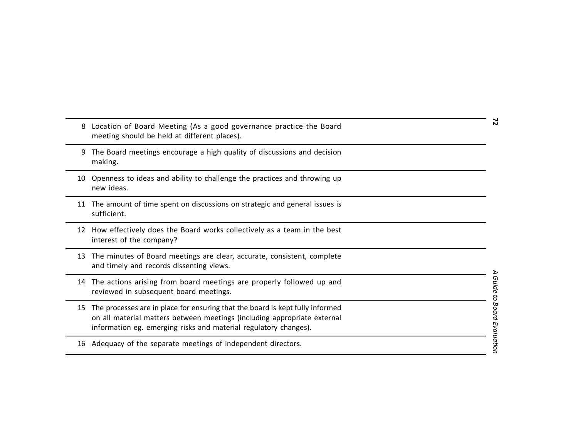| 8  | Location of Board Meeting (As a good governance practice the Board<br>meeting should be held at different places).                                                                                                            | 2                           |
|----|-------------------------------------------------------------------------------------------------------------------------------------------------------------------------------------------------------------------------------|-----------------------------|
| 9  | The Board meetings encourage a high quality of discussions and decision<br>making.                                                                                                                                            |                             |
| 10 | Openness to ideas and ability to challenge the practices and throwing up<br>new ideas.                                                                                                                                        |                             |
| 11 | The amount of time spent on discussions on strategic and general issues is<br>sufficient.                                                                                                                                     |                             |
| 12 | How effectively does the Board works collectively as a team in the best<br>interest of the company?                                                                                                                           |                             |
| 13 | The minutes of Board meetings are clear, accurate, consistent, complete<br>and timely and records dissenting views.                                                                                                           |                             |
| 14 | The actions arising from board meetings are properly followed up and<br>reviewed in subsequent board meetings.                                                                                                                |                             |
| 15 | The processes are in place for ensuring that the board is kept fully informed<br>on all material matters between meetings (including appropriate external<br>information eg. emerging risks and material regulatory changes). | A Guide to Board Evaluation |
| 16 | Adequacy of the separate meetings of independent directors.                                                                                                                                                                   |                             |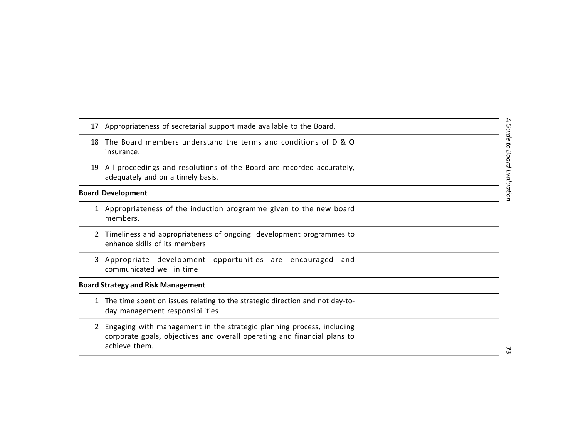- 17 Appropriateness of secretarial support made available to the Board.
- 18 The Board members understand the terms and conditions of D & O insurance.
- 19 All proceedings and resolutions of the Board are recorded accurately, adequately and on a timely basis.

#### **Board Development**

- 1 Appropriateness of the induction programme given to the new board members.
- 2 Timeliness and appropriateness of ongoing development programmes to enhance skills of its members
- 3 Appropriate development opportunities are encouraged and communicated well in time

## **Board Strategy and Risk Management**

- 1 The time spent on issues relating to the strategic direction and not day-today management responsibilities
- 2 Engaging with management in the strategic planning process, including corporate goals, objectives and overall operating and financial plans to achieve them.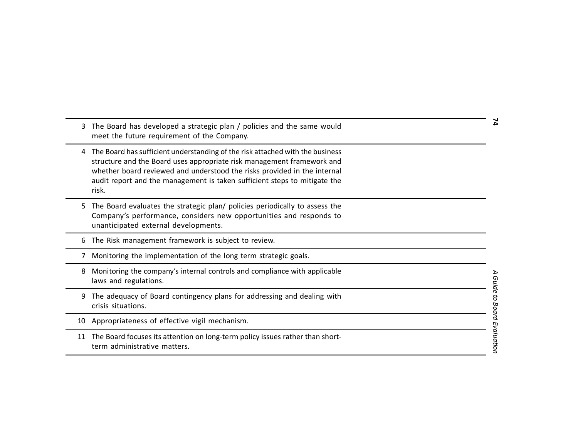meet the future requirement of the Company. 4 The Board has sufficient understanding of the risk attached with the business structure and the Board uses appropriate risk management framework and whether board reviewed and understood the risks provided in the internal audit report and the management is taken sufficient steps to mitigate the risk. 5 The Board evaluates the strategic plan/ policies periodically to assess the Company's performance, considers new opportunities and responds to unanticipated external developments. 6 The Risk management framework is subject to review. 7 Monitoring the implementation of the long term strategic goals. 8 Monitoring the company's internal controls and compliance with applicable laws and regulations. 9 The adequacy of Board contingency plans for addressing and dealing with crisis situations. 10 Appropriateness of effective vigil mechanism. 11 The Board focuses its attention on long-term policy issues rather than shortterm administrative matters.

3 The Board has developed a strategic plan / policies and the same would

74 *A Guide to Board Evaluation* **74**

Α

Guide to Board Evaluation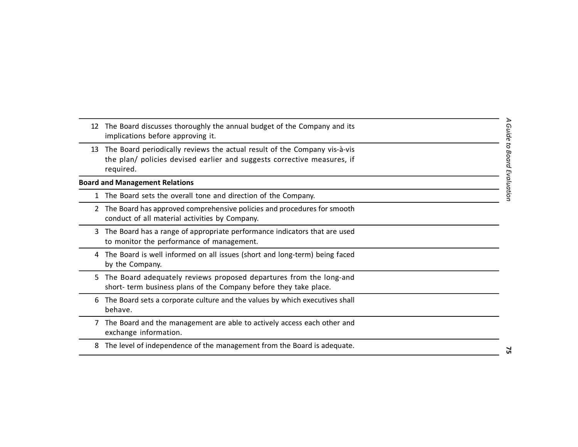| 12 | The Board discusses thoroughly the annual budget of the Company and its<br>implications before approving it.                                                      |                             |
|----|-------------------------------------------------------------------------------------------------------------------------------------------------------------------|-----------------------------|
| 13 | The Board periodically reviews the actual result of the Company vis-à-vis<br>the plan/ policies devised earlier and suggests corrective measures, if<br>required. | A Guide to Board Evaluation |
|    | <b>Board and Management Relations</b>                                                                                                                             |                             |
|    | The Board sets the overall tone and direction of the Company.                                                                                                     |                             |
| 2  | The Board has approved comprehensive policies and procedures for smooth<br>conduct of all material activities by Company.                                         |                             |
| 3  | The Board has a range of appropriate performance indicators that are used<br>to monitor the performance of management.                                            |                             |
|    | The Board is well informed on all issues (short and long-term) being faced<br>by the Company.                                                                     |                             |
| 5. | The Board adequately reviews proposed departures from the long-and<br>short- term business plans of the Company before they take place.                           |                             |
| 6  | The Board sets a corporate culture and the values by which executives shall<br>behave.                                                                            |                             |
|    | The Board and the management are able to actively access each other and<br>exchange information.                                                                  |                             |
| 8  | The level of independence of the management from the Board is adequate.                                                                                           | ιń                          |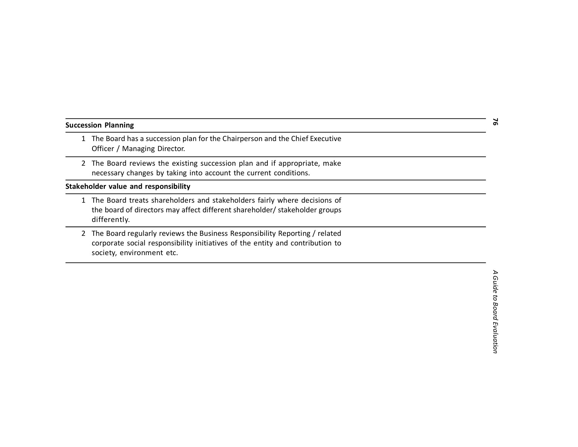| <b>Succession Planning</b> |  |
|----------------------------|--|
|----------------------------|--|

- 1 The Board has a succession plan for the Chairperson and the Chief Executive Officer / Managing Director.
- 2 The Board reviews the existing succession plan and if appropriate, make necessary changes by taking into account the current conditions.

**Stakeholder value and responsibility**

- 1 The Board treats shareholders and stakeholders fairly where decisions of the board of directors may affect different shareholder/ stakeholder groups differently.
- 2 The Board regularly reviews the Business Responsibility Reporting / related corporate social responsibility initiatives of the entity and contribution to society, environment etc.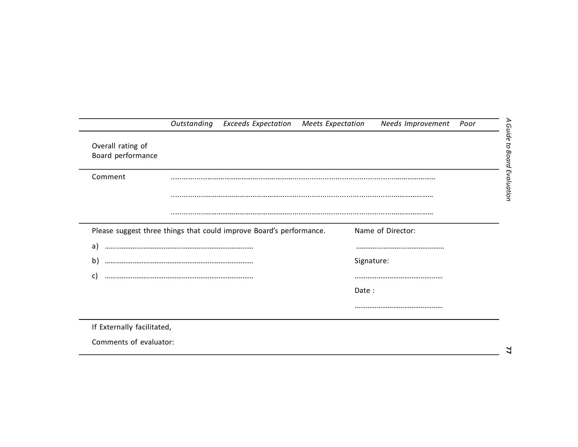|                                        | Outstanding | <b>Exceeds Expectation</b>                                          | Meets Expectation | Needs Improvement | Poor |
|----------------------------------------|-------------|---------------------------------------------------------------------|-------------------|-------------------|------|
| Overall rating of<br>Board performance |             |                                                                     |                   |                   |      |
| Comment                                |             |                                                                     |                   |                   |      |
|                                        |             |                                                                     |                   |                   |      |
|                                        |             |                                                                     |                   |                   |      |
|                                        |             |                                                                     |                   |                   |      |
|                                        |             | Please suggest three things that could improve Board's performance. |                   | Name of Director: |      |
|                                        |             |                                                                     |                   |                   |      |
| b)                                     |             |                                                                     |                   | Signature:        |      |
| C                                      |             |                                                                     |                   |                   |      |
| a)                                     |             |                                                                     | Date:             |                   |      |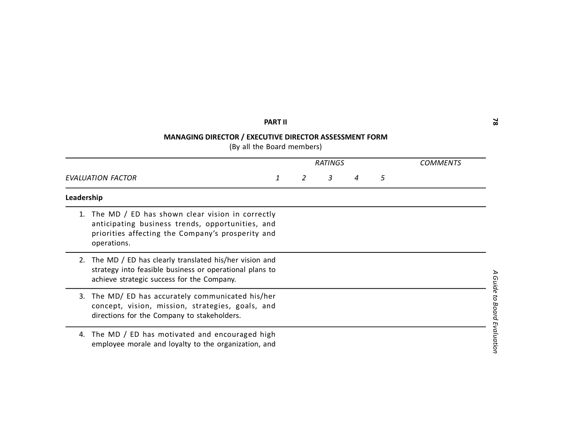# **PART II**

# **MANAGING DIRECTOR / EXECUTIVE DIRECTOR ASSESSMENT FORM**

(By all the Board members)

|            |                                                                                                                                                                         |  |  | <b>RATINGS</b> | COMMENTS |   |            |
|------------|-------------------------------------------------------------------------------------------------------------------------------------------------------------------------|--|--|----------------|----------|---|------------|
|            | EVALUATION FACTOR                                                                                                                                                       |  |  | 3              | 4        | 5 |            |
| Leadership |                                                                                                                                                                         |  |  |                |          |   |            |
| 1.         | The MD / ED has shown clear vision in correctly<br>anticipating business trends, opportunities, and<br>priorities affecting the Company's prosperity and<br>operations. |  |  |                |          |   |            |
| 2.         | The MD / ED has clearly translated his/her vision and<br>strategy into feasible business or operational plans to<br>achieve strategic success for the Company.          |  |  |                |          |   | 4 Guide    |
| 3.         | The MD/ ED has accurately communicated his/her<br>concept, vision, mission, strategies, goals, and<br>directions for the Company to stakeholders.                       |  |  |                |          |   | to Board   |
| 4.         | The MD / ED has motivated and encouraged high<br>employee morale and loyalty to the organization, and                                                                   |  |  |                |          |   | Evaluation |

 $\mathbf{z}$ *A Guide to Board Evaluation* **78**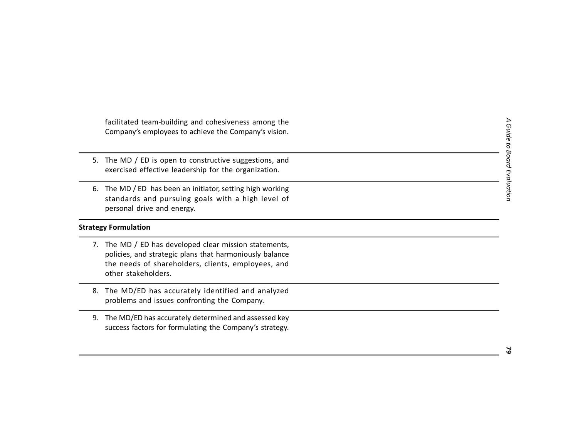facilitated team-building and cohesiveness among the Company's employees to achieve the Company's vision.

- 5. The MD / ED is open to constructive suggestions, and exercised effective leadership for the organization.
- 6. The MD / ED has been an initiator, setting high working standards and pursuing goals with a high level of personal drive and energy.

## **Strategy Formulation**

- 7. The MD / ED has developed clear mission statements, policies, and strategic plans that harmoniously balance the needs of shareholders, clients, employees, and other stakeholders.
- 8. The MD/ED has accurately identified and analyzed problems and issues confronting the Company.
- 9. The MD/ED has accurately determined and assessed key success factors for formulating the Company's strategy.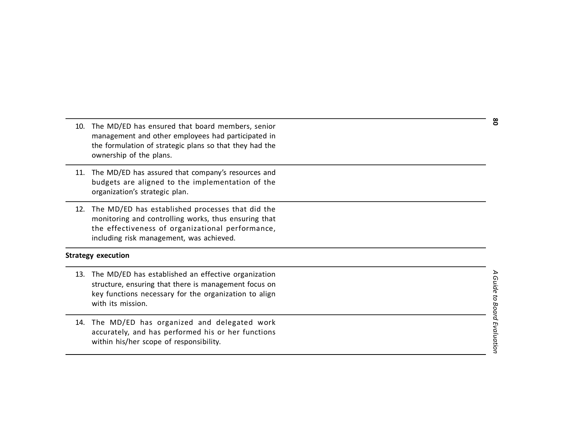- 10. The MD/ED has ensured that board members, senior management and other employees had participated in the formulation of strategic plans so that they had the ownership of the plans.
- 11. The MD/ED has assured that company's resources and budgets are aligned to the implementation of the organization's strategic plan.
- 12. The MD/ED has established processes that did the monitoring and controlling works, thus ensuring that the effectiveness of organizational performance, including risk management, was achieved.

## **Strategy execution**

- 13. The MD/ED has established an effective organization structure, ensuring that there is management focus on key functions necessary for the organization to align with its mission.
- 14. The MD/ED has organized and delegated work accurately, and has performed his or her functions within his/her scope of responsibility.

*A Guide to Board Evaluation* **80** A Guide to Board Evaluation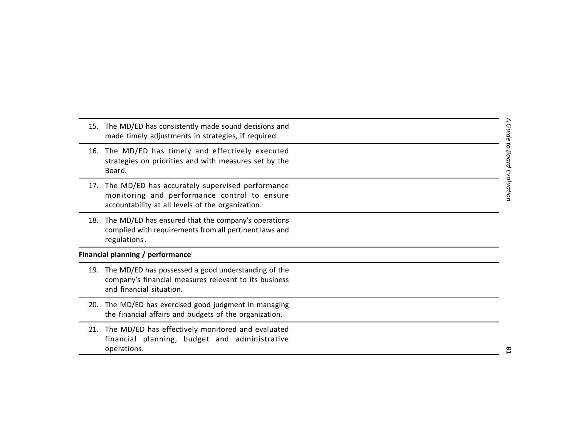- 15. The MD/ED has consistently made sound decisions and made timely adjustments in strategies, if required. 16. The MD/ED has timely and effectively executed strategies on priorities and with measures set by the Board. 17. The MD/ED has accurately supervised performance monitoring and performance control to ensure accountability at all levels of the organization. 18. The MD/ED has ensured that the company's operations complied with requirements from all pertinent laws and regulations . **Financial planning / performance**
	- 19. The MD/ED has possessed a good understanding of the company's financial measures relevant to its business and financial situation.
	- 20. The MD/ED has exercised good judgment in managing the financial affairs and budgets of the organization.
	- 21. The MD/ED has effectively monitored and evaluated financial planning, budget and administrative operations.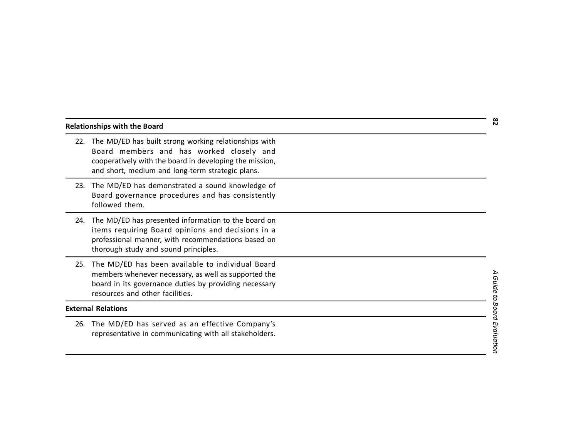#### **Relationships with the Board**

- 22. The MD/ED has built strong working relationships with Board members and has worked closely and cooperatively with the board in developing the mission, and short, medium and long-term strategic plans.
- 23. The MD/ED has demonstrated a sound knowledge of Board governance procedures and has consistently followed them.
- 24. The MD/ED has presented information to the board on items requiring Board opinions and decisions in a professional manner, with recommendations based on thorough study and sound principles.
- 25. The MD/ED has been available to individual Board members whenever necessary, as well as supported the board in its governance duties by providing necessary resources and other facilities.

#### **External Relations**

26. The MD/ED has served as an effective Company's representative in communicating with all stakeholders.

*A Guide to Board Evaluation* **82** A Guide to Board Evaluation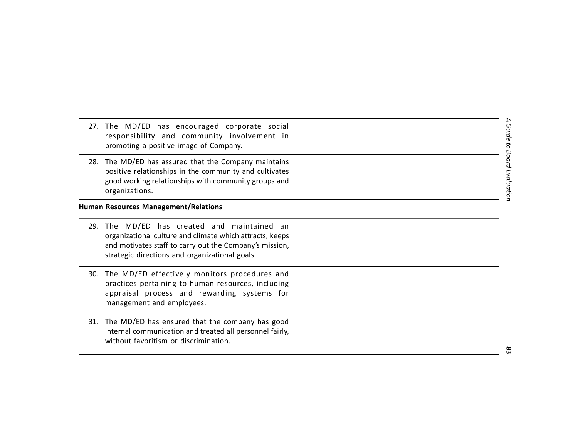- 27. The MD/ED has encouraged corporate social responsibility and community involvement in promoting a positive image of Company.
- 28. The MD/ED has assured that the Company maintains positive relationships in the community and cultivates good working relationships with community groups and organizations.

## **Human Resources Management/Relations**

- 29. The MD/ED has created and maintained an organizational culture and climate which attracts, keeps and motivates staff to carry out the Company's mission, strategic directions and organizational goals.
- 30. The MD/ED effectively monitors procedures and practices pertaining to human resources, including appraisal process and rewarding systems for management and employees.
- 31. The MD/ED has ensured that the company has good internal communication and treated all personnel fairly, without favoritism or discrimination.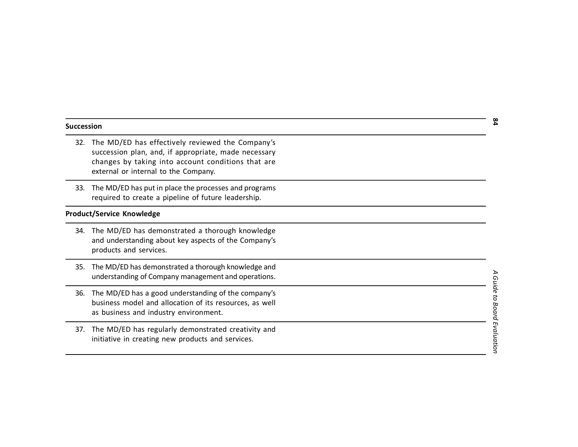#### **Succession**

- 32. The MD/ED has effectively reviewed the Company's succession plan, and, if appropriate, made necessary changes by taking into account conditions that are external or internal to the Company.
- 33. The MD/ED has put in place the processes and programs required to create a pipeline of future leadership.

## **Product/Service Knowledge**

- 34. The MD/ED has demonstrated a thorough knowledge and understanding about key aspects of the Company's products and services.
- 35. The MD/ED has demonstrated a thorough knowledge and understanding of Company management and operations.
- 36. The MD/ED has a good understanding of the company's business model and allocation of its resources, as well as business and industry environment.
- 37. The MD/ED has regularly demonstrated creativity and initiative in creating new products and services.

*A Guide to Board Evaluation* **84**  $\blacktriangleright$ Guide to Board Evaluation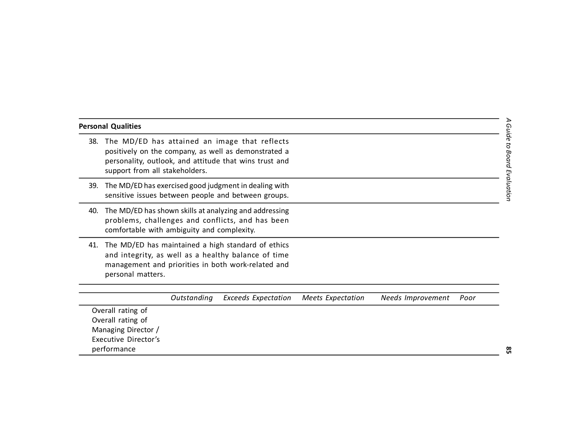| the control of the control of the control of the control of the control of the control of |  |  |
|-------------------------------------------------------------------------------------------|--|--|
|                                                                                           |  |  |
| <u> 1989 - Johann Stoff, Amerikaansk politiker (</u>                                      |  |  |
|                                                                                           |  |  |
|                                                                                           |  |  |
|                                                                                           |  |  |
|                                                                                           |  |  |
|                                                                                           |  |  |
|                                                                                           |  |  |
|                                                                                           |  |  |
|                                                                                           |  |  |

# 38. The MD/ED has attained an image that reflects positively on the company, as well as demonstrated a personality, outlook, and attitude that wins trust and support from all stakeholders. 39. The MD/ED has exercised good judgment in dealing with sensitive issues between people and between groups. 40. The MD/ED has shown skills at analyzing and addressing problems, challenges and conflicts, and has been comfortable with ambiguity and complexity.

41. The MD/ED has maintained a high standard of ethics and integrity, as well as a healthy balance of time management and priorities in both work-related and personal matters.

**Personal Qualities**

|                      | Outstanding Exceeds Expectation Meets Expectation | Needs Improvement | Poor |
|----------------------|---------------------------------------------------|-------------------|------|
| Overall rating of    |                                                   |                   |      |
| Overall rating of    |                                                   |                   |      |
| Managing Director /  |                                                   |                   |      |
| Executive Director's |                                                   |                   |      |
| performance          |                                                   |                   |      |

*A Guide to Board Evaluation*

A Guide to Board Evaluation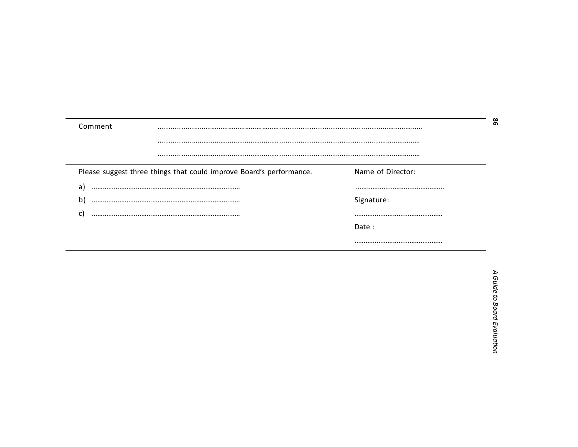| Comment<br> |                                                                     |                   |  |  |  |  |  |
|-------------|---------------------------------------------------------------------|-------------------|--|--|--|--|--|
|             |                                                                     |                   |  |  |  |  |  |
|             |                                                                     |                   |  |  |  |  |  |
|             | Please suggest three things that could improve Board's performance. | Name of Director: |  |  |  |  |  |
| a           |                                                                     |                   |  |  |  |  |  |
| b           |                                                                     | Signature:        |  |  |  |  |  |
| C           |                                                                     |                   |  |  |  |  |  |
|             |                                                                     | Date:             |  |  |  |  |  |
|             |                                                                     |                   |  |  |  |  |  |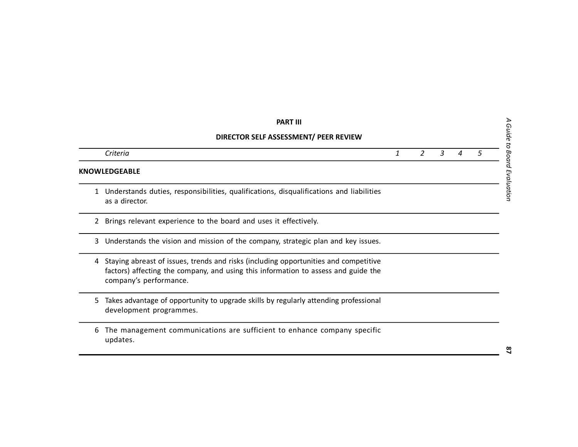|                                       | <b>PART III</b>                                                                                                                                                                                      |   |   |   |   |   |  |  |
|---------------------------------------|------------------------------------------------------------------------------------------------------------------------------------------------------------------------------------------------------|---|---|---|---|---|--|--|
| DIRECTOR SELF ASSESSMENT/ PEER REVIEW |                                                                                                                                                                                                      |   |   |   |   |   |  |  |
|                                       | Criteria                                                                                                                                                                                             | 1 | 2 | 3 | 4 | 5 |  |  |
|                                       | <b>KNOWLEDGEABLE</b>                                                                                                                                                                                 |   |   |   |   |   |  |  |
| 1.                                    | Understands duties, responsibilities, qualifications, disqualifications and liabilities<br>as a director.                                                                                            |   |   |   |   |   |  |  |
| $\mathbf{2}$                          | Brings relevant experience to the board and uses it effectively.                                                                                                                                     |   |   |   |   |   |  |  |
| 3                                     | Understands the vision and mission of the company, strategic plan and key issues.                                                                                                                    |   |   |   |   |   |  |  |
| 4                                     | Staying abreast of issues, trends and risks (including opportunities and competitive<br>factors) affecting the company, and using this information to assess and guide the<br>company's performance. |   |   |   |   |   |  |  |
| 5.                                    | Takes advantage of opportunity to upgrade skills by regularly attending professional<br>development programmes.                                                                                      |   |   |   |   |   |  |  |
| 6                                     | The management communications are sufficient to enhance company specific<br>updates.                                                                                                                 |   |   |   |   |   |  |  |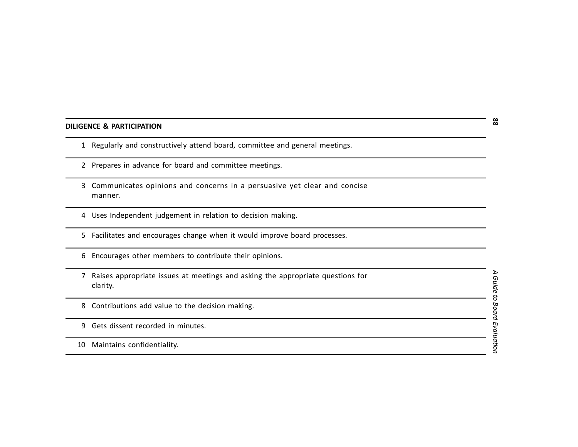#### **DILIGENCE & PARTICIPATION**

- Regularly and constructively attend board, committee and general meetings.
- Prepares in advance for board and committee meetings.
- Communicates opinions and concerns in a persuasive yet clear and concise manner.
- Uses Independent judgement in relation to decision making.
- Facilitates and encourages change when it would improve board processes.
- Encourages other members to contribute their opinions.
- Raises appropriate issues at meetings and asking the appropriate questions for clarity.
- Contributions add value to the decision making.
- Gets dissent recorded in minutes.
- Maintains confidentiality.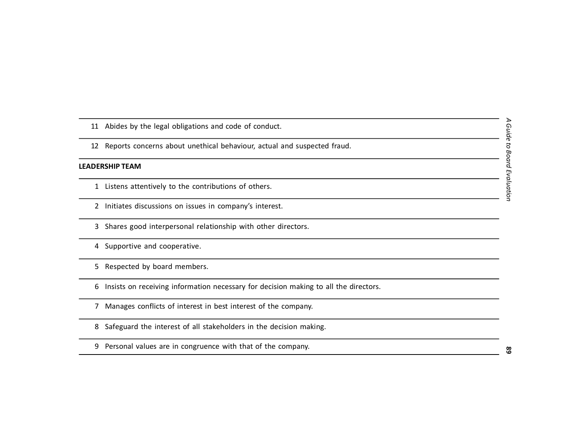- Abides by the legal obligations and code of conduct.
- Reports concerns about unethical behaviour, actual and suspected fraud.

#### **LEADERSHIP TEAM**

- Listens attentively to the contributions of others.
- Initiates discussions on issues in company's interest.
- Shares good interpersonal relationship with other directors.
- Supportive and cooperative.
- Respected by board members.
- Insists on receiving information necessary for decision making to all the directors.
- Manages conflicts of interest in best interest of the company.
- Safeguard the interest of all stakeholders in the decision making.
- Personal values are in congruence with that of the company.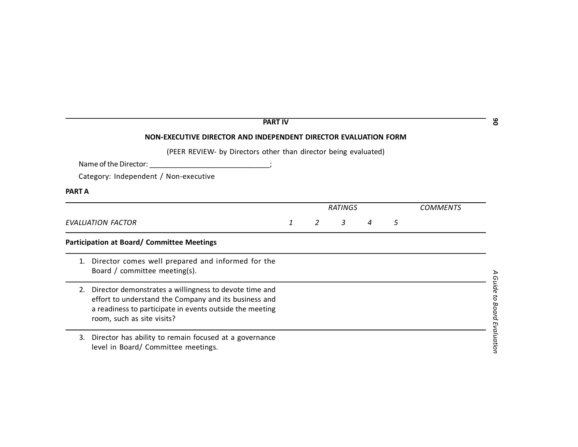|               | <b>PART IV</b>                                                                                                                                                                                            |   |   |                |   |   |                 | ိ                        |
|---------------|-----------------------------------------------------------------------------------------------------------------------------------------------------------------------------------------------------------|---|---|----------------|---|---|-----------------|--------------------------|
|               | NON-EXECUTIVE DIRECTOR AND INDEPENDENT DIRECTOR EVALUATION FORM                                                                                                                                           |   |   |                |   |   |                 |                          |
|               | (PEER REVIEW- by Directors other than director being evaluated)                                                                                                                                           |   |   |                |   |   |                 |                          |
|               | Name of the Director:                                                                                                                                                                                     |   |   |                |   |   |                 |                          |
|               | Category: Independent / Non-executive                                                                                                                                                                     |   |   |                |   |   |                 |                          |
| <b>PART A</b> |                                                                                                                                                                                                           |   |   |                |   |   |                 |                          |
|               |                                                                                                                                                                                                           |   |   | <b>RATINGS</b> |   |   | <b>COMMENTS</b> |                          |
|               | <b>EVALUATION FACTOR</b>                                                                                                                                                                                  | 1 | 2 | 3              | 4 | 5 |                 |                          |
|               | <b>Participation at Board/ Committee Meetings</b>                                                                                                                                                         |   |   |                |   |   |                 |                          |
| 1.            | Director comes well prepared and informed for the<br>Board / committee meeting(s).                                                                                                                        |   |   |                |   |   |                 |                          |
| 2.            | Director demonstrates a willingness to devote time and<br>effort to understand the Company and its business and<br>a readiness to participate in events outside the meeting<br>room, such as site visits? |   |   |                |   |   |                 | Guide to Board Evaluatio |
| 3.            | Director has ability to remain focused at a governance<br>level in Board/ Committee meetings.                                                                                                             |   |   |                |   |   |                 |                          |

Ŕ  $q_E$  $\equiv$ ation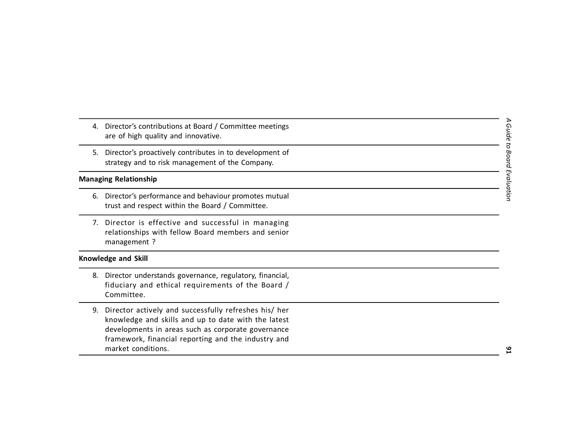- 4. Director's contributions at Board / Committee meetings are of high quality and innovative.
- 5. Director's proactively contributes in to development of strategy and to risk management of the Company.

## **Managing Relationship**

- 6. Director's performance and behaviour promotes mutual trust and respect within the Board / Committee.
- 7. Director is effective and successful in managing relationships with fellow Board members and senior management ?

### **Knowledge and Skill**

- 8. Director understands governance, regulatory, financial, fiduciary and ethical requirements of the Board / Committee.
- 9. Director actively and successfully refreshes his/ her knowledge and skills and up to date with the latest developments in areas such as corporate governance framework, financial reporting and the industry and market conditions.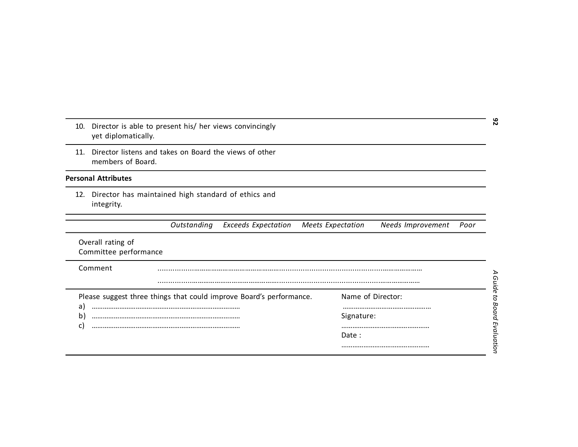| 10.                      | yet diplomatically.                        | Director is able to present his/ her views convincingly |                                                                     |                          |                   |      |
|--------------------------|--------------------------------------------|---------------------------------------------------------|---------------------------------------------------------------------|--------------------------|-------------------|------|
| 11.                      | members of Board.                          | Director listens and takes on Board the views of other  |                                                                     |                          |                   |      |
|                          | <b>Personal Attributes</b>                 |                                                         |                                                                     |                          |                   |      |
| 12.                      | integrity.                                 | Director has maintained high standard of ethics and     |                                                                     |                          |                   |      |
|                          |                                            | Outstanding                                             | <b>Exceeds Expectation</b>                                          | <b>Meets Expectation</b> | Needs Improvement | Poor |
|                          | Overall rating of<br>Committee performance |                                                         |                                                                     |                          |                   |      |
|                          | Comment                                    |                                                         |                                                                     |                          |                   |      |
|                          |                                            |                                                         |                                                                     |                          |                   |      |
|                          |                                            |                                                         | Please suggest three things that could improve Board's performance. |                          | Name of Director: |      |
| a)<br>$\mathsf{b}$<br>C) |                                            |                                                         |                                                                     | Signature:               |                   |      |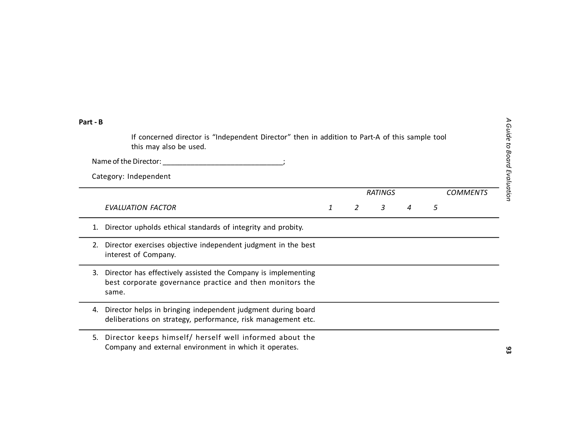**93**

| Part - B |                                                                                                                                    |   |   |                |                           |   |                 |
|----------|------------------------------------------------------------------------------------------------------------------------------------|---|---|----------------|---------------------------|---|-----------------|
|          | If concerned director is "Independent Director" then in addition to Part-A of this sample tool<br>this may also be used.           |   |   |                |                           |   |                 |
|          | Name of the Director: Name of the Director:                                                                                        |   |   |                |                           |   |                 |
|          | Category: Independent                                                                                                              |   |   |                |                           |   |                 |
|          |                                                                                                                                    |   |   | <b>RATINGS</b> |                           |   | <b>COMMENTS</b> |
|          | <b>EVALUATION FACTOR</b>                                                                                                           | 1 | 2 | $\mathcal{E}$  | $\boldsymbol{\varLambda}$ | 5 |                 |
| 1.       | Director upholds ethical standards of integrity and probity.                                                                       |   |   |                |                           |   |                 |
| 2.       | Director exercises objective independent judgment in the best<br>interest of Company.                                              |   |   |                |                           |   |                 |
| 3.       | Director has effectively assisted the Company is implementing<br>best corporate governance practice and then monitors the<br>same. |   |   |                |                           |   |                 |
| 4.       | Director helps in bringing independent judgment during board<br>deliberations on strategy, performance, risk management etc.       |   |   |                |                           |   |                 |
| 5.       | Director keeps himself/ herself well informed about the<br>Company and external environment in which it operates.                  |   |   |                |                           |   |                 |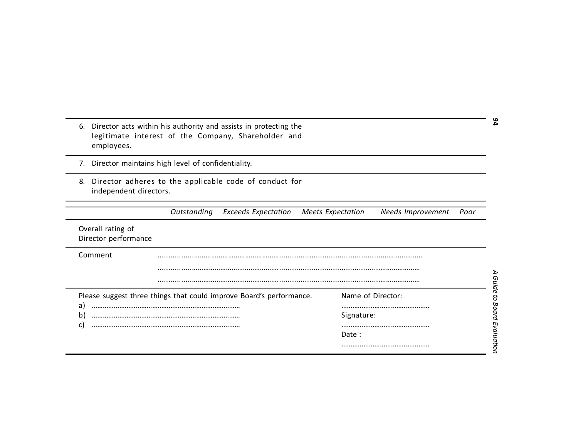- 6. Director acts within his authority and assists in protecting the legitimate interest of the Company, Shareholder and employees.
- 7. Director maintains high level of confidentiality.
- 8. Director adheres to the applicable code of conduct for independent directors.

| Director acts within his authority and assists in protecting the<br>6.<br>legitimate interest of the Company, Shareholder and<br>employees. |                                                                     |                                                       |  |  |  |
|---------------------------------------------------------------------------------------------------------------------------------------------|---------------------------------------------------------------------|-------------------------------------------------------|--|--|--|
| 7.                                                                                                                                          | Director maintains high level of confidentiality.                   |                                                       |  |  |  |
| 8.<br>independent directors.                                                                                                                | Director adheres to the applicable code of conduct for              |                                                       |  |  |  |
|                                                                                                                                             | Outstanding<br><b>Exceeds Expectation</b>                           | <b>Meets Expectation</b><br>Needs Improvement<br>Poor |  |  |  |
| Overall rating of<br>Director performance                                                                                                   |                                                                     |                                                       |  |  |  |
| Comment                                                                                                                                     |                                                                     |                                                       |  |  |  |
|                                                                                                                                             |                                                                     |                                                       |  |  |  |
|                                                                                                                                             |                                                                     |                                                       |  |  |  |
| a)                                                                                                                                          | Please suggest three things that could improve Board's performance. | Name of Director:                                     |  |  |  |
| $\mathsf{b}$                                                                                                                                |                                                                     | Signature:                                            |  |  |  |
| $\mathsf{C}$                                                                                                                                |                                                                     | Date:                                                 |  |  |  |
|                                                                                                                                             |                                                                     |                                                       |  |  |  |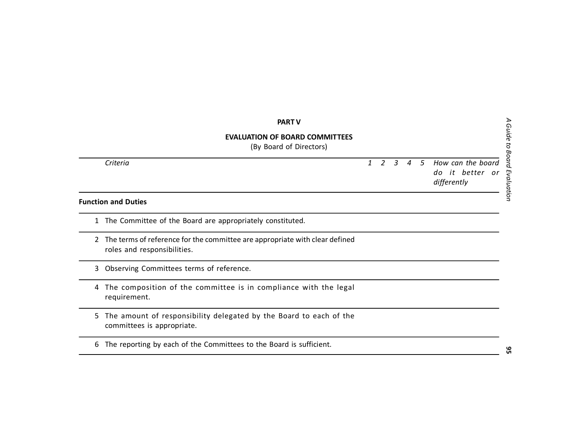|   | <b>PART V</b>                                                                                              |              |   |                |     |                                                     |
|---|------------------------------------------------------------------------------------------------------------|--------------|---|----------------|-----|-----------------------------------------------------|
|   | <b>EVALUATION OF BOARD COMMITTEES</b><br>(By Board of Directors)                                           |              |   |                |     |                                                     |
|   | Criteria                                                                                                   | $\mathbf{1}$ | 2 | $\overline{3}$ | 4 5 | How can the board<br>do it better or<br>differently |
|   | <b>Function and Duties</b>                                                                                 |              |   |                |     |                                                     |
| 1 | The Committee of the Board are appropriately constituted.                                                  |              |   |                |     |                                                     |
| 2 | The terms of reference for the committee are appropriate with clear defined<br>roles and responsibilities. |              |   |                |     |                                                     |
| 3 | Observing Committees terms of reference.                                                                   |              |   |                |     |                                                     |
| 4 | The composition of the committee is in compliance with the legal<br>requirement.                           |              |   |                |     |                                                     |
| 5 | The amount of responsibility delegated by the Board to each of the<br>committees is appropriate.           |              |   |                |     |                                                     |
| 6 | The reporting by each of the Committees to the Board is sufficient.                                        |              |   |                |     |                                                     |

A Guide to Board Evaluation *A Guide to Board Evaluation*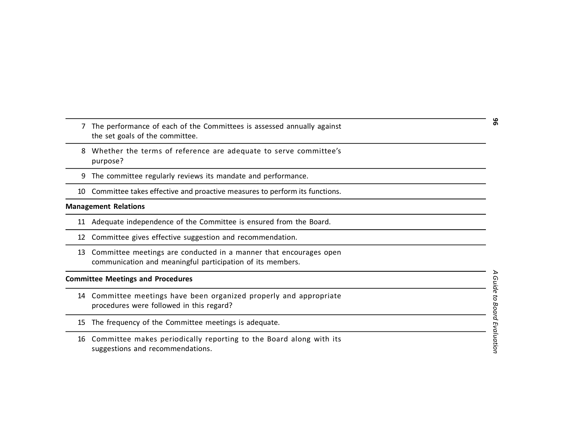- 7 The performance of each of the Committees is assessed annually against the set goals of the committee.
- 8 Whether the terms of reference are adequate to serve committee's purpose?
- 9 The committee regularly reviews its mandate and performance.
- 10 Committee takes effective and proactive measures to perform its functions.

## **Management Relations**

- 11 Adequate independence of the Committee is ensured from the Board.
- 12 Committee gives effective suggestion and recommendation.
- 13 Committee meetings are conducted in a manner that encourages open communication and meaningful participation of its members.

#### **Committee Meetings and Procedures**

- 14 Committee meetings have been organized properly and appropriate procedures were followed in this regard?
- 15 The frequency of the Committee meetings is adequate.
- 16 Committee makes periodically reporting to the Board along with its suggestions and recommendations.

*A Guide to Board Evaluation* **96** Guide to Board Evaluation

 $\triangleright$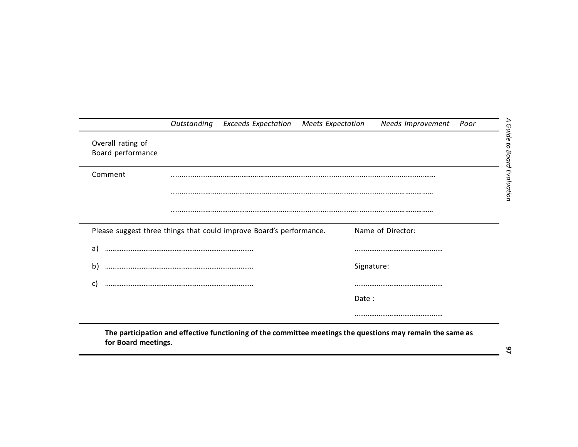|                                        | <b>Outstanding</b> Exceeds Expectation                              | Meets Expectation | Needs Improvement | Poor |
|----------------------------------------|---------------------------------------------------------------------|-------------------|-------------------|------|
| Overall rating of<br>Board performance |                                                                     |                   |                   |      |
| Comment                                |                                                                     |                   |                   |      |
|                                        |                                                                     |                   |                   |      |
|                                        |                                                                     |                   |                   |      |
|                                        | Please suggest three things that could improve Board's performance. |                   | Name of Director: |      |
| a)                                     |                                                                     |                   |                   |      |
| $\mathbf{b}$                           |                                                                     | Signature:        |                   |      |
| C                                      |                                                                     |                   |                   |      |
|                                        |                                                                     | Date:             |                   |      |
|                                        |                                                                     |                   |                   |      |

**The participation and effective functioning of the committee meetings the questions may remain the same as for Board meetings.**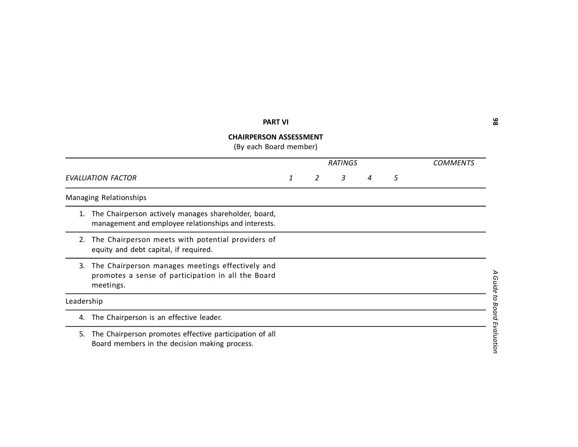# **PART VI**

## **CHAIRPERSON ASSESSMENT**

(By each Board member)

|            |                                                                                                                     |   | <b>RATINGS</b> | COMMENTS     |   |   |  |
|------------|---------------------------------------------------------------------------------------------------------------------|---|----------------|--------------|---|---|--|
|            | <b>EVALUATION FACTOR</b>                                                                                            | 1 | 2              | $\mathbf{3}$ | 4 | 5 |  |
|            | Managing Relationships                                                                                              |   |                |              |   |   |  |
| 1.         | The Chairperson actively manages shareholder, board,<br>management and employee relationships and interests.        |   |                |              |   |   |  |
| 2.         | The Chairperson meets with potential providers of<br>equity and debt capital, if required.                          |   |                |              |   |   |  |
| 3.         | The Chairperson manages meetings effectively and<br>promotes a sense of participation in all the Board<br>meetings. |   |                |              |   |   |  |
| Leadership |                                                                                                                     |   |                |              |   |   |  |
| 4.         | The Chairperson is an effective leader.                                                                             |   |                |              |   |   |  |
| 5.         | The Chairperson promotes effective participation of all<br>Board members in the decision making process.            |   |                |              |   |   |  |

*A Guide to Board Evaluation* **98** A Guide to Board Evaluation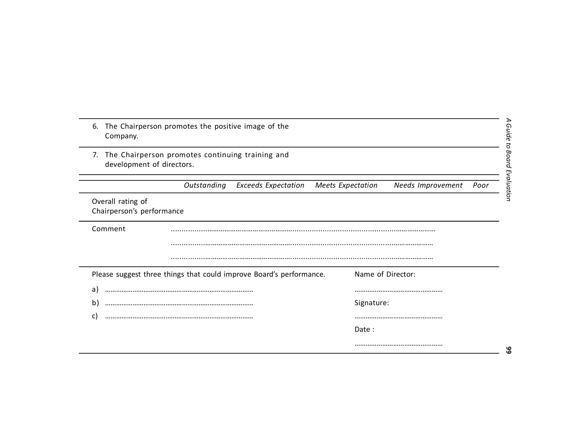| The Chairperson promotes the positive image of the<br>6.<br>Company.                |                             |
|-------------------------------------------------------------------------------------|-----------------------------|
| The Chairperson promotes continuing training and<br>7.<br>development of directors. | A Guide to Board Evaluation |
| Outstanding<br><b>Exceeds Expectation</b><br><b>Meets Expectation</b>               | Needs Improvement<br>Poor   |
| Overall rating of<br>Chairperson's performance                                      |                             |
| Comment                                                                             |                             |
|                                                                                     |                             |
| Please suggest three things that could improve Board's performance.                 | Name of Director:           |
| a)                                                                                  |                             |
| $\mathsf{b}$                                                                        | Signature:                  |
| $\mathsf{C}$                                                                        |                             |
|                                                                                     | Date:                       |
|                                                                                     | မိ                          |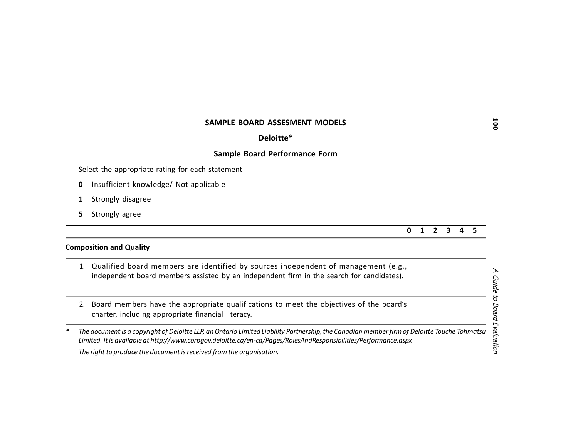#### **SAMPLE BOARD ASSESMENT MODELS**

#### **Deloitte\***

#### **Sample Board Performance Form**

Select the appropriate rating for each statement

- **0** Insufficient knowledge/ Not applicable
- **1** Strongly disagree
- **5** Strongly agree

#### **0 1 2 3 4 5**

#### **Composition and Quality**

| 1. Qualified board members are identified by sources independent of management (e.g.,    |
|------------------------------------------------------------------------------------------|
| independent board members assisted by an independent firm in the search for candidates). |
|                                                                                          |
|                                                                                          |

2. Board members have the appropriate qualifications to meet the objectives of the board's charter, including appropriate financial literacy.

*\* The document is a copyright of Deloitte LLP, an Ontario Limited Liability Partnership, the Canadian member firm of Deloitte Touche Tohmatsu Limited. It is available at<http://www.corpgov.deloitte.ca/en-ca/Pages/RolesAndResponsibilities/Performance.aspx>*

*The right to produce the document is received from the organisation.*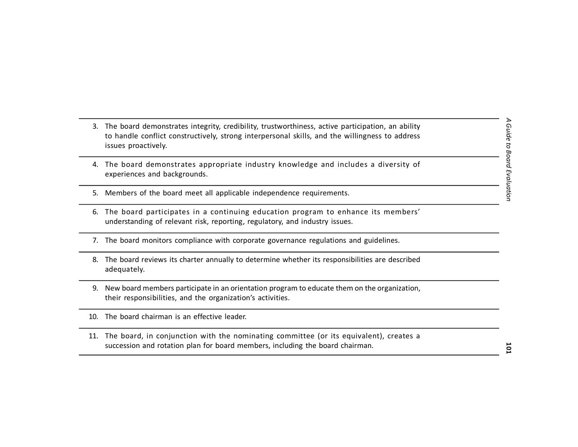- 3. The board demonstrates integrity, credibility, trustworthiness, active participation, an ability to handle conflict constructively, strong interpersonal skills, and the willingness to address issues proactively.
- 4. The board demonstrates appropriate industry knowledge and includes a diversity of experiences and backgrounds.
- 5. Members of the board meet all applicable independence requirements.
- 6. The board participates in a continuing education program to enhance its members' understanding of relevant risk, reporting, regulatory, and industry issues.
- 7. The board monitors compliance with corporate governance regulations and guidelines.
- 8. The board reviews its charter annually to determine whether its responsibilities are described adequately.
- 9. New board members participate in an orientation program to educate them on the organization, their responsibilities, and the organization's activities.
- 10. The board chairman is an effective leader.
- 11. The board, in conjunction with the nominating committee (or its equivalent), creates a succession and rotation plan for board members, including the board chairman.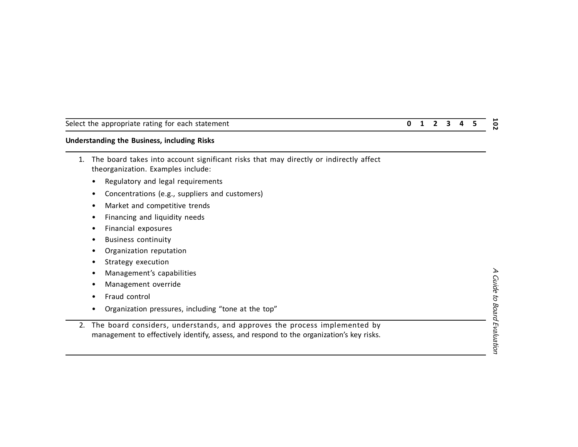# **Understanding the Business, including Risks**

- 1. The board takes into account significant risks that may directly or indirectly affect theorganization. Examples include:
	- Regulatory and legal requirements
	- Concentrations (e.g., suppliers and customers)
	- Market and competitive trends
	- Financing and liquidity needs
	- Financial exposures
	- Business continuity
	- Organization reputation
	- Strategy execution
	- Management's capabilities
	- Management override
	- Fraud control
	- Organization pressures, including "tone at the top"
- 2. The board considers, understands, and approves the process implemented by management to effectively identify, assess, and respond to the organization's key risks.

Select the appropriate rating for each statement **0 1 2 3 4 5**  $\overline{5}$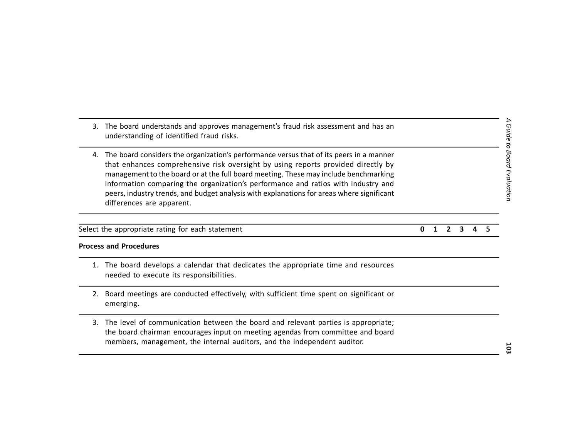Select the appropriate rating for each statement **0 1 2 3 4 5**

differences are apparent.

understanding of identified fraud risks.

#### **Process and Procedures**

1. The board develops a calendar that dedicates the appropriate time and resources needed to execute its responsibilities.

3. The board understands and approves management's fraud risk assessment and has an

4. The board considers the organization's performance versus that of its peers in a manner that enhances comprehensive risk oversight by using reports provided directly by management to the board or at the full board meeting. These may include benchmarking information comparing the organization's performance and ratios with industry and peers, industry trends, and budget analysis with explanations for areas where significant

- 2. Board meetings are conducted effectively, with sufficient time spent on significant or emerging.
- 3. The level of communication between the board and relevant parties is appropriate; the board chairman encourages input on meeting agendas from committee and board members, management, the internal auditors, and the independent auditor.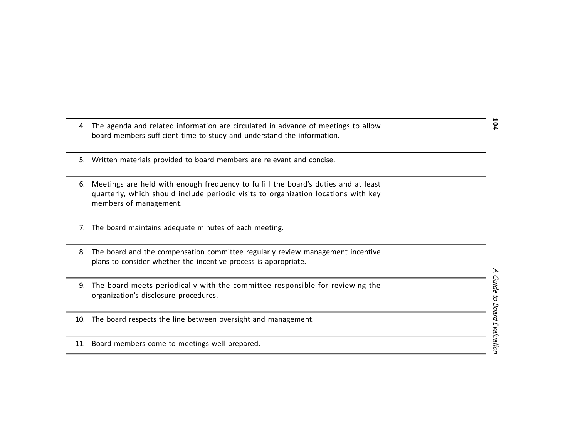- 4. The agenda and related information are circulated in advance of meetings to allow board members sufficient time to study and understand the information.
- 5. Written materials provided to board members are relevant and concise.
- 6. Meetings are held with enough frequency to fulfill the board's duties and at least quarterly, which should include periodic visits to organization locations with key members of management.
- 7. The board maintains adequate minutes of each meeting.
- 8. The board and the compensation committee regularly review management incentive plans to consider whether the incentive process is appropriate.
- 9. The board meets periodically with the committee responsible for reviewing the organization's disclosure procedures.
- 10. The board respects the line between oversight and management.
- 11. Board members come to meetings well prepared.

*A Guide to Board Evaluation* **104**  $\overline{r}$ **Guide to Board Evaluation**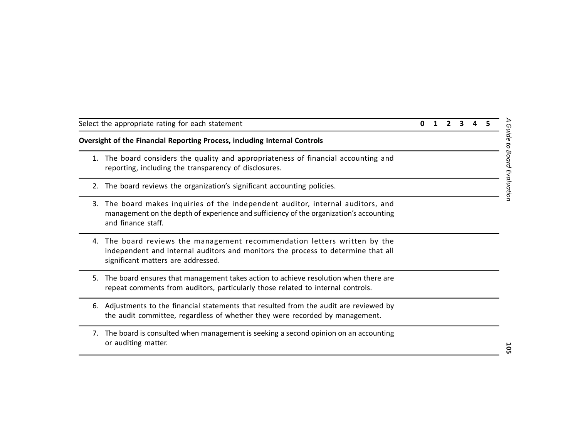|    | Select the appropriate rating for each statement                                                                                                                                                 |  |  |  |
|----|--------------------------------------------------------------------------------------------------------------------------------------------------------------------------------------------------|--|--|--|
|    | Oversight of the Financial Reporting Process, including Internal Controls                                                                                                                        |  |  |  |
| 1. | The board considers the quality and appropriateness of financial accounting and<br>reporting, including the transparency of disclosures.                                                         |  |  |  |
| 2. | The board reviews the organization's significant accounting policies.                                                                                                                            |  |  |  |
| 3. | The board makes inquiries of the independent auditor, internal auditors, and<br>management on the depth of experience and sufficiency of the organization's accounting<br>and finance staff.     |  |  |  |
| 4. | The board reviews the management recommendation letters written by the<br>independent and internal auditors and monitors the process to determine that all<br>significant matters are addressed. |  |  |  |
| 5. | The board ensures that management takes action to achieve resolution when there are<br>repeat comments from auditors, particularly those related to internal controls.                           |  |  |  |
| 6. | Adjustments to the financial statements that resulted from the audit are reviewed by<br>the audit committee, regardless of whether they were recorded by management.                             |  |  |  |
| 7. | The board is consulted when management is seeking a second opinion on an accounting<br>or auditing matter.                                                                                       |  |  |  |

*A Guide to Board Evaluation*

A Guide to Board Evaluation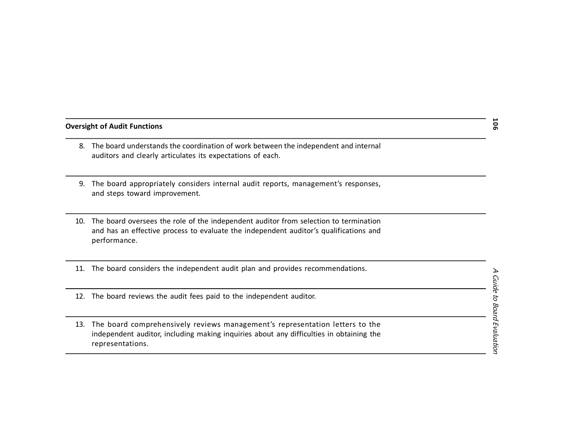#### **Oversight of Audit Functions**

- 8. The board understands the coordination of work between the independent and internal auditors and clearly articulates its expectations of each.
- 9. The board appropriately considers internal audit reports, management's responses, and steps toward improvement.
- 10. The board oversees the role of the independent auditor from selection to termination and has an effective process to evaluate the independent auditor's qualifications and performance.
- 11. The board considers the independent audit plan and provides recommendations.
- 12. The board reviews the audit fees paid to the independent auditor.
- 13. The board comprehensively reviews management's representation letters to the independent auditor, including making inquiries about any difficulties in obtaining the representations.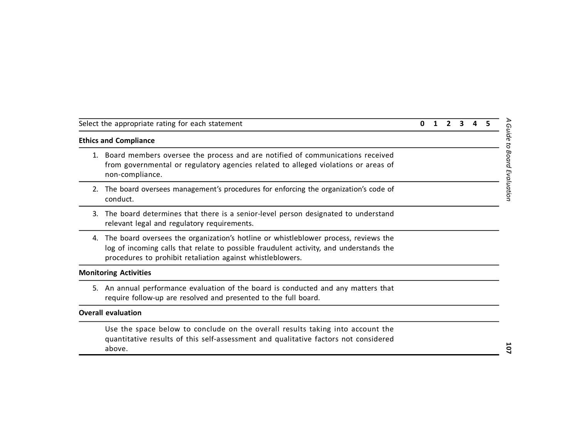| Select the appropriate rating for each statement |  |  | 0 1 2 3 4 5 |  |
|--------------------------------------------------|--|--|-------------|--|
| <b>Ethics and Compliance</b>                     |  |  |             |  |

- 1. Board members oversee the process and are notified of communications received from governmental or regulatory agencies related to alleged violations or areas of non-compliance.
- 2. The board oversees management's procedures for enforcing the organization's code of conduct.
- 3. The board determines that there is a senior-level person designated to understand relevant legal and regulatory requirements.
- 4. The board oversees the organization's hotline or whistleblower process, reviews the log of incoming calls that relate to possible fraudulent activity, and understands the procedures to prohibit retaliation against whistleblowers.

#### **Monitoring Activities**

**Ethics and Compliance**

5. An annual performance evaluation of the board is conducted and any matters that require follow-up are resolved and presented to the full board.

#### **Overall evaluation**

Use the space below to conclude on the overall results taking into account the quantitative results of this self-assessment and qualitative factors not considered above.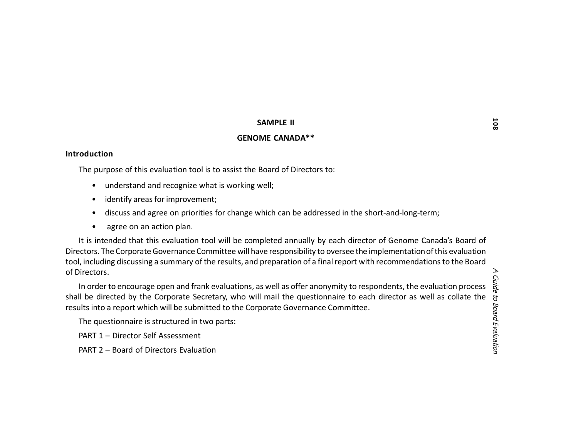#### **SAMPLE II**

# **GENOME CANADA\*\***

#### **Introduction**

The purpose of this evaluation tool is to assist the Board of Directors to:

- understand and recognize what is working well;
- identify areas for improvement;
- discuss and agree on priorities for change which can be addressed in the short-and-long-term;
- agree on an action plan.

It is intended that this evaluation tool will be completed annually by each director of Genome Canada's Board of Directors. The Corporate Governance Committee will have responsibility to oversee the implementation of this evaluation tool, including discussing a summary of the results, and preparation of a final report with recommendations to the Board of Directors.

In order to encourage open and frank evaluations, as well as offer anonymity to respondents, the evaluation process shall be directed by the Corporate Secretary, who will mail the questionnaire to each director as well as collate the results into a report which will be submitted to the Corporate Governance Committee.

The questionnaire is structured in two parts:

PART 1 – Director Self Assessment

PART 2 – Board of Directors Evaluation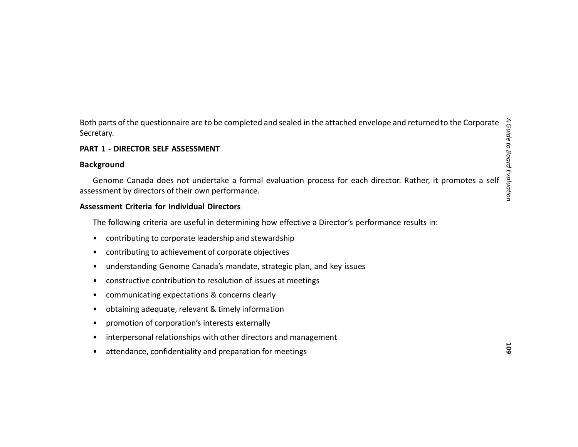Both parts of the questionnaire are to be completed and sealed in the attached envelope and returned to the Corporate Secretary.

# **PART 1 - DIRECTOR SELF ASSESSMENT**

#### **Background**

Genome Canada does not undertake a formal evaluation process for each director. Rather, it promotes a self assessment by directors of their own performance.

#### **Assessment Criteria for Individual Directors**

The following criteria are useful in determining how effective a Director's performance results in:

- contributing to corporate leadership and stewardship
- contributing to achievement of corporate objectives
- understanding Genome Canada's mandate, strategic plan, and key issues
- constructive contribution to resolution of issues at meetings
- communicating expectations & concerns clearly
- obtaining adequate, relevant & timely information
- promotion of corporation's interests externally
- interpersonal relationships with other directors and management
- attendance, confidentiality and preparation for meetings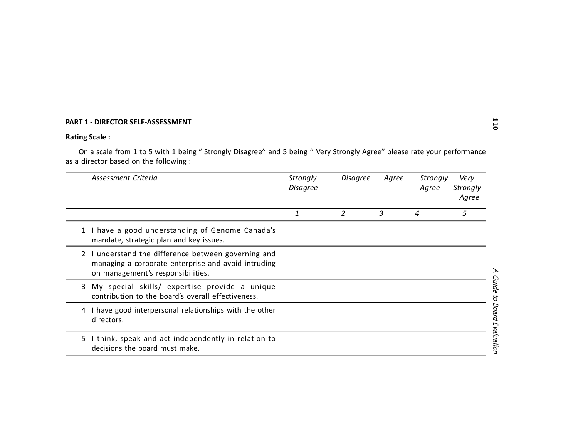# **PART 1 - DIRECTOR SELF-ASSESSMENT**

# **Rating Scale :**

|    | PART 1 - DIRECTOR SELF-ASSESSMENT                                                                                                                                |                             |                 |       |                   | 110                         |
|----|------------------------------------------------------------------------------------------------------------------------------------------------------------------|-----------------------------|-----------------|-------|-------------------|-----------------------------|
|    | <b>Rating Scale:</b>                                                                                                                                             |                             |                 |       |                   |                             |
|    | On a scale from 1 to 5 with 1 being "Strongly Disagree" and 5 being "Very Strongly Agree" please rate your performance<br>as a director based on the following : |                             |                 |       |                   |                             |
|    | Assessment Criteria                                                                                                                                              | Strongly<br><b>Disagree</b> | <b>Disagree</b> | Agree | Strongly<br>Agree | Very<br>Strongly<br>Agree   |
|    |                                                                                                                                                                  | 1                           | 2               | 3     | 4                 | 5                           |
|    | 1 I have a good understanding of Genome Canada's<br>mandate, strategic plan and key issues.                                                                      |                             |                 |       |                   |                             |
| 2  | I understand the difference between governing and<br>managing a corporate enterprise and avoid intruding<br>on management's responsibilities.                    |                             |                 |       |                   |                             |
| 3. | My special skills/ expertise provide a unique<br>contribution to the board's overall effectiveness.                                                              |                             |                 |       |                   |                             |
|    | 4 I have good interpersonal relationships with the other<br>directors.                                                                                           |                             |                 |       |                   | A Guide to Board Evaluation |
| 5. | I think, speak and act independently in relation to<br>decisions the board must make.                                                                            |                             |                 |       |                   |                             |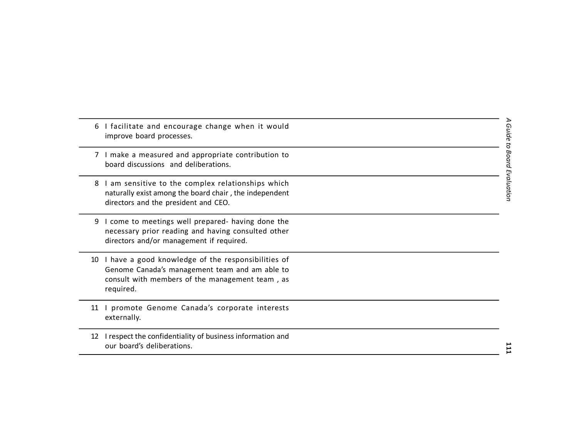|    | 6 I facilitate and encourage change when it would<br>improve board processes.                                                                                        |
|----|----------------------------------------------------------------------------------------------------------------------------------------------------------------------|
|    | I make a measured and appropriate contribution to<br>board discussions and deliberations.                                                                            |
|    | 8 I am sensitive to the complex relationships which<br>naturally exist among the board chair, the independent<br>directors and the president and CEO.                |
| 9  | I come to meetings well prepared- having done the<br>necessary prior reading and having consulted other<br>directors and/or management if required.                  |
| 10 | I have a good knowledge of the responsibilities of<br>Genome Canada's management team and am able to<br>consult with members of the management team, as<br>required. |
| 11 | promote Genome Canada's corporate interests<br>externally.                                                                                                           |
| 12 | I respect the confidentiality of business information and<br>our board's deliberations.                                                                              |

A Guide to Board Evaluation *A Guide to Board Evaluation*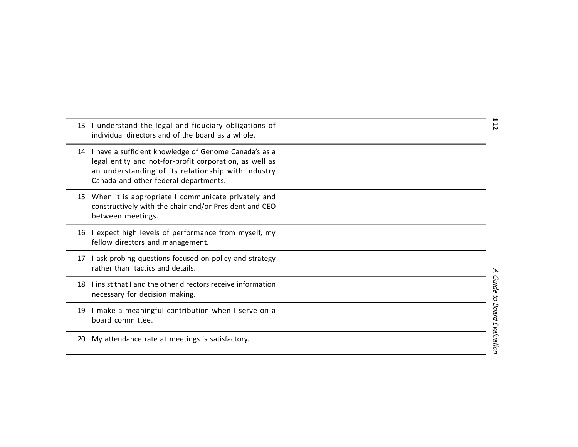| 13 | I understand the legal and fiduciary obligations of<br>individual directors and of the board as a whole.                                                                                                           | 112                              |
|----|--------------------------------------------------------------------------------------------------------------------------------------------------------------------------------------------------------------------|----------------------------------|
|    | 14 I have a sufficient knowledge of Genome Canada's as a<br>legal entity and not-for-profit corporation, as well as<br>an understanding of its relationship with industry<br>Canada and other federal departments. |                                  |
|    | 15 When it is appropriate I communicate privately and<br>constructively with the chair and/or President and CEO<br>between meetings.                                                                               |                                  |
| 16 | I expect high levels of performance from myself, my<br>fellow directors and management.                                                                                                                            |                                  |
| 17 | I ask probing questions focused on policy and strategy<br>rather than tactics and details.                                                                                                                         |                                  |
| 18 | I insist that I and the other directors receive information<br>necessary for decision making.                                                                                                                      |                                  |
| 19 | I make a meaningful contribution when I serve on a<br>board committee.                                                                                                                                             | <b>Guide to Board Evaluation</b> |
| 20 | My attendance rate at meetings is satisfactory.                                                                                                                                                                    |                                  |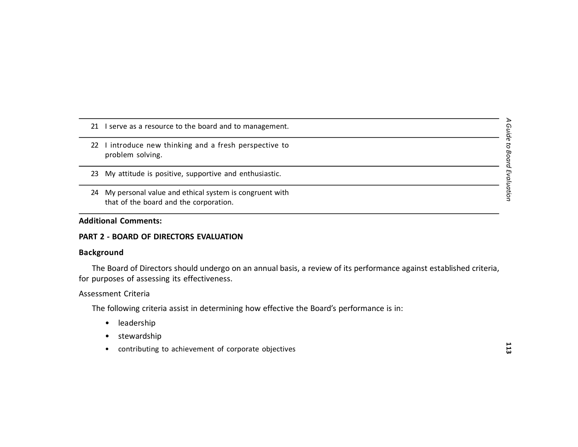- 21 I serve as a resource to the board and to management.
- 22 I introduce new thinking and a fresh perspective to problem solving.
- 23 My attitude is positive, supportive and enthusiastic.
- 24 My personal value and ethical system is congruent with that of the board and the corporation.

# **Additional Comments:**

#### **PART 2 - BOARD OF DIRECTORS EVALUATION**

#### **Background**

The Board of Directors should undergo on an annual basis, a review of its performance against established criteria, for purposes of assessing its effectiveness.

#### Assessment Criteria

The following criteria assist in determining how effective the Board's performance is in:

- leadership
- stewardship
- contributing to achievement of corporate objectives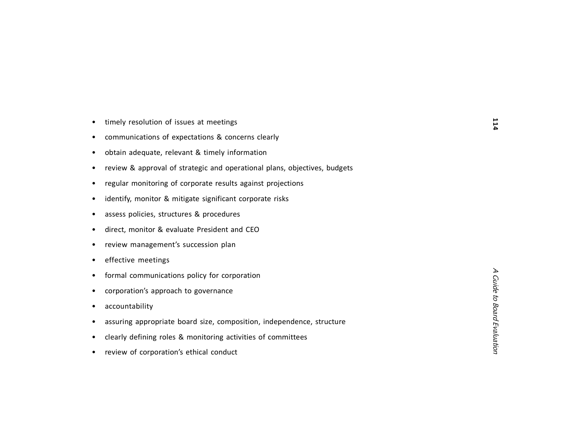|  |  | timely resolution of issues at meetings |  |  |  |  |
|--|--|-----------------------------------------|--|--|--|--|
|--|--|-----------------------------------------|--|--|--|--|

- communications of expectations & concerns clearly
- obtain adequate, relevant & timely information
- review & approval of strategic and operational plans, objectives, budgets
- regular monitoring of corporate results against projections
- identify, monitor & mitigate significant corporate risks
- assess policies, structures & procedures
- direct, monitor & evaluate President and CEO
- review management's succession plan
- effective meetings
- formal communications policy for corporation
- corporation's approach to governance
- accountability
- assuring appropriate board size, composition, independence, structure
- clearly defining roles & monitoring activities of committees
- review of corporation's ethical conduct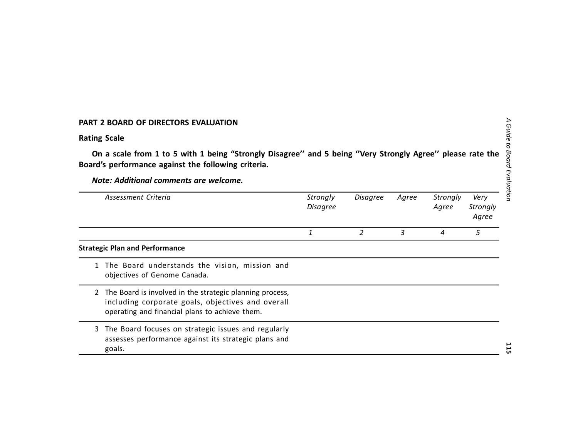# **PART 2 BOARD OF DIRECTORS EVALUATION**

# **Rating Scale**

**On a scale from 1 to 5 with 1 being "Strongly Disagree'' and 5 being ''Very Strongly Agree'' please rate the Board's performance against the following criteria.**

*Note: Additional comments are welcome.*

| Assessment Criteria | Strongly<br><b>Disagree</b> | Disagree | Agree | Strongly<br>Agree | Very<br>Strongly<br>Agree |
|---------------------|-----------------------------|----------|-------|-------------------|---------------------------|
|                     |                             |          |       |                   |                           |

#### **Strategic Plan and Performance**

- 1 The Board understands the vision, mission and objectives of Genome Canada.
- 2 The Board is involved in the strategic planning process, including corporate goals, objectives and overall operating and financial plans to achieve them.
- 3 The Board focuses on strategic issues and regularly assesses performance against its strategic plans and goals.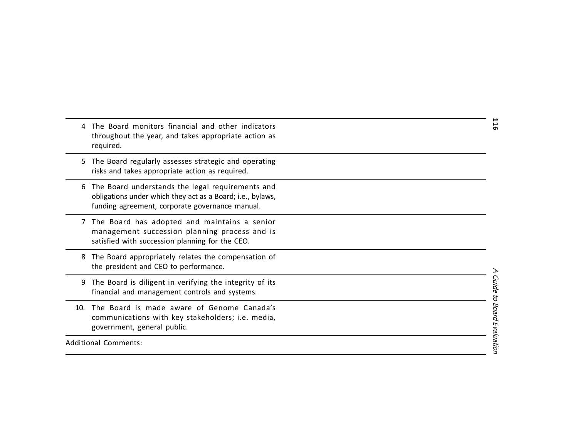|     | The Board monitors financial and other indicators<br>throughout the year, and takes appropriate action as<br>required.                                            |  |
|-----|-------------------------------------------------------------------------------------------------------------------------------------------------------------------|--|
|     | 5 The Board regularly assesses strategic and operating<br>risks and takes appropriate action as required.                                                         |  |
| 6   | The Board understands the legal requirements and<br>obligations under which they act as a Board; i.e., bylaws,<br>funding agreement, corporate governance manual. |  |
|     | 7 The Board has adopted and maintains a senior<br>management succession planning process and is<br>satisfied with succession planning for the CEO.                |  |
| 8   | The Board appropriately relates the compensation of<br>the president and CEO to performance.                                                                      |  |
| 9   | The Board is diligent in verifying the integrity of its<br>financial and management controls and systems.                                                         |  |
| 10. | The Board is made aware of Genome Canada's<br>communications with key stakeholders; i.e. media,<br>government, general public.                                    |  |
|     | <b>Additional Comments:</b>                                                                                                                                       |  |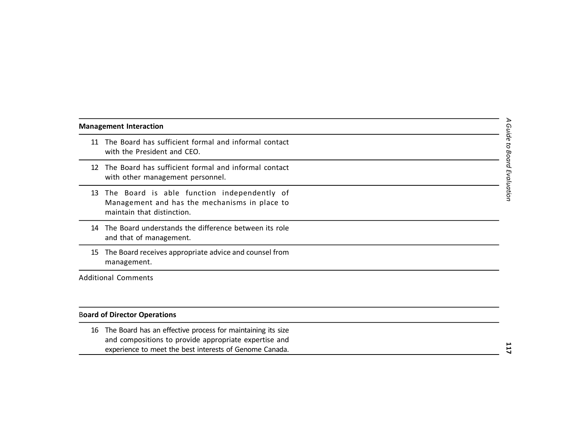#### **Management Interaction**

- 11 The Board has sufficient formal and informal contact with the President and CEO.
- 12 The Board has sufficient formal and informal contact with other management personnel.
- 13 The Board is able function independently of Management and has the mechanisms in place to maintain that distinction.
- 14 The Board understands the difference between its role and that of management.
- 15 The Board receives appropriate advice and counsel from management.

Additional Comments

# B**oard of Director Operations**

16 The Board has an effective process for maintaining its size and compositions to provide appropriate expertise and experience to meet the best interests of Genome Canada.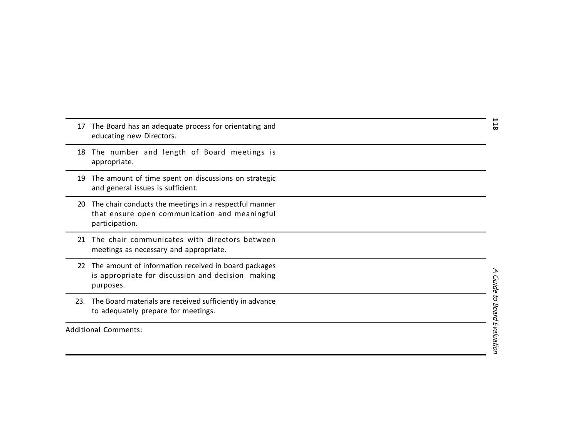| 17  | The Board has an adequate process for orientating and<br>educating new Directors.                                         |  |
|-----|---------------------------------------------------------------------------------------------------------------------------|--|
| 18  | The number and length of Board meetings is<br>appropriate.                                                                |  |
| 19  | The amount of time spent on discussions on strategic<br>and general issues is sufficient.                                 |  |
| 20  | The chair conducts the meetings in a respectful manner<br>that ensure open communication and meaningful<br>participation. |  |
| 21  | The chair communicates with directors between<br>meetings as necessary and appropriate.                                   |  |
| 22  | The amount of information received in board packages<br>is appropriate for discussion and decision making<br>purposes.    |  |
| 23. | The Board materials are received sufficiently in advance<br>to adequately prepare for meetings.                           |  |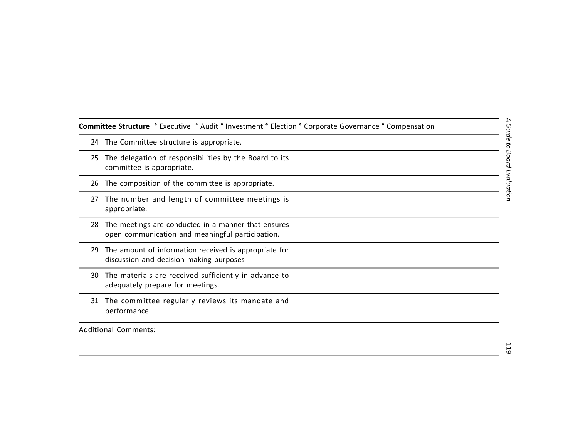**Committee Structure °** Executive ° Audit **°** Investment **°** Election **°** Corporate Governance **°** Compensation

- 24 The Committee structure is appropriate.
- 25 The delegation of responsibilities by the Board to its committee is appropriate.
- 26 The composition of the committee is appropriate.
- 27 The number and length of committee meetings is appropriate.
- 28 The meetings are conducted in a manner that ensures open communication and meaningful participation.
- 29 The amount of information received is appropriate for discussion and decision making purposes
- 30 The materials are received sufficiently in advance to adequately prepare for meetings.
- 31 The committee regularly reviews its mandate and performance.

Additional Comments: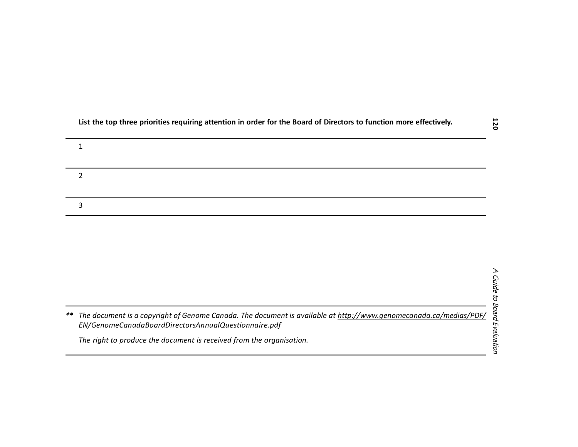| List the top three priorities requiring attention in order for the Board of Directors to function more effectively. |  |
|---------------------------------------------------------------------------------------------------------------------|--|
|---------------------------------------------------------------------------------------------------------------------|--|

*\*\* The document is a copyright of Genome Canada. The document is available at <http://www.genomecanada.ca/medias/PDF/> EN/GenomeCanadaBoardDirectorsAnnualQuestionnaire.pdf*

*The right to produce the document is received from the organisation.*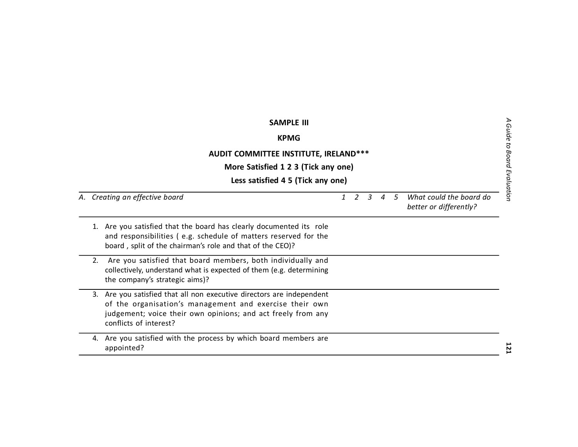| <b>SAMPLE III</b><br><b>KPMG</b>                                                                                                                                                                                           |              |   |                |                |    |                                                   |  |
|----------------------------------------------------------------------------------------------------------------------------------------------------------------------------------------------------------------------------|--------------|---|----------------|----------------|----|---------------------------------------------------|--|
| AUDIT COMMITTEE INSTITUTE, IRELAND***<br>More Satisfied 1 2 3 (Tick any one)<br>Less satisfied 4 5 (Tick any one)                                                                                                          |              |   |                |                |    |                                                   |  |
| A. Creating an effective board                                                                                                                                                                                             | $\mathbf{1}$ | 2 | $\overline{3}$ | $\overline{A}$ | .5 | What could the board do<br>better or differently? |  |
| 1. Are you satisfied that the board has clearly documented its role<br>and responsibilities (e.g. schedule of matters reserved for the<br>board, split of the chairman's role and that of the CEO)?                        |              |   |                |                |    |                                                   |  |
| Are you satisfied that board members, both individually and<br>2.<br>collectively, understand what is expected of them (e.g. determining<br>the company's strategic aims)?                                                 |              |   |                |                |    |                                                   |  |
| 3. Are you satisfied that all non executive directors are independent<br>of the organisation's management and exercise their own<br>judgement; voice their own opinions; and act freely from any<br>conflicts of interest? |              |   |                |                |    |                                                   |  |
| 4. Are you satisfied with the process by which board members are<br>appointed?                                                                                                                                             |              |   |                |                |    |                                                   |  |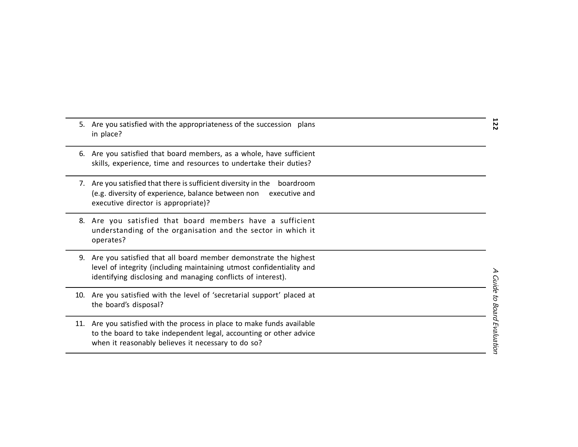| 5. Are you satisfied with the appropriateness of the succession plans<br>in place?                                                                                                                        | 122                         |
|-----------------------------------------------------------------------------------------------------------------------------------------------------------------------------------------------------------|-----------------------------|
| 6. Are you satisfied that board members, as a whole, have sufficient<br>skills, experience, time and resources to undertake their duties?                                                                 |                             |
| 7. Are you satisfied that there is sufficient diversity in the<br>boardroom<br>(e.g. diversity of experience, balance between non<br>executive and<br>executive director is appropriate)?                 |                             |
| 8. Are you satisfied that board members have a sufficient<br>understanding of the organisation and the sector in which it<br>operates?                                                                    |                             |
| 9. Are you satisfied that all board member demonstrate the highest<br>level of integrity (including maintaining utmost confidentiality and<br>identifying disclosing and managing conflicts of interest). |                             |
| 10. Are you satisfied with the level of 'secretarial support' placed at<br>the board's disposal?                                                                                                          |                             |
| 11. Are you satisfied with the process in place to make funds available<br>to the board to take independent legal, accounting or other advice<br>when it reasonably believes it necessary to do so?       | A Guide to Board Evaluation |
|                                                                                                                                                                                                           |                             |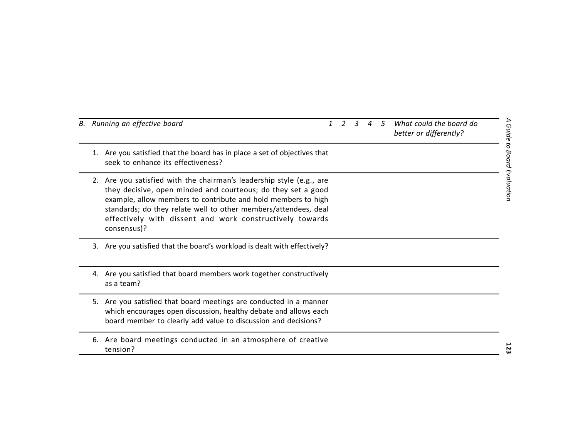| B. Running an effective board                                                                                                                                                                                                                                                                                                                          | $\mathcal{I}$ | $\mathcal{L}$ | $\mathbf{R}$ | $\boldsymbol{\varLambda}$ | .5 | What could the board do<br>better or differently? |                             |
|--------------------------------------------------------------------------------------------------------------------------------------------------------------------------------------------------------------------------------------------------------------------------------------------------------------------------------------------------------|---------------|---------------|--------------|---------------------------|----|---------------------------------------------------|-----------------------------|
| Are you satisfied that the board has in place a set of objectives that<br>1.<br>seek to enhance its effectiveness?                                                                                                                                                                                                                                     |               |               |              |                           |    |                                                   | A Guide to Board Evaluation |
| Are you satisfied with the chairman's leadership style (e.g., are<br>2.<br>they decisive, open minded and courteous; do they set a good<br>example, allow members to contribute and hold members to high<br>standards; do they relate well to other members/attendees, deal<br>effectively with dissent and work constructively towards<br>consensus)? |               |               |              |                           |    |                                                   |                             |
| Are you satisfied that the board's workload is dealt with effectively?<br>3.                                                                                                                                                                                                                                                                           |               |               |              |                           |    |                                                   |                             |
| Are you satisfied that board members work together constructively<br>4.<br>as a team?                                                                                                                                                                                                                                                                  |               |               |              |                           |    |                                                   |                             |
| Are you satisfied that board meetings are conducted in a manner<br>5.<br>which encourages open discussion, healthy debate and allows each<br>board member to clearly add value to discussion and decisions?                                                                                                                                            |               |               |              |                           |    |                                                   |                             |
| Are board meetings conducted in an atmosphere of creative<br>6.<br>tension?                                                                                                                                                                                                                                                                            |               |               |              |                           |    |                                                   | 5<br>ω                      |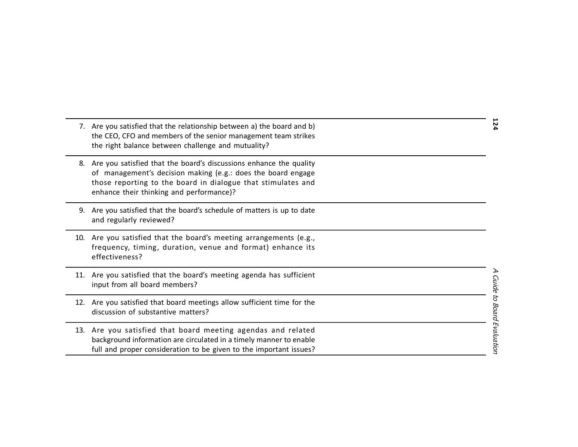|     | 7. Are you satisfied that the relationship between a) the board and b)<br>the CEO, CFO and members of the senior management team strikes<br>the right balance between challenge and mutuality?                                                 | 124                       |
|-----|------------------------------------------------------------------------------------------------------------------------------------------------------------------------------------------------------------------------------------------------|---------------------------|
| 8.  | Are you satisfied that the board's discussions enhance the quality<br>of management's decision making (e.g.: does the board engage<br>those reporting to the board in dialogue that stimulates and<br>enhance their thinking and performance)? |                           |
| 9.  | Are you satisfied that the board's schedule of matters is up to date<br>and regularly reviewed?                                                                                                                                                |                           |
|     | 10. Are you satisfied that the board's meeting arrangements (e.g.,<br>frequency, timing, duration, venue and format) enhance its<br>effectiveness?                                                                                             |                           |
|     | 11. Are you satisfied that the board's meeting agenda has sufficient<br>input from all board members?                                                                                                                                          |                           |
|     | 12. Are you satisfied that board meetings allow sufficient time for the<br>discussion of substantive matters?                                                                                                                                  |                           |
| 13. | Are you satisfied that board meeting agendas and related<br>background information are circulated in a timely manner to enable<br>full and proper consideration to be given to the important issues?                                           | Guide to Board Evaluation |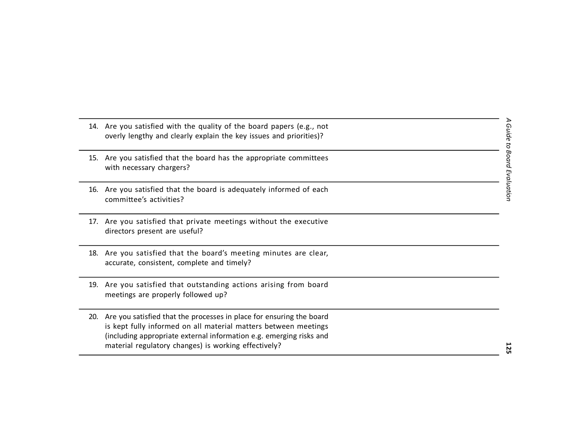|     | 14. Are you satisfied with the quality of the board papers (e.g., not<br>overly lengthy and clearly explain the key issues and priorities)?                                                                                                                            |  |
|-----|------------------------------------------------------------------------------------------------------------------------------------------------------------------------------------------------------------------------------------------------------------------------|--|
|     | 15. Are you satisfied that the board has the appropriate committees<br>with necessary chargers?                                                                                                                                                                        |  |
|     | 16. Are you satisfied that the board is adequately informed of each<br>committee's activities?                                                                                                                                                                         |  |
|     | 17. Are you satisfied that private meetings without the executive<br>directors present are useful?                                                                                                                                                                     |  |
|     | 18. Are you satisfied that the board's meeting minutes are clear,<br>accurate, consistent, complete and timely?                                                                                                                                                        |  |
|     | 19. Are you satisfied that outstanding actions arising from board<br>meetings are properly followed up?                                                                                                                                                                |  |
| 20. | Are you satisfied that the processes in place for ensuring the board<br>is kept fully informed on all material matters between meetings<br>(including appropriate external information e.g. emerging risks and<br>material regulatory changes) is working effectively? |  |

A Guide to Board Evaluation *A Guide to Board Evaluation*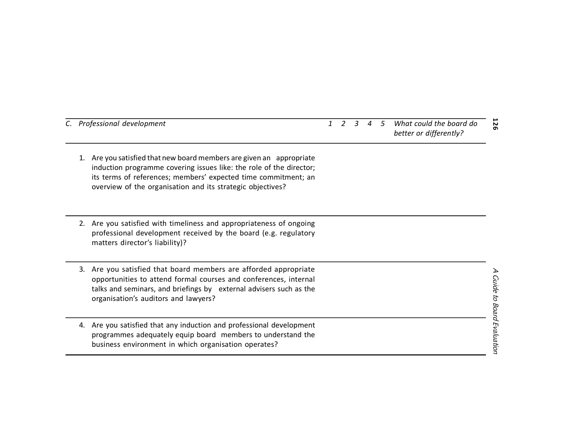| C. Professional development                                                                                                                                                                                                                                                    | 126<br>What could the board do<br>3<br>1<br>2<br>.5<br>Δ<br>better or differently? |
|--------------------------------------------------------------------------------------------------------------------------------------------------------------------------------------------------------------------------------------------------------------------------------|------------------------------------------------------------------------------------|
| Are you satisfied that new board members are given an appropriate<br>1.<br>induction programme covering issues like: the role of the director;<br>its terms of references; members' expected time commitment; an<br>overview of the organisation and its strategic objectives? |                                                                                    |
| Are you satisfied with timeliness and appropriateness of ongoing<br>2.<br>professional development received by the board (e.g. regulatory<br>matters director's liability)?                                                                                                    |                                                                                    |
| Are you satisfied that board members are afforded appropriate<br>3.<br>opportunities to attend formal courses and conferences, internal<br>talks and seminars, and briefings by external advisers such as the<br>organisation's auditors and lawyers?                          | <b>Guide to Board Evaluation</b>                                                   |
| Are you satisfied that any induction and professional development<br>4.<br>programmes adequately equip board members to understand the<br>business environment in which organisation operates?                                                                                 |                                                                                    |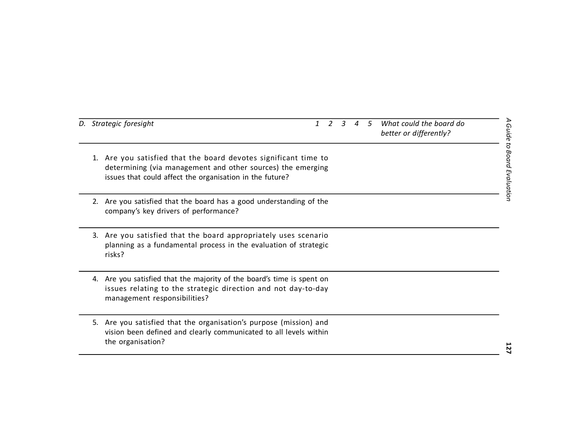|    | D. Strategic foresight                                                                                                                                                                  | $\mathbf{1}$ | 2 | $\mathcal{E}$ | $\overline{A}$ | $\sqrt{5}$ | What could the board do<br>better or differently? |
|----|-----------------------------------------------------------------------------------------------------------------------------------------------------------------------------------------|--------------|---|---------------|----------------|------------|---------------------------------------------------|
| 1. | Are you satisfied that the board devotes significant time to<br>determining (via management and other sources) the emerging<br>issues that could affect the organisation in the future? |              |   |               |                |            |                                                   |
| 2. | Are you satisfied that the board has a good understanding of the<br>company's key drivers of performance?                                                                               |              |   |               |                |            |                                                   |
|    | 3. Are you satisfied that the board appropriately uses scenario<br>planning as a fundamental process in the evaluation of strategic<br>risks?                                           |              |   |               |                |            |                                                   |
| 4. | Are you satisfied that the majority of the board's time is spent on<br>issues relating to the strategic direction and not day-to-day<br>management responsibilities?                    |              |   |               |                |            |                                                   |
| 5. | Are you satisfied that the organisation's purpose (mission) and<br>vision been defined and clearly communicated to all levels within<br>the organisation?                               |              |   |               |                |            |                                                   |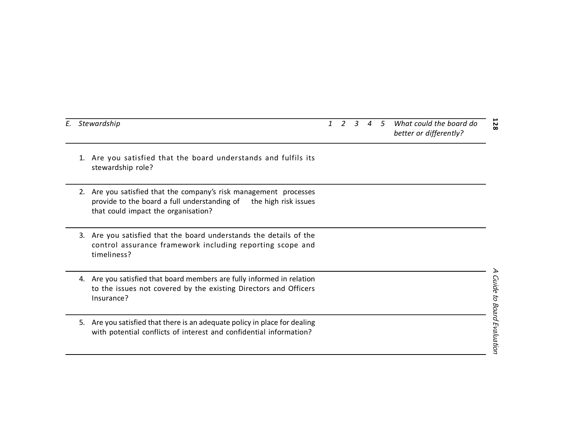|  | 1. Are you satisfied that the boar |  |  |
|--|------------------------------------|--|--|

- d understands and fulfils its stewardship role?
- 2. Are you satisfied that the company's risk management processes provide to the board a full understanding of the high risk issues that could impact the organisation?
- 3. Are you satisfied that the board understands the details of the control assurance framework including reporting scope and timeliness?
- 4. Are you satisfied that board members are fully informed in relation to the issues not covered by the existing Directors and Officers Insurance?
- 5. Are you satisfied that there is an adequate policy in place for dealing with potential conflicts of interest and confidential information?

#### **128** *E. Stewardship 1 2 3 4 5 What could the board do better or differently?*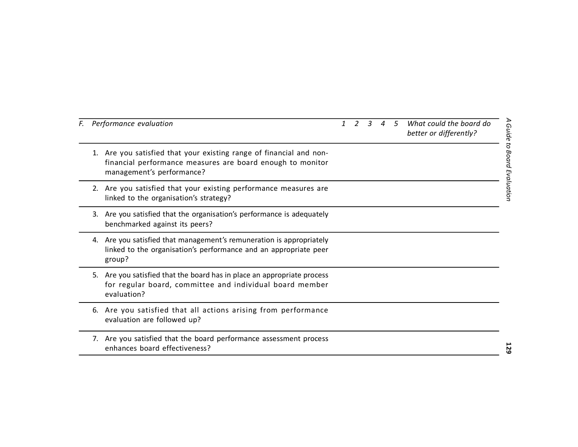| F. | Performance evaluation                                                                                                                                            | $\mathbf{1}$ | 2 | $\overline{3}$ | $\boldsymbol{\varLambda}$ | $\sqrt{5}$ | What could the board do<br>better or differently? |
|----|-------------------------------------------------------------------------------------------------------------------------------------------------------------------|--------------|---|----------------|---------------------------|------------|---------------------------------------------------|
|    | Are you satisfied that your existing range of financial and non-<br>1.<br>financial performance measures are board enough to monitor<br>management's performance? |              |   |                |                           |            |                                                   |
|    | 2. Are you satisfied that your existing performance measures are<br>linked to the organisation's strategy?                                                        |              |   |                |                           |            |                                                   |
|    | Are you satisfied that the organisation's performance is adequately<br>3.<br>benchmarked against its peers?                                                       |              |   |                |                           |            |                                                   |
|    | Are you satisfied that management's remuneration is appropriately<br>4.<br>linked to the organisation's performance and an appropriate peer<br>group?             |              |   |                |                           |            |                                                   |
|    | Are you satisfied that the board has in place an appropriate process<br>5.<br>for regular board, committee and individual board member<br>evaluation?             |              |   |                |                           |            |                                                   |
|    | Are you satisfied that all actions arising from performance<br>6.<br>evaluation are followed up?                                                                  |              |   |                |                           |            |                                                   |
|    | 7. Are you satisfied that the board performance assessment process<br>enhances board effectiveness?                                                               |              |   |                |                           |            |                                                   |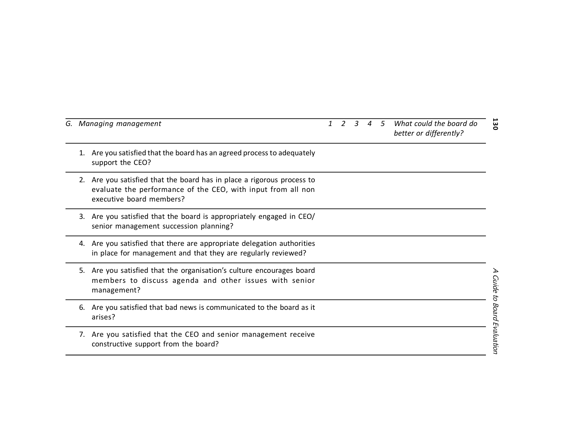|    | G. Managing management                                                                                                                                          |  | 3 | 4 | -5 | What could the board do<br>better or differently? | ä                |
|----|-----------------------------------------------------------------------------------------------------------------------------------------------------------------|--|---|---|----|---------------------------------------------------|------------------|
| 1. | Are you satisfied that the board has an agreed process to adequately<br>support the CEO?                                                                        |  |   |   |    |                                                   |                  |
| 2. | Are you satisfied that the board has in place a rigorous process to<br>evaluate the performance of the CEO, with input from all non<br>executive board members? |  |   |   |    |                                                   |                  |
| 3. | Are you satisfied that the board is appropriately engaged in CEO/<br>senior management succession planning?                                                     |  |   |   |    |                                                   |                  |
|    | 4. Are you satisfied that there are appropriate delegation authorities<br>in place for management and that they are regularly reviewed?                         |  |   |   |    |                                                   |                  |
| 5. | Are you satisfied that the organisation's culture encourages board<br>members to discuss agenda and other issues with senior<br>management?                     |  |   |   |    |                                                   | Guide to         |
| 6. | Are you satisfied that bad news is communicated to the board as it<br>arises?                                                                                   |  |   |   |    |                                                   |                  |
|    | 7. Are you satisfied that the CEO and senior management receive<br>constructive support from the board?                                                         |  |   |   |    |                                                   | Board Evaluation |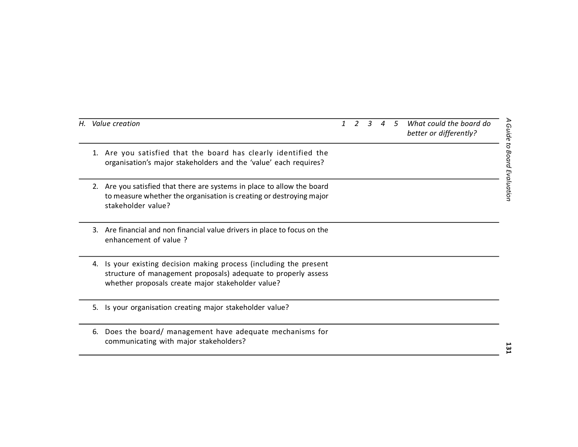| Н. | Value creation                                                                                                                                                                         | 1 | $\mathcal{P}$ | 3 | 4 | 5 | What could the board do<br>better or differently? |
|----|----------------------------------------------------------------------------------------------------------------------------------------------------------------------------------------|---|---------------|---|---|---|---------------------------------------------------|
| 1. | Are you satisfied that the board has clearly identified the<br>organisation's major stakeholders and the 'value' each requires?                                                        |   |               |   |   |   |                                                   |
|    | 2. Are you satisfied that there are systems in place to allow the board<br>to measure whether the organisation is creating or destroying major<br>stakeholder value?                   |   |               |   |   |   |                                                   |
| 3. | Are financial and non financial value drivers in place to focus on the<br>enhancement of value?                                                                                        |   |               |   |   |   |                                                   |
| 4. | Is your existing decision making process (including the present<br>structure of management proposals) adequate to properly assess<br>whether proposals create major stakeholder value? |   |               |   |   |   |                                                   |
| 5. | Is your organisation creating major stakeholder value?                                                                                                                                 |   |               |   |   |   |                                                   |
| 6. | Does the board/ management have adequate mechanisms for<br>communicating with major stakeholders?                                                                                      |   |               |   |   |   |                                                   |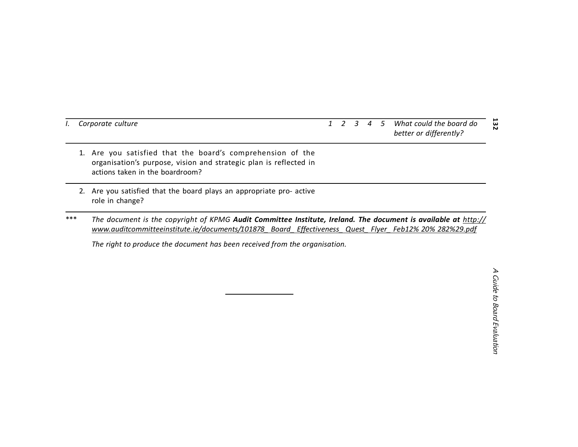#### 132 *I. Corporate culture 1 2 3 4 5 What could the board do better or differently?*

- 1. Are you satisfied that the board's comprehension of the organisation's purpose, vision and strategic plan is reflected in actions taken in the boardroom?
- 2. Are you satisfied that the board plays an appropriate pro- active role in change?
- \*\*\* The document is the copyright of KPMG Audit Committee Institute, Ireland. The document is available at http:// *[www.auditcommitteeinstitute.ie/documents/101878\\_](http://www.auditcommitteeinstitute.ie/documents/101878_) Board\_ Effectiveness\_ Quest\_ Flyer\_ Feb12% 20% 282%29.pdf*

*The right to produce the document has been received from the organisation.*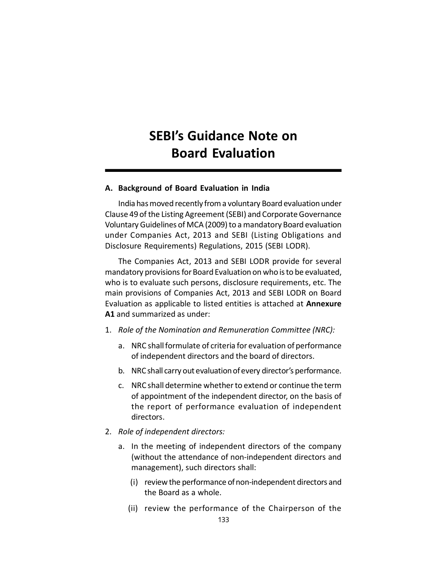# **SEBI's Guidance Note on Board Evaluation**

#### **A. Background of Board Evaluation in India**

India has moved recently from a voluntary Board evaluation under Clause 49 of the Listing Agreement (SEBI) and Corporate Governance Voluntary Guidelines of MCA (2009) to a mandatory Board evaluation under Companies Act, 2013 and SEBI (Listing Obligations and Disclosure Requirements) Regulations, 2015 (SEBI LODR).

The Companies Act, 2013 and SEBI LODR provide for several mandatory provisions for Board Evaluation on who is to be evaluated, who is to evaluate such persons, disclosure requirements, etc. The main provisions of Companies Act, 2013 and SEBI LODR on Board Evaluation as applicable to listed entities is attached at **Annexure A1** and summarized as under:

- 1. *Role of the Nomination and Remuneration Committee (NRC):*
	- a. NRC shall formulate of criteria for evaluation of performance of independent directors and the board of directors.
	- b. NRC shall carry out evaluation of every director's performance.
	- c. NRC shall determine whether to extend or continue the term of appointment of the independent director, on the basis of the report of performance evaluation of independent directors.
- 2. *Role of independent directors:*
	- a. In the meeting of independent directors of the company (without the attendance of non-independent directors and management), such directors shall:
		- (i) review the performance of non-independent directors and the Board as a whole.
		- (ii) review the performance of the Chairperson of the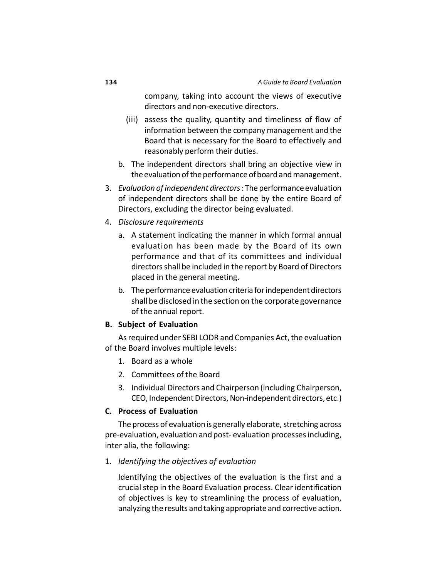company, taking into account the views of executive directors and non-executive directors.

- (iii) assess the quality, quantity and timeliness of flow of information between the company management and the Board that is necessary for the Board to effectively and reasonably perform their duties.
- b. The independent directors shall bring an objective view in the evaluation of the performance of board and management.
- 3. *Evaluation of independent directors* : The performance evaluation of independent directors shall be done by the entire Board of Directors, excluding the director being evaluated.
- 4. *Disclosure requirements*
	- a. A statement indicating the manner in which formal annual evaluation has been made by the Board of its own performance and that of its committees and individual directors shall be included in the report by Board of Directors placed in the general meeting.
	- b. The performance evaluation criteria for independent directors shall be disclosed in the section on the corporate governance of the annual report.

# **B. Subject of Evaluation**

As required under SEBI LODR and Companies Act, the evaluation of the Board involves multiple levels:

- 1. Board as a whole
- 2. Committees of the Board
- 3. Individual Directors and Chairperson (including Chairperson, CEO, Independent Directors, Non-independent directors, etc.)

#### **C. Process of Evaluation**

The process of evaluation is generally elaborate, stretching across pre-evaluation, evaluation and post- evaluation processes including, inter alia, the following:

# 1. *Identifying the objectives of evaluation*

Identifying the objectives of the evaluation is the first and a crucial step in the Board Evaluation process. Clear identification of objectives is key to streamlining the process of evaluation, analyzing the results and taking appropriate and corrective action.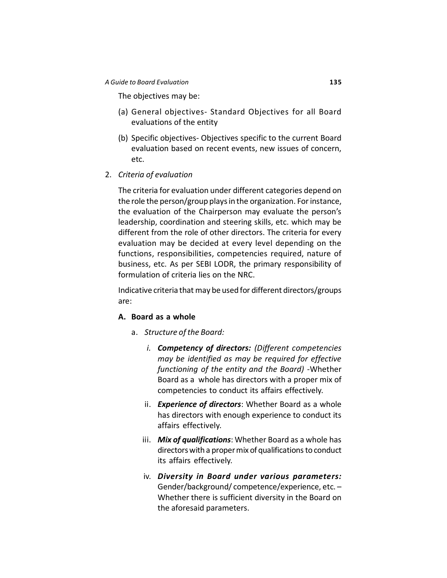The objectives may be:

- (a) General objectives- Standard Objectives for all Board evaluations of the entity
- (b) Specific objectives- Objectives specific to the current Board evaluation based on recent events, new issues of concern, etc.
- 2. *Criteria of evaluation*

The criteria for evaluation under different categories depend on the role the person/group plays in the organization. For instance, the evaluation of the Chairperson may evaluate the person's leadership, coordination and steering skills, etc. which may be different from the role of other directors. The criteria for every evaluation may be decided at every level depending on the functions, responsibilities, competencies required, nature of business, etc. As per SEBI LODR, the primary responsibility of formulation of criteria lies on the NRC.

Indicative criteria that may be used for different directors/groups are:

# **A. Board as a whole**

- a. *Structure of the Board:*
	- *i. Competency of directors: (Different competencies may be identified as may be required for effective functioning of the entity and the Board) -*Whether Board as a whole has directors with a proper mix of competencies to conduct its affairs effectively.
	- ii. *Experience of directors*: Whether Board as a whole has directors with enough experience to conduct its affairs effectively.
	- iii. *Mix of qualifications*: Whether Board as a whole has directors with a proper mix of qualifications to conduct its affairs effectively.
	- iv. *Diversity in Board under various parameters:* Gender/background/ competence/experience, etc. – Whether there is sufficient diversity in the Board on the aforesaid parameters.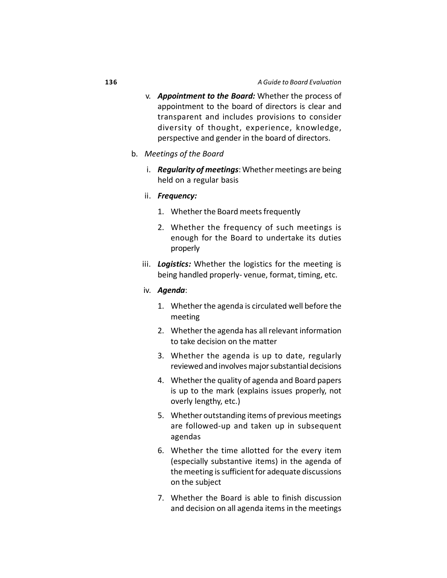- v. *Appointment to the Board:* Whether the process of appointment to the board of directors is clear and transparent and includes provisions to consider diversity of thought, experience, knowledge, perspective and gender in the board of directors.
- b. *Meetings of the Board*
	- i. *Regularity of meetings*: Whether meetings are being held on a regular basis
	- ii. *Frequency:*
		- 1. Whether the Board meets frequently
		- 2. Whether the frequency of such meetings is enough for the Board to undertake its duties properly
	- iii. *Logistics:* Whether the logistics for the meeting is being handled properly- venue, format, timing, etc.

#### iv. *Agenda*:

- 1. Whether the agenda is circulated well before the meeting
- 2. Whether the agenda has all relevant information to take decision on the matter
- 3. Whether the agenda is up to date, regularly reviewed and involves major substantial decisions
- 4. Whether the quality of agenda and Board papers is up to the mark (explains issues properly, not overly lengthy, etc.)
- 5. Whether outstanding items of previous meetings are followed-up and taken up in subsequent agendas
- 6. Whether the time allotted for the every item (especially substantive items) in the agenda of the meeting is sufficient for adequate discussions on the subject
- 7. Whether the Board is able to finish discussion and decision on all agenda items in the meetings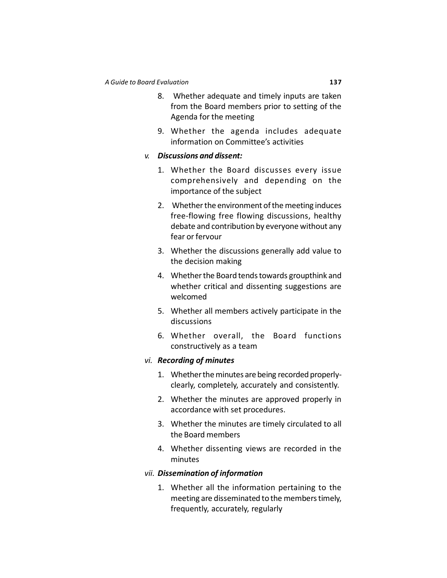- 8. Whether adequate and timely inputs are taken from the Board members prior to setting of the Agenda for the meeting
- 9. Whether the agenda includes adequate information on Committee's activities

### *v. Discussions and dissent:*

- 1. Whether the Board discusses every issue comprehensively and depending on the importance of the subject
- 2. Whether the environment of the meeting induces free-flowing free flowing discussions, healthy debate and contribution by everyone without any fear or fervour
- 3. Whether the discussions generally add value to the decision making
- 4. Whether the Board tends towards groupthink and whether critical and dissenting suggestions are welcomed
- 5. Whether all members actively participate in the discussions
- 6. Whether overall, the Board functions constructively as a team

### *vi. Recording of minutes*

- 1. Whether the minutes are being recorded properlyclearly, completely, accurately and consistently.
- 2. Whether the minutes are approved properly in accordance with set procedures.
- 3. Whether the minutes are timely circulated to all the Board members
- 4. Whether dissenting views are recorded in the minutes

### *vii. Dissemination of information*

1. Whether all the information pertaining to the meeting are disseminated to the members timely, frequently, accurately, regularly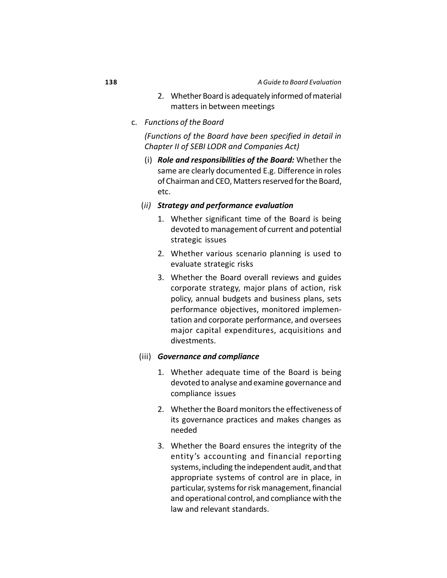- 2. Whether Board is adequately informed of material matters in between meetings
- c. *Functions of the Board*

*(Functions of the Board have been specified in detail in Chapter II of SEBI LODR and Companies Act)*

- (i) *Role and responsibilities of the Board:* Whether the same are clearly documented E.g. Difference in roles of Chairman and CEO, Matters reserved for the Board, etc.
- (*ii) Strategy and performance evaluation*
	- 1. Whether significant time of the Board is being devoted to management of current and potential strategic issues
	- 2. Whether various scenario planning is used to evaluate strategic risks
	- 3. Whether the Board overall reviews and guides corporate strategy, major plans of action, risk policy, annual budgets and business plans, sets performance objectives, monitored implementation and corporate performance, and oversees major capital expenditures, acquisitions and divestments.

# (iii) *Governance and compliance*

- 1. Whether adequate time of the Board is being devoted to analyse and examine governance and compliance issues
- 2. Whether the Board monitors the effectiveness of its governance practices and makes changes as needed
- 3. Whether the Board ensures the integrity of the entity's accounting and financial reporting systems, including the independent audit, and that appropriate systems of control are in place, in particular, systems for risk management, financial and operational control, and compliance with the law and relevant standards.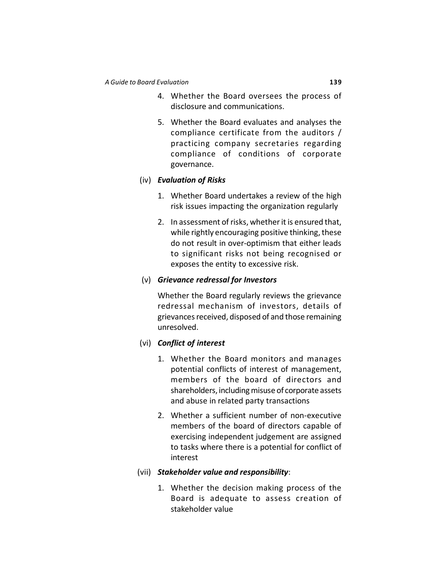- 4. Whether the Board oversees the process of disclosure and communications.
- 5. Whether the Board evaluates and analyses the compliance certificate from the auditors / practicing company secretaries regarding compliance of conditions of corporate governance.

# (iv) *Evaluation of Risks*

- 1. Whether Board undertakes a review of the high risk issues impacting the organization regularly
- 2. In assessment of risks, whether it is ensured that, while rightly encouraging positive thinking, these do not result in over-optimism that either leads to significant risks not being recognised or exposes the entity to excessive risk.

# (v) *Grievance redressal for Investors*

Whether the Board regularly reviews the grievance redressal mechanism of investors, details of grievances received, disposed of and those remaining unresolved.

# (vi) *Conflict of interest*

- 1. Whether the Board monitors and manages potential conflicts of interest of management, members of the board of directors and shareholders, including misuse of corporate assets and abuse in related party transactions
- 2. Whether a sufficient number of non-executive members of the board of directors capable of exercising independent judgement are assigned to tasks where there is a potential for conflict of interest

# (vii) *Stakeholder value and responsibility*:

1. Whether the decision making process of the Board is adequate to assess creation of stakeholder value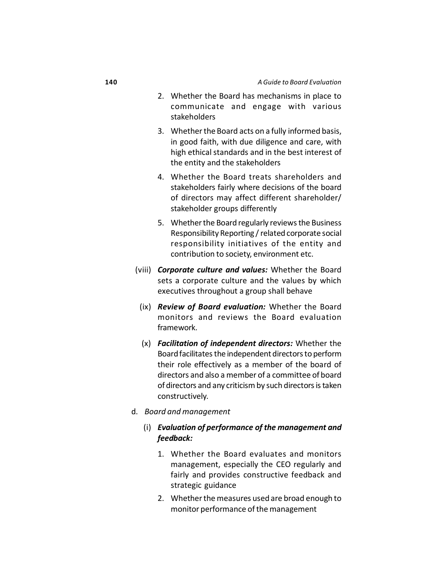- 2. Whether the Board has mechanisms in place to communicate and engage with various stakeholders
- 3. Whether the Board acts on a fully informed basis, in good faith, with due diligence and care, with high ethical standards and in the best interest of the entity and the stakeholders
- 4. Whether the Board treats shareholders and stakeholders fairly where decisions of the board of directors may affect different shareholder/ stakeholder groups differently
- 5. Whether the Board regularly reviews the Business Responsibility Reporting / related corporate social responsibility initiatives of the entity and contribution to society, environment etc.
- (viii) *Corporate culture and values:* Whether the Board sets a corporate culture and the values by which executives throughout a group shall behave
- (ix) *Review of Board evaluation:* Whether the Board monitors and reviews the Board evaluation framework.
- (x) *Facilitation of independent directors:* Whether the Board facilitates the independent directors to perform their role effectively as a member of the board of directors and also a member of a committee of board of directors and any criticism by such directors is taken constructively.
- d. *Board and management*
	- (i) *Evaluation of performance of the management and feedback:*
		- 1. Whether the Board evaluates and monitors management, especially the CEO regularly and fairly and provides constructive feedback and strategic guidance
		- 2. Whether the measures used are broad enough to monitor performance of the management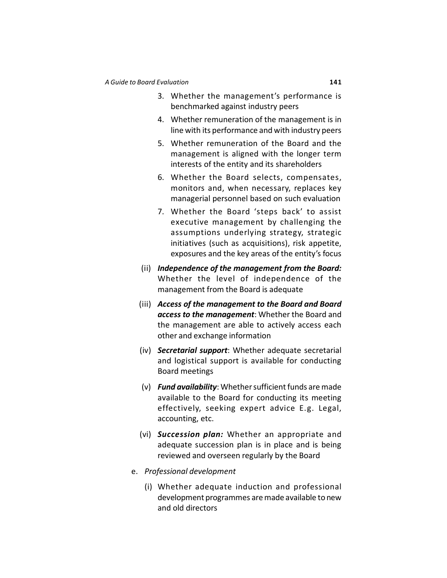- 3. Whether the management's performance is benchmarked against industry peers
- 4. Whether remuneration of the management is in line with its performance and with industry peers
- 5. Whether remuneration of the Board and the management is aligned with the longer term interests of the entity and its shareholders
- 6. Whether the Board selects, compensates, monitors and, when necessary, replaces key managerial personnel based on such evaluation
- 7. Whether the Board 'steps back' to assist executive management by challenging the assumptions underlying strategy, strategic initiatives (such as acquisitions), risk appetite, exposures and the key areas of the entity's focus
- (ii) *Independence of the management from the Board:* Whether the level of independence of the management from the Board is adequate
- (iii) *Access of the management to the Board and Board access to the management*: Whether the Board and the management are able to actively access each other and exchange information
- (iv) *Secretarial support*: Whether adequate secretarial and logistical support is available for conducting Board meetings
- (v) *Fund availability*: Whether sufficient funds are made available to the Board for conducting its meeting effectively, seeking expert advice E.g. Legal, accounting, etc.
- (vi) *Succession plan:* Whether an appropriate and adequate succession plan is in place and is being reviewed and overseen regularly by the Board
- e. *Professional development*
	- (i) Whether adequate induction and professional development programmes are made available to new and old directors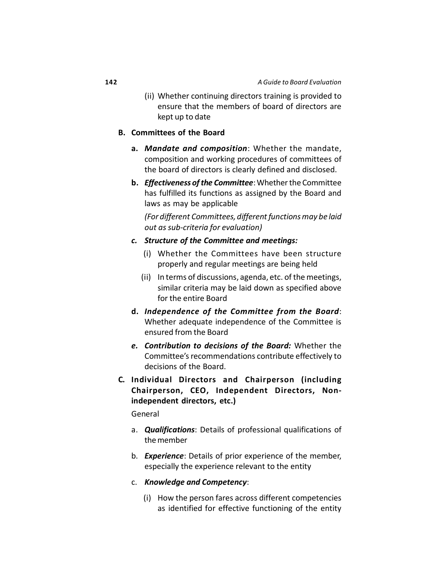(ii) Whether continuing directors training is provided to ensure that the members of board of directors are kept up to date

### **B. Committees of the Board**

- **a.** *Mandate and composition*: Whether the mandate, composition and working procedures of committees of the board of directors is clearly defined and disclosed.
- **b.** *Effectiveness of the Committee*: Whether the Committee has fulfilled its functions as assigned by the Board and laws as may be applicable

*(For different Committees, different functions may be laid out as sub-criteria for evaluation)*

- *c. Structure of the Committee and meetings:*
	- (i) Whether the Committees have been structure properly and regular meetings are being held
	- (ii) In terms of discussions, agenda, etc. of the meetings, similar criteria may be laid down as specified above for the entire Board
- **d.** *Independence of the Committee from the Board*: Whether adequate independence of the Committee is ensured from the Board
- *e. Contribution to decisions of the Board:* Whether the Committee's recommendations contribute effectively to decisions of the Board.
- **C. Individual Directors and Chairperson (including Chairperson, CEO, Independent Directors, Nonindependent directors, etc.)**

General

- a. *Qualifications*: Details of professional qualifications of the member
- b. *Experience*: Details of prior experience of the member, especially the experience relevant to the entity
- c. *Knowledge and Competency*:
	- (i) How the person fares across different competencies as identified for effective functioning of the entity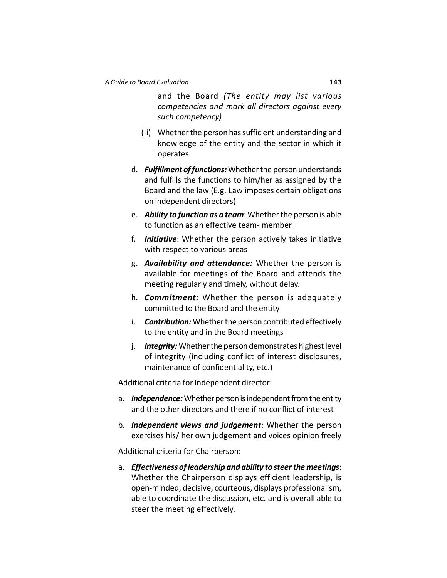and the Board *(The entity may list various competencies and mark all directors against every such competency)*

- (ii) Whether the person has sufficient understanding and knowledge of the entity and the sector in which it operates
- d. *Fulfillment of functions:* Whether the person understands and fulfills the functions to him/her as assigned by the Board and the law (E.g. Law imposes certain obligations on independent directors)
- e. *Ability to function as a team*: Whether the person is able to function as an effective team- member
- f. *Initiative*: Whether the person actively takes initiative with respect to various areas
- g. *Availability and attendance:* Whether the person is available for meetings of the Board and attends the meeting regularly and timely, without delay.
- h. *Commitment:* Whether the person is adequately committed to the Board and the entity
- i. *Contribution:* Whether the person contributed effectively to the entity and in the Board meetings
- j. *Integrity:* Whether the person demonstrates highest level of integrity (including conflict of interest disclosures, maintenance of confidentiality, etc.)

Additional criteria for Independent director:

- a. *Independence:* Whether person is independent from the entity and the other directors and there if no conflict of interest
- b. *Independent views and judgement*: Whether the person exercises his/ her own judgement and voices opinion freely

Additional criteria for Chairperson:

a. *Effectiveness of leadership and ability to steer the meetings*: Whether the Chairperson displays efficient leadership, is open-minded, decisive, courteous, displays professionalism, able to coordinate the discussion, etc. and is overall able to steer the meeting effectively.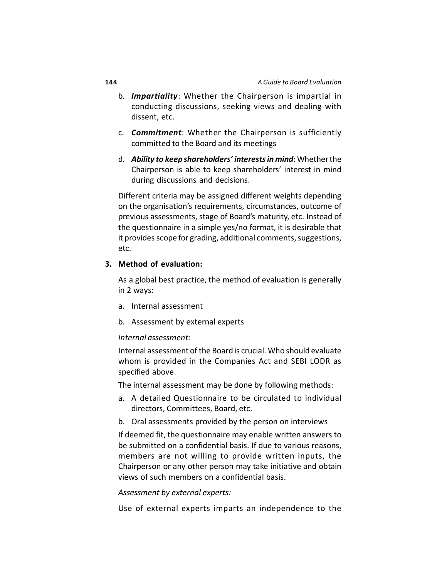- b. *Impartiality*: Whether the Chairperson is impartial in conducting discussions, seeking views and dealing with dissent, etc.
- c. *Commitment*: Whether the Chairperson is sufficiently committed to the Board and its meetings
- d. *Ability to keep shareholders' interests in mind*: Whether the Chairperson is able to keep shareholders' interest in mind during discussions and decisions.

Different criteria may be assigned different weights depending on the organisation's requirements, circumstances, outcome of previous assessments, stage of Board's maturity, etc. Instead of the questionnaire in a simple yes/no format, it is desirable that it provides scope for grading, additional comments, suggestions, etc.

# **3. Method of evaluation:**

As a global best practice, the method of evaluation is generally in 2 ways:

- a. Internal assessment
- b. Assessment by external experts

### *Internal assessment:*

Internal assessment of the Board is crucial. Who should evaluate whom is provided in the Companies Act and SEBI LODR as specified above.

The internal assessment may be done by following methods:

- a. A detailed Questionnaire to be circulated to individual directors, Committees, Board, etc.
- b. Oral assessments provided by the person on interviews

If deemed fit, the questionnaire may enable written answers to be submitted on a confidential basis. If due to various reasons, members are not willing to provide written inputs, the Chairperson or any other person may take initiative and obtain views of such members on a confidential basis.

### *Assessment by external experts:*

Use of external experts imparts an independence to the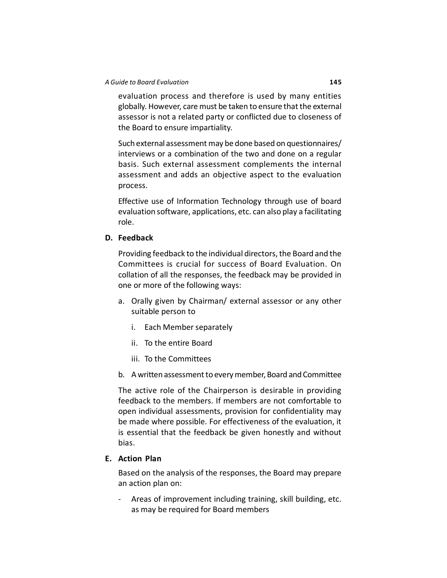evaluation process and therefore is used by many entities globally. However, care must be taken to ensure that the external assessor is not a related party or conflicted due to closeness of the Board to ensure impartiality.

Such external assessment may be done based on questionnaires/ interviews or a combination of the two and done on a regular basis. Such external assessment complements the internal assessment and adds an objective aspect to the evaluation process.

Effective use of Information Technology through use of board evaluation software, applications, etc. can also play a facilitating role.

### **D. Feedback**

Providing feedback to the individual directors, the Board and the Committees is crucial for success of Board Evaluation. On collation of all the responses, the feedback may be provided in one or more of the following ways:

- a. Orally given by Chairman/ external assessor or any other suitable person to
	- i. Each Member separately
	- ii. To the entire Board
	- iii. To the Committees
- b. A written assessment to every member, Board and Committee

The active role of the Chairperson is desirable in providing feedback to the members. If members are not comfortable to open individual assessments, provision for confidentiality may be made where possible. For effectiveness of the evaluation, it is essential that the feedback be given honestly and without bias.

# **E. Action Plan**

Based on the analysis of the responses, the Board may prepare an action plan on:

Areas of improvement including training, skill building, etc. as may be required for Board members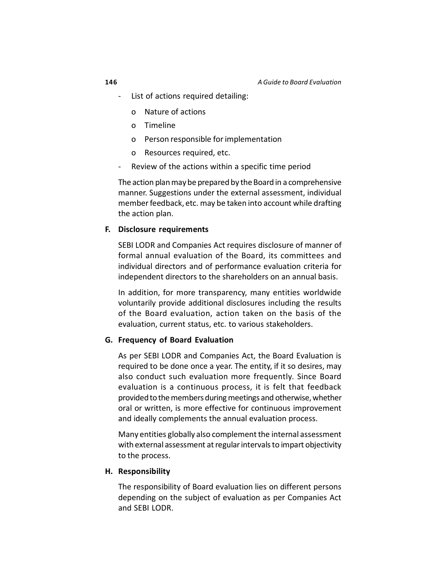- List of actions required detailing:
	- o Nature of actions
	- o Timeline
	- o Person responsible for implementation
	- o Resources required, etc.
- Review of the actions within a specific time period

The action plan may be prepared by the Board in a comprehensive manner. Suggestions under the external assessment, individual member feedback, etc. may be taken into account while drafting the action plan.

### **F. Disclosure requirements**

SEBI LODR and Companies Act requires disclosure of manner of formal annual evaluation of the Board, its committees and individual directors and of performance evaluation criteria for independent directors to the shareholders on an annual basis.

In addition, for more transparency, many entities worldwide voluntarily provide additional disclosures including the results of the Board evaluation, action taken on the basis of the evaluation, current status, etc. to various stakeholders.

### **G. Frequency of Board Evaluation**

As per SEBI LODR and Companies Act, the Board Evaluation is required to be done once a year. The entity, if it so desires, may also conduct such evaluation more frequently. Since Board evaluation is a continuous process, it is felt that feedback provided to the members during meetings and otherwise, whether oral or written, is more effective for continuous improvement and ideally complements the annual evaluation process.

Many entities globally also complement the internal assessment with external assessment at regular intervals to impart objectivity to the process.

### **H. Responsibility**

The responsibility of Board evaluation lies on different persons depending on the subject of evaluation as per Companies Act and SEBI LODR.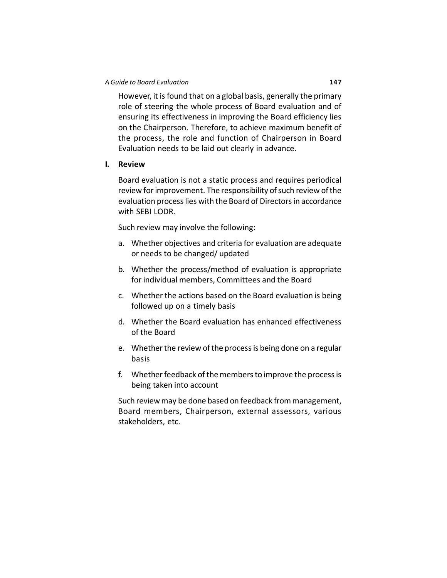### *A Guide to Board Evaluation* **147**

However, it is found that on a global basis, generally the primary role of steering the whole process of Board evaluation and of ensuring its effectiveness in improving the Board efficiency lies on the Chairperson. Therefore, to achieve maximum benefit of the process, the role and function of Chairperson in Board Evaluation needs to be laid out clearly in advance.

### **I. Review**

Board evaluation is not a static process and requires periodical review for improvement. The responsibility of such review of the evaluation process lies with the Board of Directors in accordance with SEBI LODR.

Such review may involve the following:

- a. Whether objectives and criteria for evaluation are adequate or needs to be changed/ updated
- b. Whether the process/method of evaluation is appropriate for individual members, Committees and the Board
- c. Whether the actions based on the Board evaluation is being followed up on a timely basis
- d. Whether the Board evaluation has enhanced effectiveness of the Board
- e. Whether the review of the process is being done on a regular basis
- f. Whether feedback of the members to improve the process is being taken into account

Such review may be done based on feedback from management, Board members, Chairperson, external assessors, various stakeholders, etc.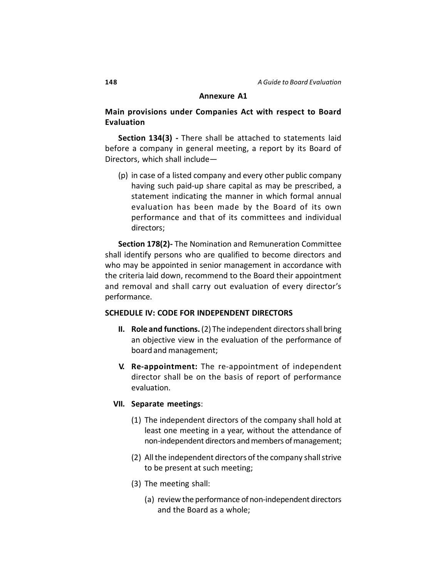### **Annexure A1**

# **Main provisions under Companies Act with respect to Board Evaluation**

**Section 134(3) -** There shall be attached to statements laid before a company in general meeting, a report by its Board of Directors, which shall include—

(p) in case of a listed company and every other public company having such paid-up share capital as may be prescribed, a statement indicating the manner in which formal annual evaluation has been made by the Board of its own performance and that of its committees and individual directors;

**Section 178(2)-** The Nomination and Remuneration Committee shall identify persons who are qualified to become directors and who may be appointed in senior management in accordance with the criteria laid down, recommend to the Board their appointment and removal and shall carry out evaluation of every director's performance.

### **SCHEDULE IV: CODE FOR INDEPENDENT DIRECTORS**

- **II. Role and functions.** (2) The independent directors shall bring an objective view in the evaluation of the performance of board and management;
- **V. Re-appointment:** The re-appointment of independent director shall be on the basis of report of performance evaluation.

### **VII. Separate meetings**:

- (1) The independent directors of the company shall hold at least one meeting in a year, without the attendance of non-independent directors and members of management;
- (2) All the independent directors of the company shall strive to be present at such meeting;
- (3) The meeting shall:
	- (a) review the performance of non-independent directors and the Board as a whole;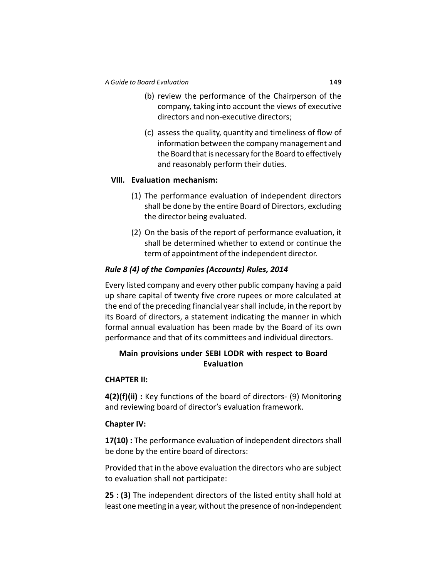- (b) review the performance of the Chairperson of the company, taking into account the views of executive directors and non-executive directors;
- (c) assess the quality, quantity and timeliness of flow of information between the company management and the Board that is necessary for the Board to effectively and reasonably perform their duties.

# **VIII. Evaluation mechanism:**

- (1) The performance evaluation of independent directors shall be done by the entire Board of Directors, excluding the director being evaluated.
- (2) On the basis of the report of performance evaluation, it shall be determined whether to extend or continue the term of appointment of the independent director.

# *Rule 8 (4) of the Companies (Accounts) Rules, 2014*

Every listed company and every other public company having a paid up share capital of twenty five crore rupees or more calculated at the end of the preceding financial year shall include, in the report by its Board of directors, a statement indicating the manner in which formal annual evaluation has been made by the Board of its own performance and that of its committees and individual directors.

# **Main provisions under SEBI LODR with respect to Board Evaluation**

# **CHAPTER II:**

**4(2)(f)(ii) :** Key functions of the board of directors- (9) Monitoring and reviewing board of director's evaluation framework.

# **Chapter IV:**

**17(10) :** The performance evaluation of independent directors shall be done by the entire board of directors:

Provided that in the above evaluation the directors who are subject to evaluation shall not participate:

**25 : (3)** The independent directors of the listed entity shall hold at least one meeting in a year, without the presence of non-independent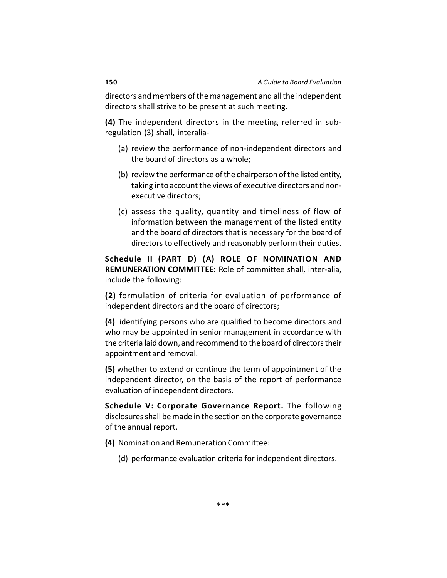directors and members of the management and all the independent directors shall strive to be present at such meeting.

**(4)** The independent directors in the meeting referred in subregulation (3) shall, interalia-

- (a) review the performance of non-independent directors and the board of directors as a whole;
- (b) review the performance of the chairperson of the listed entity, taking into account the views of executive directors and nonexecutive directors;
- (c) assess the quality, quantity and timeliness of flow of information between the management of the listed entity and the board of directors that is necessary for the board of directors to effectively and reasonably perform their duties.

**Schedule II (PART D) (A) ROLE OF NOMINATION AND REMUNERATION COMMITTEE:** Role of committee shall, inter-alia, include the following:

**(2)** formulation of criteria for evaluation of performance of independent directors and the board of directors;

**(4)** identifying persons who are qualified to become directors and who may be appointed in senior management in accordance with the criteria laid down, and recommend to the board of directors their appointment and removal.

**(5)** whether to extend or continue the term of appointment of the independent director, on the basis of the report of performance evaluation of independent directors.

**Schedule V: Corporate Governance Report.** The following disclosures shall be made in the section on the corporate governance of the annual report.

- **(4)** Nomination and Remuneration Committee:
	- (d) performance evaluation criteria for independent directors.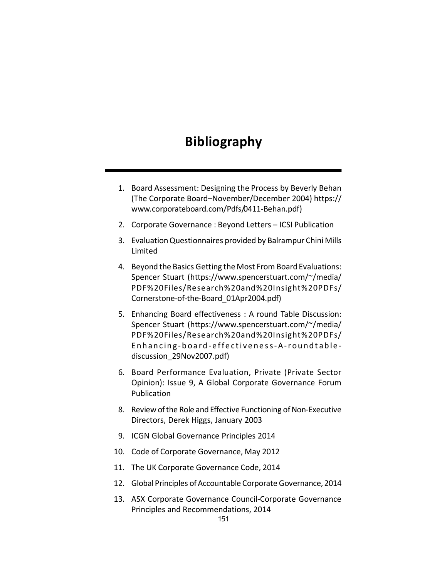# **Bibliography**

- 1. Board Assessment: Designing the Process by Beverly Behan (The Corporate Board–November/December 2004)<https://> [www.corporateboard.com/Pdfs/0411-Behan.pdf\)](http://www.corporateboard.com/Pdfs/0411-Behan.pdf))
- 2. Corporate Governance : Beyond Letters ICSI Publication
- 3. Evaluation Questionnaires provided by Balrampur Chini Mills Limited
- 4. Beyond the Basics Getting the Most From Board Evaluations: Spencer Stuart (<https://www.spencerstuart.com/~/media/> PDF%20Files/Research%20and%20Insight%20PDFs/ Cornerstone-of-the-Board\_01Apr2004.pdf)
- 5. Enhancing Board effectiveness : A round Table Discussion: Spencer Stuart (<https://www.spencerstuart.com/~/media/> PDF%20Files/Research%20and%20Insight%20PDFs/ Enhancing-board-effectiveness-A-roundtablediscussion\_29Nov2007.pdf)
- 6. Board Performance Evaluation, Private (Private Sector Opinion): Issue 9, A Global Corporate Governance Forum Publication
- 8. Review of the Role and Effective Functioning of Non-Executive Directors, Derek Higgs, January 2003
- 9. ICGN Global Governance Principles 2014
- 10. Code of Corporate Governance, May 2012
- 11. The UK Corporate Governance Code, 2014
- 12. Global Principles of Accountable Corporate Governance, 2014
- 13. ASX Corporate Governance Council-Corporate Governance Principles and Recommendations, 2014